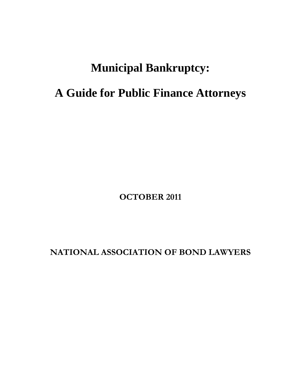# **Municipal Bankruptcy:**

# **A Guide for Public Finance Attorneys**

**OCTOBER 2011** 

**NATIONAL ASSOCIATION OF BOND LAWYERS**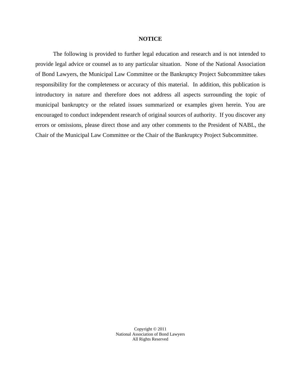#### **NOTICE**

The following is provided to further legal education and research and is not intended to provide legal advice or counsel as to any particular situation. None of the National Association of Bond Lawyers, the Municipal Law Committee or the Bankruptcy Project Subcommittee takes responsibility for the completeness or accuracy of this material. In addition, this publication is introductory in nature and therefore does not address all aspects surrounding the topic of municipal bankruptcy or the related issues summarized or examples given herein. You are encouraged to conduct independent research of original sources of authority. If you discover any errors or omissions, please direct those and any other comments to the President of NABL, the Chair of the Municipal Law Committee or the Chair of the Bankruptcy Project Subcommittee.

> Copyright © 2011 National Association of Bond Lawyers All Rights Reserved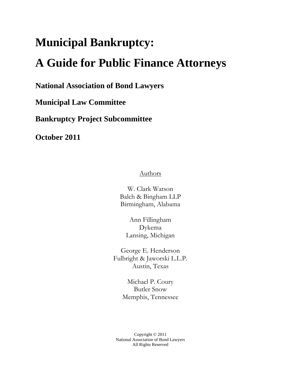# **Municipal Bankruptcy:**

# **A Guide for Public Finance Attorneys**

**National Association of Bond Lawyers** 

**Municipal Law Committee** 

**Bankruptcy Project Subcommittee** 

**October 2011** 

**Authors** 

W. Clark Watson Balch & Bingham LLP Birmingham, Alabama

Ann Fillingham Dykema Lansing, Michigan

George E. Henderson Fulbright & Jaworski L.L.P. Austin, Texas

> Michael P. Coury Butler Snow Memphis, Tennessee

Copyright © 2011 National Association of Bond Lawyers All Rights Reserved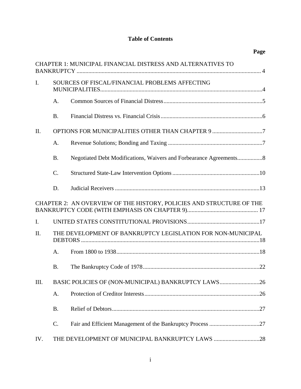# **Table of Contents**

**Page** 

|                |           | CHAPTER 1: MUNICIPAL FINANCIAL DISTRESS AND ALTERNATIVES TO          |
|----------------|-----------|----------------------------------------------------------------------|
| $\mathbf{I}$ . |           | SOURCES OF FISCAL/FINANCIAL PROBLEMS AFFECTING                       |
|                | A.        |                                                                      |
|                | <b>B.</b> |                                                                      |
| II.            |           | OPTIONS FOR MUNICIPALITIES OTHER THAN CHAPTER 9 7                    |
|                | A.        |                                                                      |
|                | <b>B.</b> |                                                                      |
|                | C.        |                                                                      |
|                | D.        |                                                                      |
|                |           | CHAPTER 2: AN OVERVIEW OF THE HISTORY, POLICIES AND STRUCTURE OF THE |
| $\mathbf{I}$ . |           |                                                                      |
| II.            |           | THE DEVELOPMENT OF BANKRUPTCY LEGISLATION FOR NON-MUNICIPAL          |
|                | A.        |                                                                      |
|                | <b>B.</b> |                                                                      |
| III.           |           | BASIC POLICIES OF (NON-MUNICIPAL) BANKRUPTCY LAWS26                  |
|                | A.        |                                                                      |
|                | <b>B.</b> |                                                                      |
|                | C.        |                                                                      |
| IV.            |           |                                                                      |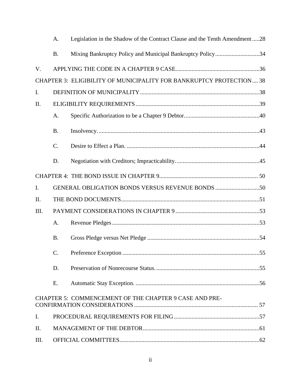|      | A.        | Legislation in the Shadow of the Contract Clause and the Tenth Amendment28 |  |  |
|------|-----------|----------------------------------------------------------------------------|--|--|
|      | <b>B.</b> | Mixing Bankruptcy Policy and Municipal Bankruptcy Policy34                 |  |  |
| V.   |           |                                                                            |  |  |
|      |           | CHAPTER 3: ELIGIBILITY OF MUNICIPALITY FOR BANKRUPTCY PROTECTION 38        |  |  |
| I.   |           |                                                                            |  |  |
| II.  |           |                                                                            |  |  |
|      | A.        |                                                                            |  |  |
|      | <b>B.</b> |                                                                            |  |  |
|      | $C$ .     |                                                                            |  |  |
|      | D.        |                                                                            |  |  |
|      |           |                                                                            |  |  |
| I.   |           |                                                                            |  |  |
| II.  |           |                                                                            |  |  |
| III. |           |                                                                            |  |  |
|      | A.        |                                                                            |  |  |
|      | <b>B.</b> |                                                                            |  |  |
|      | C.        | 55                                                                         |  |  |
|      | D.        |                                                                            |  |  |
|      | E.        |                                                                            |  |  |
|      |           | CHAPTER 5: COMMENCEMENT OF THE CHAPTER 9 CASE AND PRE-                     |  |  |
| I.   |           |                                                                            |  |  |
| II.  |           |                                                                            |  |  |
| III. |           |                                                                            |  |  |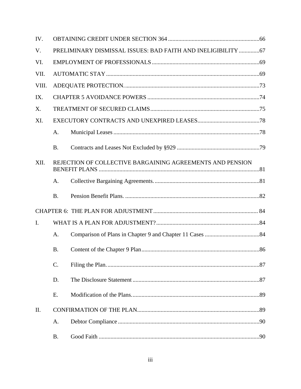| IV.            |                                                               |                                                           |  |  |
|----------------|---------------------------------------------------------------|-----------------------------------------------------------|--|--|
| V.             | PRELIMINARY DISMISSAL ISSUES: BAD FAITH AND INELIGIBILITY  67 |                                                           |  |  |
| VI.            |                                                               |                                                           |  |  |
| VII.           |                                                               |                                                           |  |  |
| VIII.          |                                                               |                                                           |  |  |
| IX.            |                                                               |                                                           |  |  |
| X.             |                                                               |                                                           |  |  |
| XI.            |                                                               |                                                           |  |  |
|                | A.                                                            |                                                           |  |  |
|                | <b>B.</b>                                                     |                                                           |  |  |
| XII.           |                                                               | REJECTION OF COLLECTIVE BARGAINING AGREEMENTS AND PENSION |  |  |
|                | A.                                                            |                                                           |  |  |
|                | <b>B.</b>                                                     |                                                           |  |  |
|                |                                                               |                                                           |  |  |
| $\mathbf{I}$ . |                                                               |                                                           |  |  |
|                | A.                                                            |                                                           |  |  |
|                | <b>B.</b>                                                     |                                                           |  |  |
|                | C.                                                            |                                                           |  |  |
|                | D.                                                            |                                                           |  |  |
|                | E.                                                            |                                                           |  |  |
| II.            |                                                               |                                                           |  |  |
|                |                                                               |                                                           |  |  |
|                | A.                                                            |                                                           |  |  |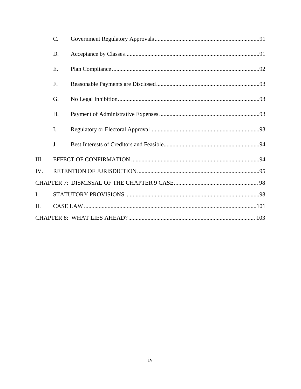|                | C. |  |  |  |  |
|----------------|----|--|--|--|--|
|                | D. |  |  |  |  |
|                | Ε. |  |  |  |  |
|                | F. |  |  |  |  |
|                | G. |  |  |  |  |
|                | H. |  |  |  |  |
|                | I. |  |  |  |  |
|                | J. |  |  |  |  |
| III.           |    |  |  |  |  |
| IV.            |    |  |  |  |  |
|                |    |  |  |  |  |
| $\mathbf{I}$ . |    |  |  |  |  |
| II.            |    |  |  |  |  |
|                |    |  |  |  |  |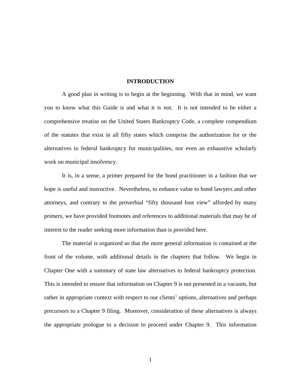#### **INTRODUCTION**

A good plan in writing is to begin at the beginning. With that in mind, we want you to know what this Guide is and what it is not. It is not intended to be either a comprehensive treatise on the United States Bankruptcy Code, a complete compendium of the statutes that exist in all fifty states which comprise the authorization for or the alternatives to federal bankruptcy for municipalities, nor even an exhaustive scholarly work on municipal insolvency.

It is, in a sense, a primer prepared for the bond practitioner in a fashion that we hope is useful and instructive. Nevertheless, to enhance value to bond lawyers and other attorneys, and contrary to the proverbial "fifty thousand foot view" afforded by many primers, we have provided footnotes and references to additional materials that may be of interest to the reader seeking more information than is provided here.

The material is organized so that the more general information is contained at the front of the volume, with additional details in the chapters that follow. We begin in Chapter One with a summary of state law alternatives to federal bankruptcy protection. This is intended to ensure that information on Chapter 9 is not presented in a vacuum, but rather in appropriate context with respect to our clients' options, alternatives and perhaps precursors to a Chapter 9 filing. Moreover, consideration of these alternatives is always the appropriate prologue to a decision to proceed under Chapter 9. This information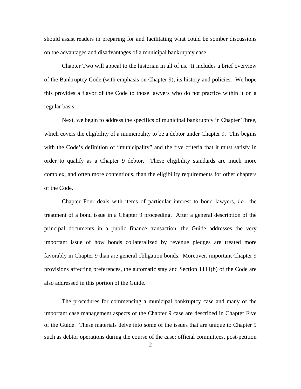should assist readers in preparing for and facilitating what could be somber discussions on the advantages and disadvantages of a municipal bankruptcy case.

Chapter Two will appeal to the historian in all of us. It includes a brief overview of the Bankruptcy Code (with emphasis on Chapter 9), its history and policies. We hope this provides a flavor of the Code to those lawyers who do not practice within it on a regular basis.

Next, we begin to address the specifics of municipal bankruptcy in Chapter Three, which covers the eligibility of a municipality to be a debtor under Chapter 9. This begins with the Code's definition of "municipality" and the five criteria that it must satisfy in order to qualify as a Chapter 9 debtor. These eligibility standards are much more complex, and often more contentious, than the eligibility requirements for other chapters of the Code.

Chapter Four deals with items of particular interest to bond lawyers, *i.e.,* the treatment of a bond issue in a Chapter 9 proceeding. After a general description of the principal documents in a public finance transaction, the Guide addresses the very important issue of how bonds collateralized by revenue pledges are treated more favorably in Chapter 9 than are general obligation bonds. Moreover, important Chapter 9 provisions affecting preferences, the automatic stay and Section 1111(b) of the Code are also addressed in this portion of the Guide.

The procedures for commencing a municipal bankruptcy case and many of the important case management aspects of the Chapter 9 case are described in Chapter Five of the Guide. These materials delve into some of the issues that are unique to Chapter 9 such as debtor operations during the course of the case: official committees, post-petition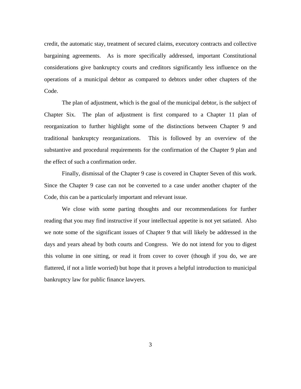credit, the automatic stay, treatment of secured claims, executory contracts and collective bargaining agreements. As is more specifically addressed, important Constitutional considerations give bankruptcy courts and creditors significantly less influence on the operations of a municipal debtor as compared to debtors under other chapters of the Code.

The plan of adjustment, which is the goal of the municipal debtor, is the subject of Chapter Six. The plan of adjustment is first compared to a Chapter 11 plan of reorganization to further highlight some of the distinctions between Chapter 9 and traditional bankruptcy reorganizations. This is followed by an overview of the substantive and procedural requirements for the confirmation of the Chapter 9 plan and the effect of such a confirmation order.

Finally, dismissal of the Chapter 9 case is covered in Chapter Seven of this work. Since the Chapter 9 case can not be converted to a case under another chapter of the Code, this can be a particularly important and relevant issue.

We close with some parting thoughts and our recommendations for further reading that you may find instructive if your intellectual appetite is not yet satiated. Also we note some of the significant issues of Chapter 9 that will likely be addressed in the days and years ahead by both courts and Congress. We do not intend for you to digest this volume in one sitting, or read it from cover to cover (though if you do, we are flattered, if not a little worried) but hope that it proves a helpful introduction to municipal bankruptcy law for public finance lawyers.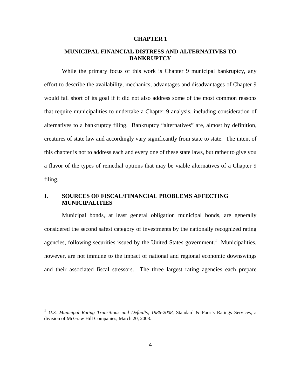#### **CHAPTER 1**

## **MUNICIPAL FINANCIAL DISTRESS AND ALTERNATIVES TO BANKRUPTCY**

While the primary focus of this work is Chapter 9 municipal bankruptcy, any effort to describe the availability, mechanics, advantages and disadvantages of Chapter 9 would fall short of its goal if it did not also address some of the most common reasons that require municipalities to undertake a Chapter 9 analysis, including consideration of alternatives to a bankruptcy filing. Bankruptcy "alternatives" are, almost by definition, creatures of state law and accordingly vary significantly from state to state. The intent of this chapter is not to address each and every one of these state laws, but rather to give you a flavor of the types of remedial options that may be viable alternatives of a Chapter 9 filing.

## **I. SOURCES OF FISCAL/FINANCIAL PROBLEMS AFFECTING MUNICIPALITIES**

Municipal bonds, at least general obligation municipal bonds, are generally considered the second safest category of investments by the nationally recognized rating agencies, following securities issued by the United States government.<sup>1</sup> Municipalities, however, are not immune to the impact of national and regional economic downswings and their associated fiscal stressors. The three largest rating agencies each prepare

<u>.</u>

<sup>&</sup>lt;sup>1</sup> U.S. Municipal Rating Transitions and Defaults, 1986-2008, Standard & Poor's Ratings Services, a division of McGraw Hill Companies, March 20, 2008.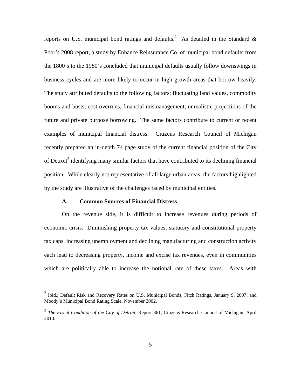reports on U.S. municipal bond ratings and defaults.<sup>2</sup> As detailed in the Standard & Poor's 2008 report, a study by Enhance Reinsurance Co. of municipal bond defaults from the 1800's to the 1980's concluded that municipal defaults usually follow downswings in business cycles and are more likely to occur in high growth areas that borrow heavily. The study attributed defaults to the following factors: fluctuating land values, commodity booms and busts, cost overruns, financial mismanagement, unrealistic projections of the future and private purpose borrowing. The same factors contribute to current or recent examples of municipal financial distress. Citizens Research Council of Michigan recently prepared an in-depth 74 page study of the current financial position of the City of Detroit<sup>3</sup> identifying many similar factors that have contributed to its declining financial position. While clearly not representative of all large urban areas, the factors highlighted by the study are illustrative of the challenges faced by municipal entities.

#### **A. Common Sources of Financial Distress**

 $\overline{a}$ 

On the revenue side, it is difficult to increase revenues during periods of economic crisis. Diminishing property tax values, statutory and constitutional property tax caps, increasing unemployment and declining manufacturing and construction activity each lead to decreasing property, income and excise tax revenues, even in communities which are politically able to increase the notional rate of these taxes. Areas with

<sup>&</sup>lt;sup>2</sup> Ibid.; Default Risk and Recovery Rates on U.S. Municipal Bonds, Fitch Ratings, January 9, 2007; and Moody's Municipal Bond Rating Scale, November 2002.

<sup>3</sup> *The Fiscal Condition of the City of Detroit,* Report 361, Citizens Research Council of Michigan, April 2010.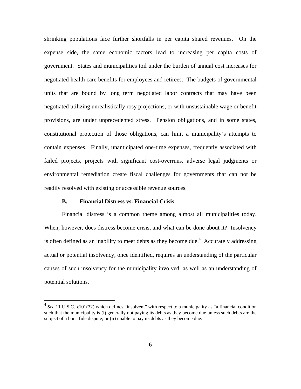shrinking populations face further shortfalls in per capita shared revenues. On the expense side, the same economic factors lead to increasing per capita costs of government. States and municipalities toil under the burden of annual cost increases for negotiated health care benefits for employees and retirees. The budgets of governmental units that are bound by long term negotiated labor contracts that may have been negotiated utilizing unrealistically rosy projections, or with unsustainable wage or benefit provisions, are under unprecedented stress. Pension obligations, and in some states, constitutional protection of those obligations, can limit a municipality's attempts to contain expenses. Finally, unanticipated one-time expenses, frequently associated with failed projects, projects with significant cost-overruns, adverse legal judgments or environmental remediation create fiscal challenges for governments that can not be readily resolved with existing or accessible revenue sources.

#### **B. Financial Distress vs. Financial Crisis**

1

Financial distress is a common theme among almost all municipalities today. When, however, does distress become crisis, and what can be done about it? Insolvency is often defined as an inability to meet debts as they become due.<sup>4</sup> Accurately addressing actual or potential insolvency, once identified, requires an understanding of the particular causes of such insolvency for the municipality involved, as well as an understanding of potential solutions.

<sup>&</sup>lt;sup>4</sup> See 11 U.S.C. §101(32) which defines "insolvent" with respect to a municipality as "a financial condition such that the municipality is (i) generally not paying its debts as they become due unless such debts are the subject of a bona fide dispute; or (ii) unable to pay its debts as they become due."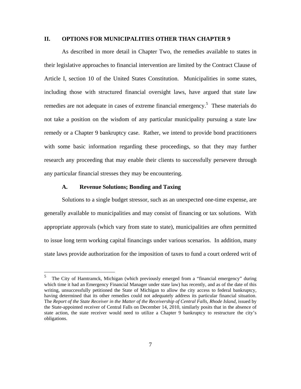#### **II. OPTIONS FOR MUNICIPALITIES OTHER THAN CHAPTER 9**

As described in more detail in Chapter Two, the remedies available to states in their legislative approaches to financial intervention are limited by the Contract Clause of Article I, section 10 of the United States Constitution. Municipalities in some states, including those with structured financial oversight laws, have argued that state law remedies are not adequate in cases of extreme financial emergency.<sup>5</sup> These materials do not take a position on the wisdom of any particular municipality pursuing a state law remedy or a Chapter 9 bankruptcy case. Rather, we intend to provide bond practitioners with some basic information regarding these proceedings, so that they may further research any proceeding that may enable their clients to successfully persevere through any particular financial stresses they may be encountering.

#### **A. Revenue Solutions; Bonding and Taxing**

 $\overline{a}$ 

Solutions to a single budget stressor, such as an unexpected one-time expense, are generally available to municipalities and may consist of financing or tax solutions. With appropriate approvals (which vary from state to state), municipalities are often permitted to issue long term working capital financings under various scenarios. In addition, many state laws provide authorization for the imposition of taxes to fund a court ordered writ of

<sup>5</sup> The City of Hamtramck, Michigan (which previously emerged from a "financial emergency" during which time it had an Emergency Financial Manager under state law) has recently, and as of the date of this writing, unsuccessfully petitioned the State of Michigan to allow the city access to federal bankruptcy, having determined that its other remedies could not adequately address its particular financial situation. The *Report of the State Receiver in the Matter of the Receivership of Central Falls, Rhode Island, issued by* the State-appointed receiver of Central Falls on December 14, 2010, similarly posits that in the absence of state action, the state receiver would need to utilize a Chapter 9 bankruptcy to restructure the city's obligations.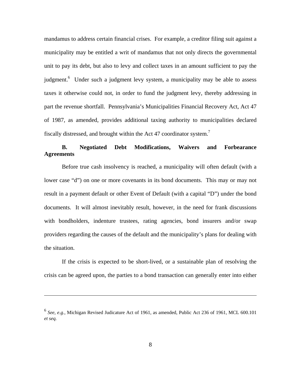mandamus to address certain financial crises. For example, a creditor filing suit against a municipality may be entitled a writ of mandamus that not only directs the governmental unit to pay its debt, but also to levy and collect taxes in an amount sufficient to pay the judgment.<sup>6</sup> Under such a judgment levy system, a municipality may be able to assess taxes it otherwise could not, in order to fund the judgment levy, thereby addressing in part the revenue shortfall. Pennsylvania's Municipalities Financial Recovery Act, Act 47 of 1987, as amended, provides additional taxing authority to municipalities declared fiscally distressed, and brought within the Act 47 coordinator system.<sup>7</sup>

# **B. Negotiated Debt Modifications, Waivers and Forbearance Agreements**

Before true cash insolvency is reached, a municipality will often default (with a lower case "d") on one or more covenants in its bond documents. This may or may not result in a payment default or other Event of Default (with a capital "D") under the bond documents. It will almost inevitably result, however, in the need for frank discussions with bondholders, indenture trustees, rating agencies, bond insurers and/or swap providers regarding the causes of the default and the municipality's plans for dealing with the situation.

If the crisis is expected to be short-lived, or a sustainable plan of resolving the crisis can be agreed upon, the parties to a bond transaction can generally enter into either

<sup>6</sup> *See, e.g.,* Michigan Revised Judicature Act of 1961, as amended, Public Act 236 of 1961, MCL 600.101 *et seq.*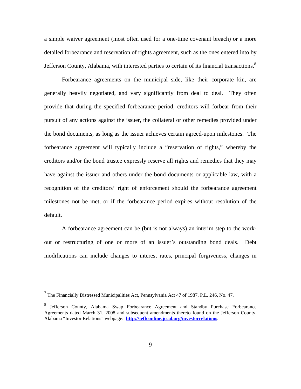a simple waiver agreement (most often used for a one-time covenant breach) or a more detailed forbearance and reservation of rights agreement, such as the ones entered into by Jefferson County, Alabama, with interested parties to certain of its financial transactions.<sup>8</sup>

Forbearance agreements on the municipal side, like their corporate kin, are generally heavily negotiated, and vary significantly from deal to deal. They often provide that during the specified forbearance period, creditors will forbear from their pursuit of any actions against the issuer, the collateral or other remedies provided under the bond documents, as long as the issuer achieves certain agreed-upon milestones. The forbearance agreement will typically include a "reservation of rights," whereby the creditors and/or the bond trustee expressly reserve all rights and remedies that they may have against the issuer and others under the bond documents or applicable law, with a recognition of the creditors' right of enforcement should the forbearance agreement milestones not be met, or if the forbearance period expires without resolution of the default.

A forbearance agreement can be (but is not always) an interim step to the workout or restructuring of one or more of an issuer's outstanding bond deals. Debt modifications can include changes to interest rates, principal forgiveness, changes in

 $\frac{1}{7}$ The Financially Distressed Municipalities Act, Pennsylvania Act 47 of 1987, P.L. 246, No. 47.

<sup>&</sup>lt;sup>8</sup> Jefferson County, Alabama Swap Forbearance Agreement and Standby Purchase Forbearance Agreements dated March 31, 2008 and subsequent amendments thereto found on the Jefferson County, Alabama "Investor Relations" webpage: **http://jeffconline.jccal.org/investorrelations**.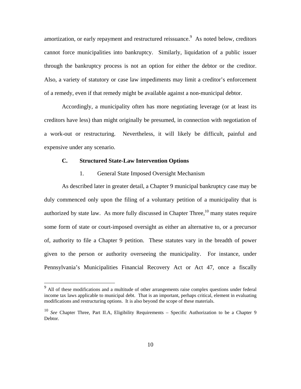amortization, or early repayment and restructured reissuance. As noted below, creditors cannot force municipalities into bankruptcy. Similarly, liquidation of a public issuer through the bankruptcy process is not an option for either the debtor or the creditor. Also, a variety of statutory or case law impediments may limit a creditor's enforcement of a remedy, even if that remedy might be available against a non-municipal debtor.

Accordingly, a municipality often has more negotiating leverage (or at least its creditors have less) than might originally be presumed, in connection with negotiation of a work-out or restructuring. Nevertheless, it will likely be difficult, painful and expensive under any scenario.

#### **C. Structured State-Law Intervention Options**

#### 1. General State Imposed Oversight Mechanism

As described later in greater detail, a Chapter 9 municipal bankruptcy case may be duly commenced only upon the filing of a voluntary petition of a municipality that is authorized by state law. As more fully discussed in Chapter Three,  $10$  many states require some form of state or court-imposed oversight as either an alternative to, or a precursor of, authority to file a Chapter 9 petition. These statutes vary in the breadth of power given to the person or authority overseeing the municipality. For instance, under Pennsylvania's Municipalities Financial Recovery Act or Act 47, once a fiscally

<sup>&</sup>lt;sup>9</sup> All of these modifications and a multitude of other arrangements raise complex questions under federal income tax laws applicable to municipal debt. That is an important, perhaps critical, element in evaluating modifications and restructuring options. It is also beyond the scope of these materials.

<sup>&</sup>lt;sup>10</sup> See Chapter Three, Part II.A, Eligibility Requirements – Specific Authorization to be a Chapter 9 Debtor.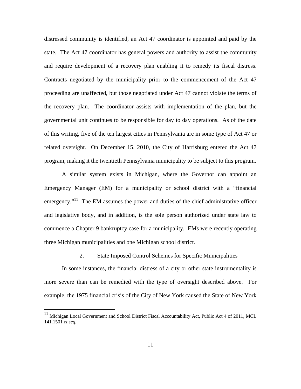distressed community is identified, an Act 47 coordinator is appointed and paid by the state. The Act 47 coordinator has general powers and authority to assist the community and require development of a recovery plan enabling it to remedy its fiscal distress. Contracts negotiated by the municipality prior to the commencement of the Act 47 proceeding are unaffected, but those negotiated under Act 47 cannot violate the terms of the recovery plan. The coordinator assists with implementation of the plan, but the governmental unit continues to be responsible for day to day operations. As of the date of this writing, five of the ten largest cities in Pennsylvania are in some type of Act 47 or related oversight. On December 15, 2010, the City of Harrisburg entered the Act 47 program, making it the twentieth Pennsylvania municipality to be subject to this program.

A similar system exists in Michigan, where the Governor can appoint an Emergency Manager (EM) for a municipality or school district with a "financial emergency."<sup>11</sup> The EM assumes the power and duties of the chief administrative officer and legislative body, and in addition, is the sole person authorized under state law to commence a Chapter 9 bankruptcy case for a municipality. EMs were recently operating three Michigan municipalities and one Michigan school district.

#### 2. State Imposed Control Schemes for Specific Municipalities

In some instances, the financial distress of a city or other state instrumentality is more severe than can be remedied with the type of oversight described above. For example, the 1975 financial crisis of the City of New York caused the State of New York

<sup>11</sup> Michigan Local Government and School District Fiscal Accountability Act, Public Act 4 of 2011, MCL 141.1501 *et seq.*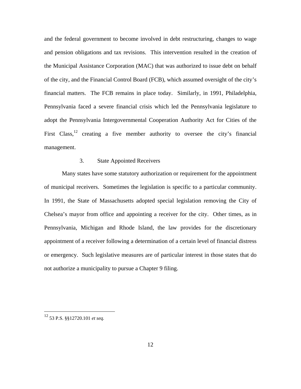and the federal government to become involved in debt restructuring, changes to wage and pension obligations and tax revisions. This intervention resulted in the creation of the Municipal Assistance Corporation (MAC) that was authorized to issue debt on behalf of the city, and the Financial Control Board (FCB), which assumed oversight of the city's financial matters. The FCB remains in place today. Similarly, in 1991, Philadelphia, Pennsylvania faced a severe financial crisis which led the Pennsylvania legislature to adopt the Pennsylvania Intergovernmental Cooperation Authority Act for Cities of the First Class,  $12$  creating a five member authority to oversee the city's financial management.

#### 3. State Appointed Receivers

Many states have some statutory authorization or requirement for the appointment of municipal receivers. Sometimes the legislation is specific to a particular community. In 1991, the State of Massachusetts adopted special legislation removing the City of Chelsea's mayor from office and appointing a receiver for the city. Other times, as in Pennsylvania, Michigan and Rhode Island, the law provides for the discretionary appointment of a receiver following a determination of a certain level of financial distress or emergency. Such legislative measures are of particular interest in those states that do not authorize a municipality to pursue a Chapter 9 filing.

<sup>12 53</sup> P.S. §§12720.101 *et seq.*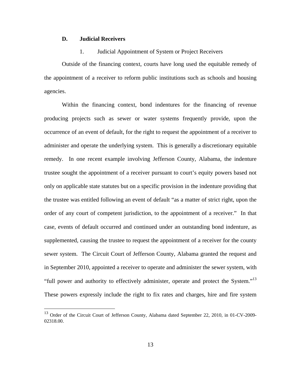#### **D. Judicial Receivers**

1

#### 1. Judicial Appointment of System or Project Receivers

Outside of the financing context, courts have long used the equitable remedy of the appointment of a receiver to reform public institutions such as schools and housing agencies.

Within the financing context, bond indentures for the financing of revenue producing projects such as sewer or water systems frequently provide, upon the occurrence of an event of default, for the right to request the appointment of a receiver to administer and operate the underlying system. This is generally a discretionary equitable remedy. In one recent example involving Jefferson County, Alabama, the indenture trustee sought the appointment of a receiver pursuant to court's equity powers based not only on applicable state statutes but on a specific provision in the indenture providing that the trustee was entitled following an event of default "as a matter of strict right, upon the order of any court of competent jurisdiction, to the appointment of a receiver." In that case, events of default occurred and continued under an outstanding bond indenture, as supplemented, causing the trustee to request the appointment of a receiver for the county sewer system. The Circuit Court of Jefferson County, Alabama granted the request and in September 2010, appointed a receiver to operate and administer the sewer system, with "full power and authority to effectively administer, operate and protect the System."<sup>13</sup> These powers expressly include the right to fix rates and charges, hire and fire system

<sup>&</sup>lt;sup>13</sup> Order of the Circuit Court of Jefferson County, Alabama dated September 22, 2010, in 01-CV-2009-02318.00.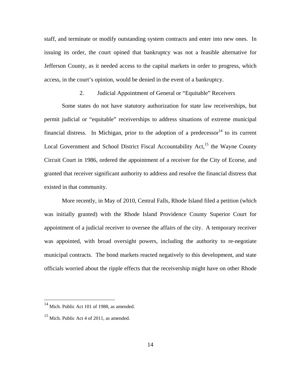staff, and terminate or modify outstanding system contracts and enter into new ones. In issuing its order, the court opined that bankruptcy was not a feasible alternative for Jefferson County, as it needed access to the capital markets in order to progress, which access, in the court's opinion, would be denied in the event of a bankruptcy.

### 2. Judicial Appointment of General or "Equitable" Receivers

Some states do not have statutory authorization for state law receiverships, but permit judicial or "equitable" receiverships to address situations of extreme municipal financial distress. In Michigan, prior to the adoption of a predecessor  $14$  to its current Local Government and School District Fiscal Accountability Act,<sup>15</sup> the Wayne County Circuit Court in 1986, ordered the appointment of a receiver for the City of Ecorse, and granted that receiver significant authority to address and resolve the financial distress that existed in that community.

More recently, in May of 2010, Central Falls, Rhode Island filed a petition (which was initially granted) with the Rhode Island Providence County Superior Court for appointment of a judicial receiver to oversee the affairs of the city. A temporary receiver was appointed, with broad oversight powers, including the authority to re-negotiate municipal contracts. The bond markets reacted negatively to this development, and state officials worried about the ripple effects that the receivership might have on other Rhode

<sup>&</sup>lt;sup>14</sup> Mich. Public Act 101 of 1988, as amended.

<sup>&</sup>lt;sup>15</sup> Mich. Public Act 4 of 2011, as amended.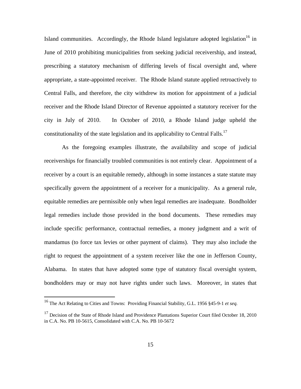Island communities. Accordingly, the Rhode Island legislature adopted legislation<sup>16</sup> in June of 2010 prohibiting municipalities from seeking judicial receivership, and instead, prescribing a statutory mechanism of differing levels of fiscal oversight and, where appropriate, a state-appointed receiver. The Rhode Island statute applied retroactively to Central Falls, and therefore, the city withdrew its motion for appointment of a judicial receiver and the Rhode Island Director of Revenue appointed a statutory receiver for the city in July of 2010. In October of 2010, a Rhode Island judge upheld the constitutionality of the state legislation and its applicability to Central Falls.<sup>17</sup>

As the foregoing examples illustrate, the availability and scope of judicial receiverships for financially troubled communities is not entirely clear. Appointment of a receiver by a court is an equitable remedy, although in some instances a state statute may specifically govern the appointment of a receiver for a municipality. As a general rule, equitable remedies are permissible only when legal remedies are inadequate. Bondholder legal remedies include those provided in the bond documents. These remedies may include specific performance, contractual remedies, a money judgment and a writ of mandamus (to force tax levies or other payment of claims). They may also include the right to request the appointment of a system receiver like the one in Jefferson County, Alabama. In states that have adopted some type of statutory fiscal oversight system, bondholders may or may not have rights under such laws. Moreover, in states that

<sup>16</sup> The Act Relating to Cities and Towns: Providing Financial Stability, G.L. 1956 §45-9-1 *et seq.* 

<sup>&</sup>lt;sup>17</sup> Decision of the State of Rhode Island and Providence Plantations Superior Court filed October 18, 2010 in C.A. No. PB 10-5615, Consolidated with C.A. No. PB 10-5672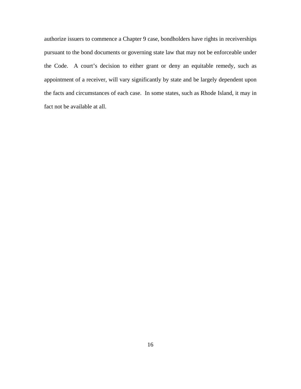authorize issuers to commence a Chapter 9 case, bondholders have rights in receiverships pursuant to the bond documents or governing state law that may not be enforceable under the Code. A court's decision to either grant or deny an equitable remedy, such as appointment of a receiver, will vary significantly by state and be largely dependent upon the facts and circumstances of each case. In some states, such as Rhode Island, it may in fact not be available at all.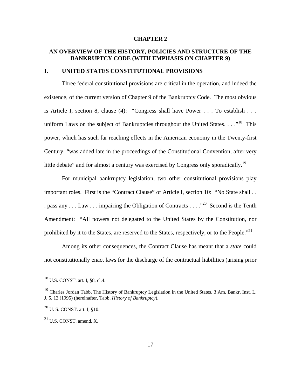#### **CHAPTER 2**

## **AN OVERVIEW OF THE HISTORY, POLICIES AND STRUCTURE OF THE BANKRUPTCY CODE (WITH EMPHASIS ON CHAPTER 9)**

#### **I. UNITED STATES CONSTITUTIONAL PROVISIONS**

Three federal constitutional provisions are critical in the operation, and indeed the existence, of the current version of Chapter 9 of the Bankruptcy Code. The most obvious is Article I, section 8, clause (4): "Congress shall have Power . . . To establish . . . uniform Laws on the subject of Bankruptcies throughout the United States.  $\ldots$ <sup>18</sup> This power, which has such far reaching effects in the American economy in the Twenty-first Century, "was added late in the proceedings of the Constitutional Convention, after very little debate" and for almost a century was exercised by Congress only sporadically.<sup>19</sup>

For municipal bankruptcy legislation, two other constitutional provisions play important roles. First is the "Contract Clause" of Article I, section 10: "No State shall . . . pass any . . . Law . . . impairing the Obligation of Contracts . . . .<sup>20</sup> Second is the Tenth Amendment: "All powers not delegated to the United States by the Constitution, nor prohibited by it to the States, are reserved to the States, respectively, or to the People."<sup>21</sup>

Among its other consequences, the Contract Clause has meant that a *state* could not constitutionally enact laws for the discharge of the contractual liabilities (arising prior

<u>.</u>

 $^{18}$  U.S. CONST. art. I, §8, cl.4.

<sup>&</sup>lt;sup>19</sup> Charles Jordan Tabb, The History of Bankruptcy Legislation in the United States, 3 Am. Bankr. Inst. L. J. 5, 13 (1995) (hereinafter, Tabb, *History of Bankruptcy*).

<sup>20</sup> U. S. CONST. art. I, §10.

 $21$  U.S. CONST. amend. X.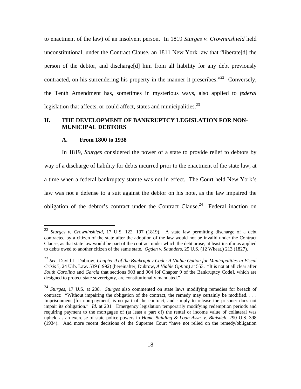to enactment of the law) of an insolvent person. In 1819 *Sturges v. Crowninshield* held unconstitutional, under the Contract Clause, an 1811 New York law that "liberate[d] the person of the debtor, and discharge[d] him from all liability for any debt previously contracted, on his surrendering his property in the manner it prescribes."<sup>22</sup> Conversely, the Tenth Amendment has, sometimes in mysterious ways, also applied to *federal* legislation that affects, or could affect, states and municipalities. $^{23}$ 

#### **II. THE DEVELOPMENT OF BANKRUPTCY LEGISLATION FOR NON-MUNICIPAL DEBTORS**

#### **A. From 1800 to 1938**

 $\overline{a}$ 

In 1819, *Sturges* considered the power of a state to provide relief to debtors by way of a discharge of liability for debts incurred prior to the enactment of the state law, at a time when a federal bankruptcy statute was not in effect. The Court held New York's law was not a defense to a suit against the debtor on his note, as the law impaired the obligation of the debtor's contract under the Contract Clause.<sup>24</sup> Federal inaction on

<sup>22</sup> *Sturges v. Crowninshield,* 17 U.S. 122, 197 (1819). A state law permitting discharge of a debt contracted by a citizen of the state after the adoption of the law would not be invalid under the Contract Clause, as that state law would be part of the contract under which the debt arose, at least insofar as applied to debts owed to another citizen of the same state. *Ogden v. Saunders*, 25 U.S. (12 Wheat.) 213 (1827).

<sup>23</sup> *See,* David L. Dubrow, *Chapter 9 of the Bankruptcy Code: A Viable Option for Municipalities in Fiscal Crisis* ?, 24 Urb. Law. 539 (1992) (hereinafter, Dubrow, *A Viable Option)* at 553. "It is not at all clear after *South Carolina* and *Garcia* that sections 903 and 904 [of Chapter 9 of the Bankruptcy Code], which are designed to protect state sovereignty, are constitutionally mandated."

<sup>24</sup> *Sturges,* 17 U.S. at 208. *Sturges* also commented on state laws modifying remedies for breach of contract: "Without impairing the obligation of the contract, the remedy may certainly be modified. . . . Imprisonment [for non-payment] is no part of the contract, and simply to release the prisoner does not impair its obligation." *Id.* at 201. Emergency legislation temporarily modifying redemption periods and requiring payment to the mortgagee of (at least a part of) the rental or income value of collateral was upheld as an exercise of state police powers in *Home Building & Loan Assn. v. Blaisdell*, 290 U.S. 398 (1934). And more recent decisions of the Supreme Court "have not relied on the remedy/obligation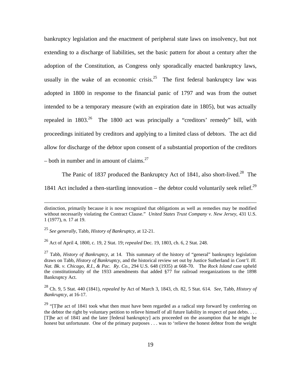bankruptcy legislation and the enactment of peripheral state laws on insolvency, but not extending to a discharge of liabilities, set the basic pattern for about a century after the adoption of the Constitution, as Congress only sporadically enacted bankruptcy laws, usually in the wake of an economic crisis.<sup>25</sup> The first federal bankruptcy law was adopted in 1800 in response to the financial panic of 1797 and was from the outset intended to be a temporary measure (with an expiration date in 1805), but was actually repealed in  $1803<sup>26</sup>$  The 1800 act was principally a "creditors' remedy" bill, with proceedings initiated by creditors and applying to a limited class of debtors. The act did allow for discharge of the debtor upon consent of a substantial proportion of the creditors – both in number and in amount of claims.<sup>27</sup>

The Panic of 1837 produced the Bankruptcy Act of 1841, also short-lived.<sup>28</sup> The

1841 Act included a then-startling innovation – the debtor could voluntarily seek relief.<sup>29</sup>

26 Act of April 4, 1800, c. 19, 2 Stat. 19; *repealed* Dec. 19, 1803, ch. 6, 2 Stat. 248.

27 Tabb, *History of Bankruptcy*, at 14. This summary of the history of "general" bankruptcy legislation draws on Tabb*, History of Bankruptcy*, and the historical review set out by Justice Sutherland in *Cont'l. Ill. Nat. Bk. v. Chicago, R.I., & Pac. Ry. Co.,* 294 U.S. 648 (1935) at 668-70. The *Rock Island* case upheld the constitutionality of the 1933 amendments that added §77 for railroad reorganizations to the 1898 Bankruptcy Act.

28 Ch. 9, 5 Stat. 440 (1841), *repealed by* Act of March 3, 1843, ch. 82, 5 Stat. 614. *See,* Tabb, *History of Bankruptcy,* at 16-17.

distinction, primarily because it is now recognized that obligations as well as remedies may be modified without necessarily violating the Contract Clause." *United States Trust Company v. New Jersey*, 431 U.S. 1 (1977), n. 17 at 19.

<sup>25</sup> *See generally*, Tabb, *History of Bankruptcy*, at 12-21.

<sup>&</sup>lt;sup>29</sup> "[T]he act of 1841 took what then must have been regarded as a radical step forward by conferring on the debtor the right by voluntary petition to relieve himself of all future liability in respect of past debts. . . . [T]he act of 1841 and the later [federal bankruptcy] acts proceeded on the assumption that he might be honest but unfortunate. One of the primary purposes . . . was to 'relieve the honest debtor from the weight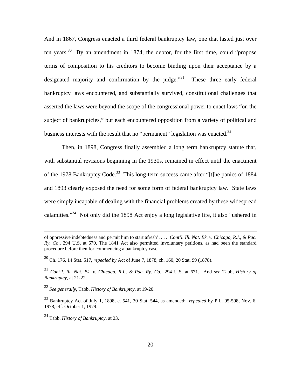And in 1867, Congress enacted a third federal bankruptcy law, one that lasted just over ten years.<sup>30</sup> By an amendment in 1874, the debtor, for the first time, could "propose terms of composition to his creditors to become binding upon their acceptance by a designated majority and confirmation by the judge.<sup>"31</sup> These three early federal bankruptcy laws encountered, and substantially survived, constitutional challenges that asserted the laws were beyond the scope of the congressional power to enact laws "on the subject of bankruptcies," but each encountered opposition from a variety of political and business interests with the result that no "permanent" legislation was enacted. $32$ 

Then, in 1898, Congress finally assembled a long term bankruptcy statute that, with substantial revisions beginning in the 1930s, remained in effect until the enactment of the 1978 Bankruptcy Code.<sup>33</sup> This long-term success came after "[t]he panics of 1884 and 1893 clearly exposed the need for some form of federal bankruptcy law. State laws were simply incapable of dealing with the financial problems created by these widespread calamities."34 Not only did the 1898 Act enjoy a long legislative life, it also "ushered in

of oppressive indebtedness and permit him to start afresh'. . . . *Cont'l. Ill. Nat. Bk. v. Chicago, R.I., & Pac. Ry. Co*.*,* 294 U.S. at 670. The 1841 Act also permitted involuntary petitions, as had been the standard procedure before then for commencing a bankruptcy case.

<sup>30</sup> Ch. 176, 14 Stat. 517, *repealed by* Act of June 7, 1878, ch. 160, 20 Stat. 99 (1878).

<sup>31</sup> *Cont'l. Ill. Nat. Bk. v. Chicago, R.I., & Pac. Ry. Co*., 294 U.S. at 671. And *see* Tabb, *History of Bankruptcy*, at 21-22.

<sup>32</sup> *See generally*, Tabb, *History of Bankruptcy*, at 19-20.

<sup>33</sup> Bankruptcy Act of July 1, 1898, c. 541, 30 Stat. 544, as amended; *repealed* by P.L. 95-598, Nov. 6, 1978, eff. October 1, 1979.

<sup>34</sup> Tabb, *History of Bankruptcy*, at 23.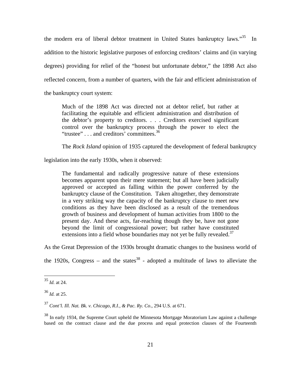the modern era of liberal debtor treatment in United States bankruptcy laws."<sup>35</sup> In addition to the historic legislative purposes of enforcing creditors' claims and (in varying degrees) providing for relief of the "honest but unfortunate debtor," the 1898 Act also reflected concern, from a number of quarters, with the fair and efficient administration of the bankruptcy court system:

Much of the 1898 Act was directed not at debtor relief, but rather at facilitating the equitable and efficient administration and distribution of the debtor's property to creditors. . . . Creditors exercised significant control over the bankruptcy process through the power to elect the "trustee" . . . and creditors' committees.<sup>36</sup>

The *Rock Island* opinion of 1935 captured the development of federal bankruptcy

legislation into the early 1930s, when it observed:

The fundamental and radically progressive nature of these extensions becomes apparent upon their mere statement; but all have been judicially approved or accepted as falling within the power conferred by the bankruptcy clause of the Constitution. Taken altogether, they demonstrate in a very striking way the capacity of the bankruptcy clause to meet new conditions as they have been disclosed as a result of the tremendous growth of business and development of human activities from 1800 to the present day. And these acts, far-reaching though they be, have not gone beyond the limit of congressional power; but rather have constituted extensions into a field whose boundaries may not yet be fully revealed.<sup>37</sup>

As the Great Depression of the 1930s brought dramatic changes to the business world of

the 1920s, Congress – and the states<sup>38</sup> - adopted a multitude of laws to alleviate the

<sup>35</sup> *Id.* at 24.

<sup>36</sup> *Id.* at 25.

<sup>37</sup> *Cont'l. Ill. Nat. Bk. v. Chicago, R.I., & Pac. Ry. Co*., 294 U.S. at 671.

 $38$  In early 1934, the Supreme Court upheld the Minnesota Mortgage Moratorium Law against a challenge based on the contract clause and the due process and equal protection clauses of the Fourteenth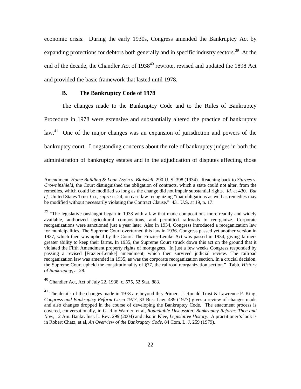economic crisis. During the early 1930s, Congress amended the Bankruptcy Act by expanding protections for debtors both generally and in specific industry sectors.<sup>39</sup> At the end of the decade, the Chandler Act of 1938<sup>40</sup> rewrote, revised and updated the 1898 Act and provided the basic framework that lasted until 1978.

#### **B. The Bankruptcy Code of 1978**

The changes made to the Bankruptcy Code and to the Rules of Bankruptcy Procedure in 1978 were extensive and substantially altered the practice of bankruptcy law.<sup>41</sup> One of the major changes was an expansion of jurisdiction and powers of the bankruptcy court. Longstanding concerns about the role of bankruptcy judges in both the administration of bankruptcy estates and in the adjudication of disputes affecting those

40 Chandler Act, Act of July 22, 1938, c. 575, 52 Stat. 883.

Amendment. *Home Building & Loan Ass'n v. Blaisdell,* 290 U. S. 398 (1934). Reaching back to *Sturges v. Crowninshield*, the Court distinguished the obligation of contracts, which a state could not alter, from the remedies, which could be modified so long as the change did not impair substantial rights. *Id.* at 430. *But cf.* United States Trust Co., *supra* n. 24, on case law recognizing "that obligations as well as remedies may be modified without necessarily violating the Contract Clause." 431 U.S. at 19, n. 17.

<sup>&</sup>lt;sup>39</sup> "The legislative onslaught began in 1933 with a law that made compositions more readily and widely available, authorized agricultural compositions, and permitted railroads to reorganize. Corporate reorganizations were sanctioned just a year later. Also in 1934, Congress introduced a reorganization law for municipalities. The Supreme Court overturned this law in 1936. Congress passed yet another version in 1937, which then was upheld by the Court. The Frazier-Lemke Act was passed in 1934, giving farmers greater ability to keep their farms. In 1935, the Supreme Court struck down this act on the ground that it violated the Fifth Amendment property rights of mortgagees. In just a few weeks Congress responded by passing a revised [Frazier-Lemke] amendment, which then survived judicial review. The railroad reorganization law was amended in 1935, as was the corporate reorganization section. In a crucial decision, the Supreme Court upheld the constitutionality of §77, the railroad reorganization section." Tabb, *History of Bankruptcy*, at 28.

<sup>&</sup>lt;sup>41</sup> The details of the changes made in 1978 are beyond this Primer. J. Ronald Trost & Lawrence P. King, *Congress and Bankruptcy Reform Circa 1977,* 33 Bus. Law. 489 (1977) gives a review of changes made and also changes dropped in the course of developing the Bankruptcy Code. The enactment process is covered, conversationally, in G. Ray Warner, et al, *Roundtable Discussion: Bankruptcy Reform: Then and Now,* 12 Am. Bankr. Inst. L. Rev. 299 (2004) and also in Klee, *Legislative History*. A practitioner's look is in Robert Chatz, et al, *An Overview of the Bankruptcy Code,* 84 Com. L. J. 259 (1979).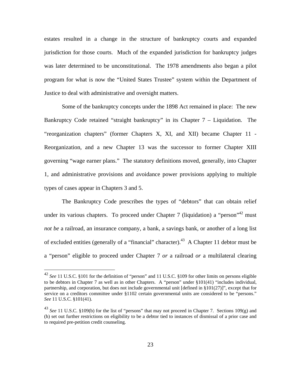estates resulted in a change in the structure of bankruptcy courts and expanded jurisdiction for those courts. Much of the expanded jurisdiction for bankruptcy judges was later determined to be unconstitutional. The 1978 amendments also began a pilot program for what is now the "United States Trustee" system within the Department of Justice to deal with administrative and oversight matters.

Some of the bankruptcy concepts under the 1898 Act remained in place: The new Bankruptcy Code retained "straight bankruptcy" in its Chapter 7 – Liquidation. The "reorganization chapters" (former Chapters X, XI, and XII) became Chapter 11 - Reorganization, and a new Chapter 13 was the successor to former Chapter XIII governing "wage earner plans." The statutory definitions moved, generally, into Chapter 1, and administrative provisions and avoidance power provisions applying to multiple types of cases appear in Chapters 3 and 5.

The Bankruptcy Code prescribes the types of "debtors" that can obtain relief under its various chapters. To proceed under Chapter 7 (liquidation) a "person"<sup>42</sup> must *not be* a railroad, an insurance company, a bank, a savings bank, or another of a long list of excluded entities (generally of a "financial" character).<sup>43</sup> A Chapter 11 debtor must be a "person" eligible to proceed under Chapter 7 *or* a railroad *or* a multilateral clearing

<sup>42</sup> *See* 11 U.S.C. §101 for the definition of "person" and 11 U.S.C. §109 for other limits on persons eligible to be debtors in Chapter 7 as well as in other Chapters. A "person" under §101(41) "includes individual, partnership, and corporation, but does not include governmental unit [defined in §101(27)]", except that for service on a creditors committee under §1102 certain governmental units are considered to be "persons." *See* 11 U.S.C. §101(41).

<sup>&</sup>lt;sup>43</sup> *See* 11 U.S.C. §109(b) for the list of "persons" that may not proceed in Chapter 7. Sections 109(g) and (h) set out further restrictions on eligibility to be a debtor tied to instances of dismissal of a prior case and to required pre-petition credit counseling.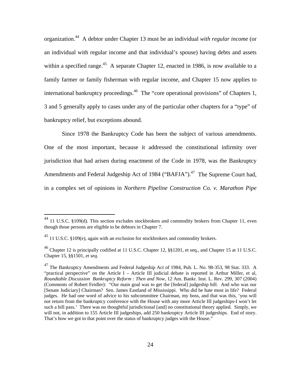organization.44 A debtor under Chapter 13 must be an individual *with regular income* (or an individual with regular income and that individual's spouse) having debts and assets within a specified range.<sup>45</sup> A separate Chapter 12, enacted in 1986, is now available to a family farmer or family fisherman with regular income, and Chapter 15 now applies to international bankruptcy proceedings.<sup>46</sup> The "core operational provisions" of Chapters 1, 3 and 5 generally apply to cases under any of the particular other chapters for a "type" of bankruptcy relief, but exceptions abound.

Since 1978 the Bankruptcy Code has been the subject of various amendments. One of the most important, because it addressed the constitutional infirmity over jurisdiction that had arisen during enactment of the Code in 1978, was the Bankruptcy Amendments and Federal Judgeship Act of 1984 ("BAFJA").<sup>47</sup> The Supreme Court had, in a complex set of opinions in *Northern Pipeline Construction Co. v. Marathon Pipe* 

<u>.</u>

 $^{44}$  11 U.S.C. §109(d). This section excludes stockbrokers and commodity brokers from Chapter 11, even though those persons are eligible to be debtors in Chapter 7.

 $^{45}$  11 U.S.C. §109(e), again with an exclusion for stockbrokers and commodity brokers.

<sup>&</sup>lt;sup>46</sup> Chapter 12 is principally codified at 11 U.S.C. Chapter 12,  $\S$ §1201, et seq., and Chapter 15 at 11 U.S.C. Chapter 15, §§1501, *et seq*.

 $^{47}$  The Bankruptcy Amendments and Federal Judgeship Act of 1984, Pub. L. No. 98-353, 98 Stat. 333. A "practical perspective" on the Article I – Article III judicial debate is reported in Arthur Miller, et al, *Roundtable Discussion Bankruptcy Reform : Then and Now,* 12 Am. Bankr. Inst. L. Rev. 299, 307 (2004) (Comments of Robert Feidler): "Our main goal was to get the [federal] judgeship bill. And who was our [Senate Judiciary] Chairman? Sen. James Eastland of Mississippi. Who did he hate most in life? Federal judges. He had one word of advice to his subcommittee Chairman, my boss, and that was this, 'you will not return from the bankruptcy conference with the House with any more Article III judgeships-I won't let such a bill pass.' There was no thoughtful jurisdictional [and] no constitutional theory applied. Simply, we will not, in addition to 155 Article III judgeships, add 250 bankruptcy Article III judgeships. End of story. That's how we got to that point over the status of bankruptcy judges with the House."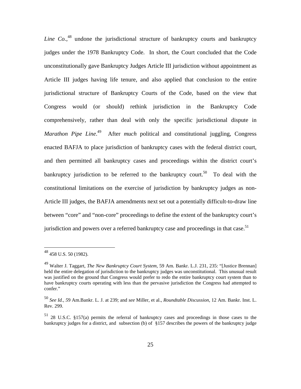Line Co.<sup>48</sup> undone the jurisdictional structure of bankruptcy courts and bankruptcy judges under the 1978 Bankruptcy Code. In short, the Court concluded that the Code unconstitutionally gave Bankruptcy Judges Article III jurisdiction without appointment as Article III judges having life tenure, and also applied that conclusion to the entire jurisdictional structure of Bankruptcy Courts of the Code, based on the view that Congress would (or should) rethink jurisdiction in the Bankruptcy Code comprehensively, rather than deal with only the specific jurisdictional dispute in *Marathon Pipe Line*.<sup>49</sup> After *much* political and constitutional juggling, Congress enacted BAFJA to place jurisdiction of bankruptcy cases with the federal district court, and then permitted all bankruptcy cases and proceedings within the district court's bankruptcy jurisdiction to be referred to the bankruptcy court.<sup>50</sup> To deal with the constitutional limitations on the exercise of jurisdiction by bankruptcy judges as non-Article III judges, the BAFJA amendments next set out a potentially difficult-to-draw line between "core" and "non-core" proceedings to define the extent of the bankruptcy court's jurisdiction and powers over a referred bankruptcy case and proceedings in that case.<sup>51</sup>

<u>.</u>

<sup>48 458</sup> U.S. 50 (1982).

<sup>49</sup> Walter J. Taggart, *The New Bankruptcy Court System,* 59 Am. Bankr. L.J. 231, 235: "[Justice Brennan] held the entire delegation of jurisdiction to the bankruptcy judges was unconstitutional. This unusual result was justified on the ground that Congress would prefer to redo the entire bankruptcy court system than to have bankruptcy courts operating with less than the pervasive jurisdiction the Congress had attempted to confer."

<sup>50</sup> *See Id., 5*9 Am.Bankr. L. J. at 239; and *see* Miller, et al., *Roundtable Discussion*, 12 Am. Bankr. Inst. L. Rev. 299.

<sup>51 28</sup> U.S.C. §157(a) permits the referral of bankruptcy cases and proceedings in those cases to the bankruptcy judges for a district, and subsection (b) of §157 describes the powers of the bankruptcy judge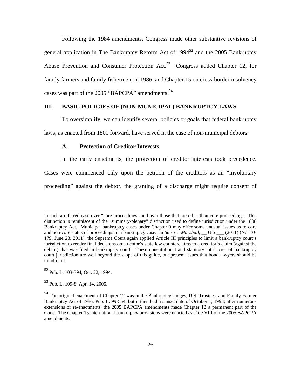Following the 1984 amendments, Congress made other substantive revisions of general application in The Bankruptcy Reform Act of  $1994^{52}$  and the 2005 Bankruptcy Abuse Prevention and Consumer Protection Act.<sup>53</sup> Congress added Chapter 12, for family farmers and family fishermen, in 1986, and Chapter 15 on cross-border insolvency cases was part of the 2005 "BAPCPA" amendments.<sup>54</sup>

#### **III. BASIC POLICIES OF (NON-MUNICIPAL) BANKRUPTCY LAWS**

To oversimplify, we can identify several policies or goals that federal bankruptcy laws, as enacted from 1800 forward, have served in the case of non-municipal debtors:

#### **A. Protection of Creditor Interests**

In the early enactments, the protection of creditor interests took precedence.

Cases were commenced only upon the petition of the creditors as an "involuntary proceeding" against the debtor, the granting of a discharge might require consent of

52 Pub. L. 103-394, Oct. 22, 1994.

53 Pub. L. 109-8, Apr. 14, 2005.

in such a referred case over "core proceedings" and over those that are other than core proceedings. This distinction is reminiscent of the "summary-plenary" distinction used to define jurisdiction under the 1898 Bankruptcy Act. Municipal bankruptcy cases under Chapter 9 may offer some unusual issues as to core and non-core status of proceedings in a bankruptcy case. In *Stern v. Marshall*, \_\_ U.S. \_\_\_ (2011) (No. 10-179, June 23, 2011), the Supreme Court again applied Article III principles to limit a bankruptcy court's jurisdiction to render final decisions on a debtor's state law counterclaims to a creditor's claim (against the debtor) that was filed in bankruptcy court. These constitutional and statutory intricacies of bankruptcy court jurisdiction are well beyond the scope of this guide, but present issues that bond lawyers should be mindful of.

<sup>&</sup>lt;sup>54</sup> The original enactment of Chapter 12 was in the Bankruptcy Judges, U.S. Trustees, and Family Farmer Bankruptcy Act of 1986, Pub. L. 99-554, but it then had a sunset date of October 1, 1993; after numerous extensions or re-enactments, the 2005 BAPCPA amendments made Chapter 12 a permanent part of the Code. The Chapter 15 international bankruptcy provisions were enacted as Title VIII of the 2005 BAPCPA amendments.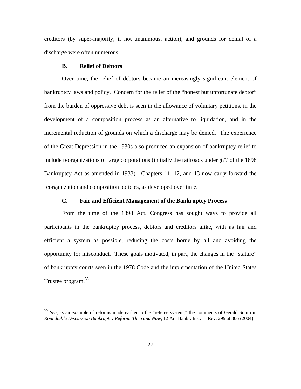creditors (by super-majority, if not unanimous, action), and grounds for denial of a discharge were often numerous.

#### **B. Relief of Debtors**

 $\overline{a}$ 

Over time, the relief of debtors became an increasingly significant element of bankruptcy laws and policy. Concern for the relief of the "honest but unfortunate debtor" from the burden of oppressive debt is seen in the allowance of voluntary petitions, in the development of a composition process as an alternative to liquidation, and in the incremental reduction of grounds on which a discharge may be denied. The experience of the Great Depression in the 1930s also produced an expansion of bankruptcy relief to include reorganizations of large corporations (initially the railroads under §77 of the 1898 Bankruptcy Act as amended in 1933). Chapters 11, 12, and 13 now carry forward the reorganization and composition policies, as developed over time.

#### **C. Fair and Efficient Management of the Bankruptcy Process**

From the time of the 1898 Act, Congress has sought ways to provide all participants in the bankruptcy process, debtors and creditors alike, with as fair and efficient a system as possible, reducing the costs borne by all and avoiding the opportunity for misconduct. These goals motivated, in part, the changes in the "stature" of bankruptcy courts seen in the 1978 Code and the implementation of the United States Trustee program.<sup>55</sup>

<sup>55</sup> *See,* as an example of reforms made earlier to the "referee system," the comments of Gerald Smith in *Roundtable Discussion Bankruptcy Reform: Then and Now*, 12 Am Bankr. Inst. L. Rev. 299 at 306 (2004).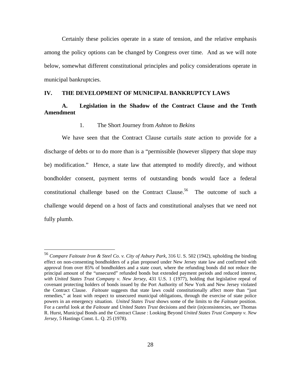Certainly these policies operate in a state of tension, and the relative emphasis among the policy options can be changed by Congress over time. And as we will note below, somewhat different constitutional principles and policy considerations operate in municipal bankruptcies.

#### **IV. THE DEVELOPMENT OF MUNICIPAL BANKRUPTCY LAWS**

# **A. Legislation in the Shadow of the Contract Clause and the Tenth Amendment**

#### 1. The Short Journey from *Ashton* to *Bekins*

We have seen that the Contract Clause curtails *state* action to provide for a discharge of debts or to do more than is a "permissible (however slippery that slope may be) modification." Hence, a state law that attempted to modify directly, and without bondholder consent, payment terms of outstanding bonds would face a federal constitutional challenge based on the Contract Clause.<sup>56</sup> The outcome of such a challenge would depend on a host of facts and constitutional analyses that we need not fully plumb.

<sup>56</sup> *Compare Faitoute Iron & Steel Co. v. City of Asbury Park*, 316 U. S. 502 (1942), upholding the binding effect on non-consenting bondholders of a plan proposed under New Jersey state law and confirmed with approval from over 85% of bondholders and a state court, where the refunding bonds did not reduce the principal amount of the "unsecured" refunded bonds but extended payment periods and reduced interest, *with United States Trust Company v. New Jersey*, 431 U.S. 1 (1977), holding that legislative repeal of covenant protecting holders of bonds issued by the Port Authority of New York and New Jersey violated the Contract Clause. *Faitoute* suggests that state laws could constitutionally affect more than "just remedies," at least with respect to unsecured municipal obligations, through the exercise of state police powers in an emergency situation. *United States Trust* shows some of the limits to the *Faitoute* position. For a careful look at the *Faitoute* and *United States Trust* decisions and their (in)consistencies, *see* Thomas R. Hurst, Municipal Bonds and the Contract Clause : Looking Beyond *United States Trust Company v. New Jersey*, 5 Hastings Const. L. Q. 25 (1978).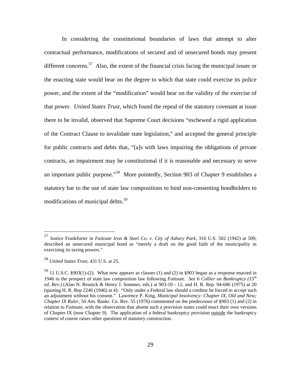In considering the constitutional boundaries of laws that attempt to alter contractual performance, modifications of secured and of unsecured bonds may present different concerns.<sup>57</sup> Also, the extent of the financial crisis facing the municipal issuer or the enacting state would bear on the degree to which that state could exercise its police power, and the extent of the "modification" would bear on the validity of the exercise of that power. *United States Trust*, which found the repeal of the statutory covenant at issue there to be invalid, observed that Supreme Court decisions "eschewed a rigid application of the Contract Clause to invalidate state legislation," and accepted the general principle for public contracts and debts that, "[a]s with laws impairing the obligations of private contracts, an impairment may be constitutional if it is reasonable and necessary to serve an important public purpose."58 More pointedly, Section 903 of Chapter 9 establishes a statutory bar to the use of state law compositions to bind non-consenting bondholders to modifications of municipal debts.<sup>59</sup>

1

<sup>57</sup> Justice Frankfurter in *Faitoute Iron & Steel Co. v. City of Asbury Park*, 316 U.S. 502 (1942) at 509, described an unsecured municipal bond as "merely a draft on the good faith of the municipality in exercising its taxing powers."

<sup>58</sup> *United States Trust*, 431 U.S. at 25.

<sup>59 11</sup> U.S.C. §903(1)-(2). What now appears as clauses (1) and (2) in §903 began as a response enacted in 1946 to the prospect of state law composition law following *Faitoute. See* 6 *Collier on Bankruptcy (15th ed. Rev.)* (Alan N. Resnick & Henry J. Sommer, eds.) at 903-10 - 12, and H. R. Rep. 94-686 (1975) at 20 (quoting H. R. Rep 2246 (1946) at 4): "Only under a Federal law should a creditor be forced to accept such an adjustment without his consent." Lawrence P. King, *Municipal Insolvency: Chapter IX, Old and New; Chapter IX Ruler*, 50 Am. Bankr. Co. Rev. 55 (1976) commented on the predecessor of §903 (1) and (2) in relation to *Faitoute*, with the observation that absent such a provision states could enact their own versions of Chapter IX (now Chapter 9). The application of a federal bankruptcy provision outside the bankruptcy context of course raises other questions of statutory construction.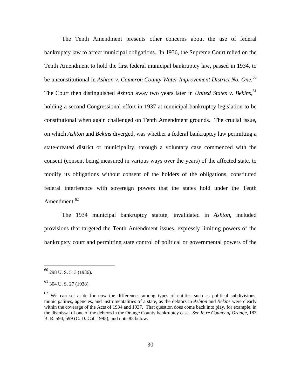The Tenth Amendment presents other concerns about the use of federal bankruptcy law to affect municipal obligations. In 1936, the Supreme Court relied on the Tenth Amendment to hold the first federal municipal bankruptcy law, passed in 1934, to be unconstitutional in *Ashton v. Cameron County Water Improvement District No. One*. 60 The Court then distinguished *Ashton* away two years later in *United States v. Bekins*, 61 holding a second Congressional effort in 1937 at municipal bankruptcy legislation to be constitutional when again challenged on Tenth Amendment grounds. The crucial issue, on which *Ashton* and *Bekins* diverged, was whether a federal bankruptcy law permitting a state-created district or municipality, through a voluntary case commenced with the consent (consent being measured in various ways over the years) of the affected state, to modify its obligations without consent of the holders of the obligations, constituted federal interference with sovereign powers that the states hold under the Tenth Amendment. $62$ 

The 1934 municipal bankruptcy statute, invalidated in *Ashton*, included provisions that targeted the Tenth Amendment issues, expressly limiting powers of the bankruptcy court and permitting state control of political or governmental powers of the

 $^{60}$  298 U.S. 513 (1936).

 $^{61}$  304 U.S. 27 (1938).

 $62$  We can set aside for now the differences among types of entities such as political subdivisions, municipalities, agencies, and instrumentalities of a state, as the debtors in *Ashton* and *Bekins* were clearly within the coverage of the Acts of 1934 and 1937. That question does come back into play, for example, in the dismissal of one of the debtors in the Orange County bankruptcy case. *See In re County of Orange*, 183 B. R. 594, 599 (C. D. Cal. 1995), and note 85 below.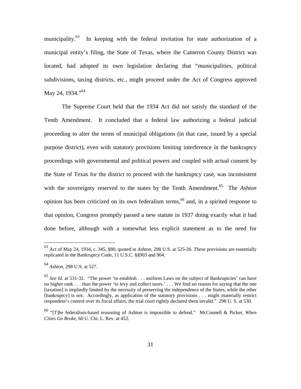municipality.<sup>63</sup> In keeping with the federal invitation for state authorization of a municipal entity's filing, the State of Texas, where the Cameron County District was located, had adopted its own legislation declaring that "municipalities, political subdivisions, taxing districts, etc., might proceed under the Act of Congress approved May 24, 1934."<sup>64</sup>

The Supreme Court held that the 1934 Act did not satisfy the standard of the Tenth Amendment. It concluded that a federal law authorizing a federal judicial proceeding to alter the terms of municipal obligations (in that case, issued by a special purpose district), even with statutory provisions limiting interference in the bankruptcy proceedings with governmental and political powers and coupled with actual consent by the State of Texas for the district to proceed with the bankruptcy case, was inconsistent with the sovereignty reserved to the states by the Tenth Amendment.<sup>65</sup> The *Ashton* opinion has been criticized on its own federalism terms,  $66$  and, in a spirited response to that opinion, Congress promptly passed a new statute in 1937 doing exactly what it had done before, although with a somewhat less explicit statement as to the need for

<sup>63</sup> Act of May 24, 1934, c. 345, §80, quoted in *Ashton,* 298 U.S. at 525-26. These provisions are essentially replicated in the Bankruptcy Code, 11 U.S.C. §§903 and 904.

<sup>64</sup> *Ashton,* 298 U.S. at 527.

<sup>65</sup> *See Id.* at 531-32. "The power 'to establish . . . uniform Laws on the subject of Bankruptcies' can have no higher rank . . . than the power 'to levy and collect taxes.' . . . We find no reason for saying that the one [taxation] is impliedly limited by the necessity of preserving the independence of the States, while the other [bankruptcy] is not. Accordingly, as application of the statutory provisions . . . might materially restrict respondent's control over its fiscal affairs, the trial court rightly declared them invalid." 298 U. S. at 530.

<sup>66 &</sup>quot;[T]he federalism-based reasoning of Ashton is impossible to defend." McConnell & Picker, *When Cities Go Broke,* 60 U. Chi. L. Rev. at 452.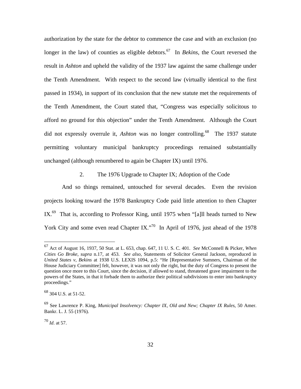authorization by the state for the debtor to commence the case and with an exclusion (no longer in the law) of counties as eligible debtors.<sup>67</sup> In *Bekins*, the Court reversed the result in *Ashton* and upheld the validity of the 1937 law against the same challenge under the Tenth Amendment. With respect to the second law (virtually identical to the first passed in 1934), in support of its conclusion that the new statute met the requirements of the Tenth Amendment, the Court stated that, "Congress was especially solicitous to afford no ground for this objection" under the Tenth Amendment. Although the Court did not expressly overrule it, *Ashton* was no longer controlling.<sup>68</sup> The 1937 statute permitting voluntary municipal bankruptcy proceedings remained substantially unchanged (although renumbered to again be Chapter IX) until 1976.

2. The 1976 Upgrade to Chapter IX; Adoption of the Code

And so things remained, untouched for several decades. Even the revision projects looking toward the 1978 Bankruptcy Code paid little attention to then Chapter IX.<sup>69</sup> That is, according to Professor King, until 1975 when "[a]ll heads turned to New York City and some even read Chapter IX."<sup>70</sup> In April of 1976, just ahead of the 1978

<sup>70</sup> *Id*. at 57.

1

<sup>67</sup> Act of August 16, 1937, 50 Stat. at L. 653, chap. 647, 11 U. S. C. 401. *See* McConnell & Picker, *When Cities Go Broke*, *supra* n.17, at 453. *See also*, Statements of Solicitor General Jackson, reproduced in *United States v, Bekins* at 1938 U.S. LEXIS 1094, p.5: "He [Representative Sumners, Chairman of the House Judiciary Committee] felt, however, it was not only the right, but the duty of Congress to present the question once more to this Court, since the decision, if allowed to stand, threatened grave impairment to the powers of the States, in that it forbade them to authorize their political subdivisions to enter into bankruptcy proceedings."

<sup>68 304</sup> U.S. at 51-52.

<sup>69</sup> See Lawrence P. King, *Municipal Insolvency: Chapter IX, Old and New; Chapter IX Rules*, 50 Amer. Bankr. L. J. 55 (1976).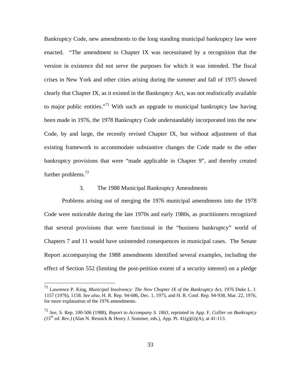Bankruptcy Code, new amendments to the long standing municipal bankruptcy law were enacted. "The amendment to Chapter IX was necessitated by a recognition that the version in existence did not serve the purposes for which it was intended. The fiscal crises in New York and other cities arising during the summer and fall of 1975 showed clearly that Chapter IX, as it existed in the Bankruptcy Act, was not realistically available to major public entities."<sup>71</sup> With such an upgrade to municipal bankruptcy law having been made in 1976, the 1978 Bankruptcy Code understandably incorporated into the new Code, by and large, the recently revised Chapter IX, but without adjustment of that existing framework to accommodate substantive changes the Code made to the other bankruptcy provisions that were "made applicable in Chapter 9", and thereby created further problems.<sup>72</sup>

## 3. The 1988 Municipal Bankruptcy Amendments

Problems arising out of merging the 1976 municipal amendments into the 1978 Code were noticeable during the late 1970s and early 1980s, as practitioners recognized that several provisions that were functional in the "business bankruptcy" world of Chapters 7 and 11 would have unintended consequences in municipal cases. The Senate Report accompanying the 1988 amendments identified several examples, including the effect of Section 552 (limiting the post-petition extent of a security interest) on a pledge

<sup>71</sup> Lawrence P. King, *Municipal Insolvency: The New Chapter IX of the Bankruptcy Act,* 1976 Duke L. J. 1157 (1976), 1158. *See also,* H. R. Rep. 94-686, Dec. 1, 1975, and H. R. Conf. Rep. 94-938, Mar. 22, 1976, for more explanation of the 1976 amendments.

<sup>72</sup> *See,* S. Rep. 100-506 (1988), *Report to Accompany S. 1863*, reprinted in App. F, *Collier on Bankruptcy*   $(15<sup>th</sup>$  ed. Rev.) (Alan N. Resnick & Henry J. Sommer, eds.), App. Pt.  $41(g)(ii)(A)$ , at  $41-113$ .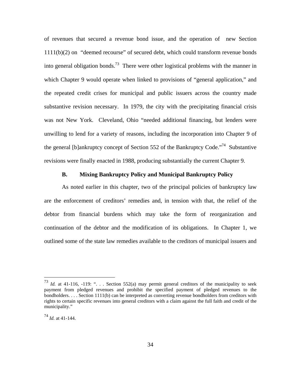of revenues that secured a revenue bond issue, and the operation of new Section 1111(b)(2) on "deemed recourse" of secured debt, which could transform revenue bonds into general obligation bonds.<sup>73</sup> There were other logistical problems with the manner in which Chapter 9 would operate when linked to provisions of "general application," and the repeated credit crises for municipal and public issuers across the country made substantive revision necessary. In 1979, the city with the precipitating financial crisis was not New York. Cleveland, Ohio "needed additional financing, but lenders were unwilling to lend for a variety of reasons, including the incorporation into Chapter 9 of the general [b]ankruptcy concept of Section 552 of the Bankruptcy Code.<sup> $74$ </sup> Substantive revisions were finally enacted in 1988, producing substantially the current Chapter 9.

# **B. Mixing Bankruptcy Policy and Municipal Bankruptcy Policy**

As noted earlier in this chapter, two of the principal policies of bankruptcy law are the enforcement of creditors' remedies and, in tension with that, the relief of the debtor from financial burdens which may take the form of reorganization and continuation of the debtor and the modification of its obligations. In Chapter 1, we outlined some of the state law remedies available to the creditors of municipal issuers and

<sup>&</sup>lt;sup>73</sup> *Id.* at 41-116, -119: "... Section 552(a) may permit general creditors of the municipality to seek payment from pledged revenues and prohibit the specified payment of pledged revenues to the bondholders. . . . Section 1111(b) can be interpreted as converting revenue bondholders from creditors with rights to certain specific revenues into general creditors with a claim against the full faith and credit of the municipality."

<sup>74</sup> *Id.* at 41-144.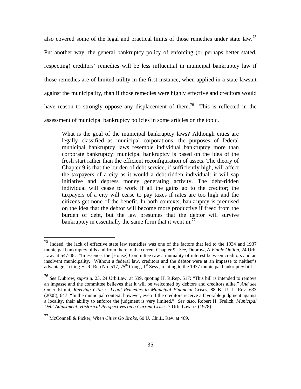also covered some of the legal and practical limits of those remedies under state law.75 Put another way, the general bankruptcy policy of enforcing (or perhaps better stated, respecting) creditors' remedies will be less influential in municipal bankruptcy law if those remedies are of limited utility in the first instance, when applied in a state lawsuit against the municipality, than if those remedies were highly effective and creditors would have reason to strongly oppose any displacement of them.<sup>76</sup> This is reflected in the assessment of municipal bankruptcy policies in some articles on the topic.

What is the goal of the municipal bankruptcy laws? Although cities are legally classified as municipal corporations, the purposes of federal municipal bankruptcy laws resemble individual bankruptcy more than corporate bankruptcy: municipal bankruptcy is based on the idea of the fresh start rather than the efficient reconfiguration of assets. The theory of Chapter 9 is that the burden of debt service, if sufficiently high, will affect the taxpayers of a city as it would a debt-ridden individual: it will sap initiative and depress money generating activity. The debt-ridden individual will cease to work if all the gains go to the creditor; the taxpayers of a city will cease to pay taxes if rates are too high and the citizens get none of the benefit. In both contexts, bankruptcy is premised on the idea that the debtor will become more productive if freed from the burden of debt, but the law presumes that the debtor will survive bankruptcy in essentially the same form that it went in.<sup>77</sup>

 $75$  Indeed, the lack of effective state law remedies was one of the factors that led to the 1934 and 1937 municipal bankruptcy bills and from there to the current Chapter 9. *See*, Dubrow, *A Viable Option,* 24 Urb. Law. at 547-48: "In essence, the [House] Committee saw a mutuality of interest between creditors and an insolvent municipality. Without a federal law, creditors and the debtor were at an impasse to neither's advantage," citing H. R. Rep No. 517,  $75<sup>th</sup>$  Cong., 1<sup>st</sup> Sess., relating to the 1937 municipal bankruptcy bill.

<sup>76</sup> *See* Dubrow, *supra* n. 23, 24 Urb.Law. at 539, quoting H. R.Rep. 517: "This bill is intended to remove an impasse and the committee believes that it will be welcomed by debtors and creditors alike." *And see* Omer Kimhi, *Reviving Cities: Legal Remedies to Municipal Financial Crises*, 88 B. U. L. Rev. 633 (2008), 647: "In the municipal context, however, even if the creditors receive a favorable judgment against a locality, their ability to enforce the judgment is very limited." *See also,* Robert H. Frelich, *Municipal Debt Adjustment: Historical Perspectives on a Current Crisis,* 7 Urb. Law. ix (1978).

<sup>77</sup> McConnell & Picker, *When Cities Go Broke*, 60 U. Chi.L. Rev. at 469.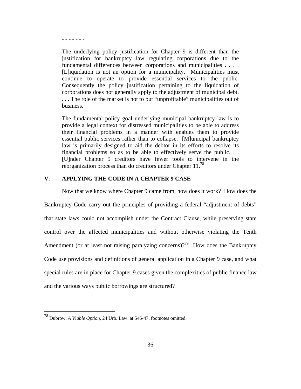- - - - - - -

The underlying policy justification for Chapter 9 is different than the justification for bankruptcy law regulating corporations due to the fundamental differences between corporations and municipalities . . . . [L]iquidation is not an option for a municipality. Municipalities must continue to operate to provide essential services to the public. Consequently the policy justification pertaining to the liquidation of corporations does not generally apply to the adjustment of municipal debt. . . . The role of the market is not to put "unprofitable" municipalities out of business.

The fundamental policy goal underlying municipal bankruptcy law is to provide a legal context for distressed municipalities to be able to address their financial problems in a manner with enables them to provide essential public services rather than to collapse. [M]unicipal bankruptcy law is primarily designed to aid the debtor in its efforts to resolve its financial problems so as to be able to effectively serve the public. . . [U]nder Chapter 9 creditors have fewer tools to intervene in the reorganization process than do creditors under Chapter 11.78

# **V. APPLYING THE CODE IN A CHAPTER 9 CASE**

Now that we know where Chapter 9 came from, how does it work? How does the

Bankruptcy Code carry out the principles of providing a federal "adjustment of debts" that state laws could not accomplish under the Contract Clause, while preserving state control over the affected municipalities and without otherwise violating the Tenth Amendment (or at least not raising paralyzing concerns)?<sup>79</sup> How does the Bankruptcy Code use provisions and definitions of general application in a Chapter 9 case, and what special rules are in place for Chapter 9 cases given the complexities of public finance law and the various ways public borrowings are structured?

1

<sup>78</sup> Dubrow, *A Viable Option,* 24 Urb. Law. at 546-47, footnotes omitted.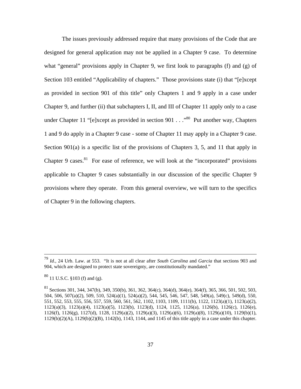The issues previously addressed require that many provisions of the Code that are designed for general application may not be applied in a Chapter 9 case. To determine what "general" provisions apply in Chapter 9, we first look to paragraphs (f) and (g) of Section 103 entitled "Applicability of chapters." Those provisions state (i) that "[e]xcept as provided in section 901 of this title" only Chapters 1 and 9 apply in a case under Chapter 9, and further (ii) that subchapters I, II, and III of Chapter 11 apply only to a case under Chapter 11 "[e]xcept as provided in section  $901 \ldots$ ."<sup>80</sup> Put another way, Chapters 1 and 9 do apply in a Chapter 9 case - some of Chapter 11 may apply in a Chapter 9 case. Section 901(a) is a specific list of the provisions of Chapters 3, 5, and 11 that apply in Chapter 9 cases. <sup>81</sup> For ease of reference, we will look at the "incorporated" provisions applicable to Chapter 9 cases substantially in our discussion of the specific Chapter 9 provisions where they operate. From this general overview, we will turn to the specifics of Chapter 9 in the following chapters.

 <sup>79</sup> *Id.,* 24 Urb. Law. at 553. "It is not at all clear after *South Carolina* and *Garcia* that sections 903 and 904, which are designed to protect state sovereignty, are constitutionally mandated."

<sup>80 11</sup> U.S.C. §103 (f) and (g).

<sup>&</sup>lt;sup>81</sup> Sections 301, 344, 347(b), 349, 350(b), 361, 362, 364(c), 364(d), 364(e), 364(f), 365, 366, 501, 502, 503, 504, 506, 507(a)(2), 509, 510, 524(a)(1), 524(a)(2), 544, 545, 546, 547, 548, 549(a), 549(c), 549(d), 550, 551, 552, 553, 555, 556, 557, 559, 560, 561, 562, 1102, 1103, 1109, 1111(b), 1122, 1123(a)(1), 1123(a)(2), 1123(a)(3), 1123(a)(4), 1123(a)(5), 1123(b), 1123(d), 1124, 1125, 1126(a), 1126(b), 1126(c), 1126(e), 1126(f), 1126(g), 1127(d), 1128, 1129(a)(2), 1129(a)(3), 1129(a)(6), 1129(a)(8), 1129(a)(10), 1129(b)(1), 1129(b)(2)(A), 1129(b)(2)(B), 1142(b), 1143, 1144, and 1145 of this title apply in a case under this chapter.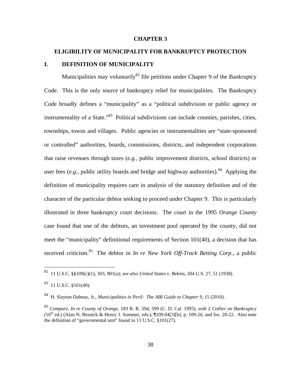#### **CHAPTER 3**

## **ELIGIBILITY OF MUNICIPALITY FOR BANKRUPTCY PROTECTION**

### **I. DEFINITION OF MUNICIPALITY**

Municipalities may voluntarily<sup>82</sup> file petitions under Chapter 9 of the Bankruptcy Code. This is the only source of bankruptcy relief for municipalities. The Bankruptcy Code broadly defines a "municipality" as a "political subdivision or public agency or instrumentality of a State."<sup>83</sup> Political subdivisions can include counties, parishes, cities, townships, towns and villages. Public agencies or instrumentalities are "state-sponsored or controlled" authorities, boards, commissions, districts, and independent corporations that raise revenues through taxes (*e.g.*, public improvement districts, school districts) or user fees  $(e.g.,$  public utility boards and bridge and highway authorities).<sup>84</sup> Applying the definition of municipality requires care in analysis of the statutory definition and of the character of the particular debtor seeking to proceed under Chapter 9. This is particularly illustrated in three bankruptcy court decisions. The court in the 1995 *Orange County* case found that one of the debtors, an investment pool operated by the county, did not meet the "municipality" definitional requirements of Section 101(40), a decision that has received criticism.85 The debtor in *In re New York Off-Track Betting Corp*., a public

1

<sup>82 11</sup> U.S.C. §§109(c)(1), 303, 901(a); *see also United States v. Bekins*, 304 U.S. 27, 51 (1938).

 $83$  11 U.S.C. §101(40).

<sup>84</sup> H. Slayton Dabnay, Jr., *Municipalities in Peril: The ABI Guide to Chapter 9,* 15 (2010).

<sup>85</sup> *Compare, In re County of Orange*, 183 B. R. 594, 599 (C. D. Cal. 1995), *with* 2 *Collier on Bankruptcy*   $(16<sup>th</sup> ed.)$  (Alan N. Resnick & Henry J. Sommer, eds.),  $[109.04[3][b], p. 109-26$ , and fns. 20-22. Also note the definition of "governmental unit" found in 11 U.S.C. §101(27).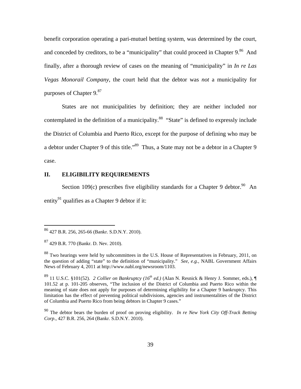benefit corporation operating a pari-mutuel betting system, was determined by the court, and conceded by creditors, to be a "municipality" that could proceed in Chapter 9.<sup>86</sup> And finally, after a thorough review of cases on the meaning of "municipality" in *In re Las Vegas Monorail Company*, the court held that the debtor was *not* a municipality for purposes of Chapter  $9.87$ 

States are not municipalities by definition; they are neither included nor contemplated in the definition of a municipality.<sup>88</sup> "State" is defined to expressly include the District of Columbia and Puerto Rico, except for the purpose of defining who may be a debtor under Chapter 9 of this title."<sup>89</sup> Thus, a State may not be a debtor in a Chapter 9 case.

# **II. ELIGIBILITY REQUIREMENTS**

Section 109(c) prescribes five eligibility standards for a Chapter 9 debtor.<sup>90</sup> An entity<sup>91</sup> qualifies as a Chapter 9 debtor if it:

<sup>86 427</sup> B.R. 256, 265-66 (Bankr. S.D.N.Y. 2010).

<sup>87 429</sup> B.R. 770 (Bankr. D. Nev. 2010).

<sup>88</sup> Two hearings were held by subcommittees in the U.S. House of Representatives in February, 2011, on the question of adding "state" to the definition of "municipality." *See*, *e.g.,* NABL Government Affairs News of February 4, 2011 at http://www.nabl.org/newsroom/1103.

<sup>89 11</sup> U.S.C. §101(52). *2 Collier on Bankruptcy (16<sup>th</sup> ed.)* (Alan N. Resnick & Henry J. Sommer, eds.), ¶ 101.52 at p. 101-205 observes, "The inclusion of the District of Columbia and Puerto Rico within the meaning of state does not apply for purposes of determining eligibility for a Chapter 9 bankruptcy. This limitation has the effect of preventing political subdivisions, agencies and instrumentalities of the District of Columbia and Puerto Rico from being debtors in Chapter 9 cases."

<sup>90</sup> The debtor bears the burden of proof on proving eligibility. *In re New York City Off-Track Betting Corp*., 427 B.R. 256, 264 (Bankr. S.D.N.Y. 2010).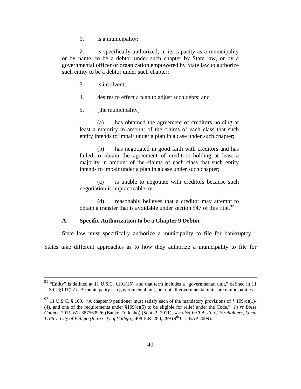1. is a municipality;

2. is specifically authorized, in its capacity as a municipality or by name, to be a debtor under such chapter by State law, or by a governmental officer or organization empowered by State law to authorize such entity to be a debtor under such chapter;

- 3. is insolvent;
- 4. desires to effect a plan to adjust such debts; and
- 5. [the municipality]

(a) has obtained the agreement of creditors holding at least a majority in amount of the claims of each class that such entity intends to impair under a plan in a case under such chapter;

(b) has negotiated in good faith with creditors and has failed to obtain the agreement of creditors holding at least a majority in amount of the claims of each class that such entity intends to impair under a plan in a case under such chapter;

(c) is unable to negotiate with creditors because such negotiation is impracticable; or

(d) reasonably believes that a creditor may attempt to obtain a transfer that is avoidable under section 547 of this title.<sup>92</sup>

## **A. Specific Authorization to be a Chapter 9 Debtor.**

State law must specifically authorize a municipality to file for bankruptcy.<sup>93</sup>

States take different approaches as to how they authorize a municipality to file for

 <sup>91 &</sup>quot;Entity" is defined at 11 U.S.C. §101(15), and that term includes a "governmental unit," defined in 11 U.S.C. §101(27). A municipality is a governmental unit, but not all governmental units are municipalities.

<sup>&</sup>lt;sup>92</sup> 11 U.S.C. § 109. "A chapter 9 petitioner must satisfy each of the mandatory provisions of § 109(c)(1)-(4), and one of the requirements under §109(c)(5) to be eligible for relief under the Code." *In re Boise County*, 2011 WL 3875639\*6 (Bankr. D. Idaho) (Sept. 2, 2011); *see also Int'l Ass'n of Firefighters, Local 1186 v. City of Vallejo (In re City of Vallejo)*, 408 B.R. 280, 289 (9<sup>th</sup> Cir. BAP 2009).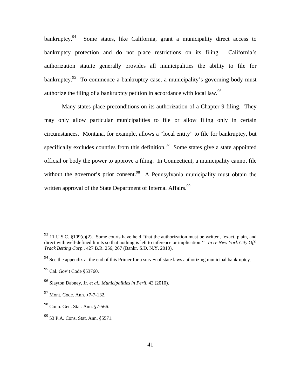bankruptcy.<sup>94</sup> Some states, like California, grant a municipality direct access to bankruptcy protection and do not place restrictions on its filing. California's authorization statute generally provides all municipalities the ability to file for bankruptcy.<sup>95</sup> To commence a bankruptcy case, a municipality's governing body must authorize the filing of a bankruptcy petition in accordance with local law.<sup>96</sup>

Many states place preconditions on its authorization of a Chapter 9 filing. They may only allow particular municipalities to file or allow filing only in certain circumstances. Montana, for example, allows a "local entity" to file for bankruptcy, but specifically excludes counties from this definition.<sup>97</sup> Some states give a state appointed official or body the power to approve a filing. In Connecticut, a municipality cannot file without the governor's prior consent.<sup>98</sup> A Pennsylvania municipality must obtain the written approval of the State Department of Internal Affairs.<sup>99</sup>

 $93$  11 U.S.C. §109(c)(2). Some courts have held "that the authorization must be written, 'exact, plain, and direct with well-defined limits so that nothing is left to inference or implication.'" *In re New York City Off-Track Betting Corp*., 427 B.R. 256, 267 (Bankr. S.D. N.Y. 2010).

<sup>&</sup>lt;sup>94</sup> See the appendix at the end of this Primer for a survey of state laws authorizing municipal bankruptcy.

<sup>&</sup>lt;sup>95</sup> Cal. Gov't Code §53760.

<sup>96</sup> Slayton Dabney, Jr. *et al*., *Municipalities in Peril,* 43 (2010).

<sup>97</sup> Mont. Code. Ann. §7-7-132.

<sup>98</sup> Conn. Gen. Stat. Ann. §7-566.

<sup>99 53</sup> P.A. Cons. Stat. Ann. §5571.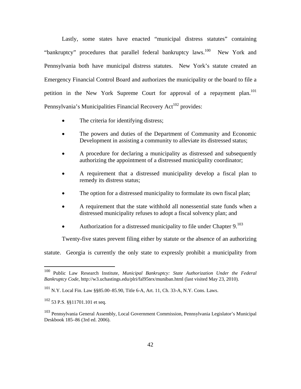Lastly, some states have enacted "municipal distress statutes" containing "bankruptcy" procedures that parallel federal bankruptcy laws.<sup>100</sup> New York and Pennsylvania both have municipal distress statutes. New York's statute created an Emergency Financial Control Board and authorizes the municipality or the board to file a petition in the New York Supreme Court for approval of a repayment plan.<sup>101</sup> Pennsylvania's Municipalities Financial Recovery Act<sup>102</sup> provides:

- The criteria for identifying distress;
- The powers and duties of the Department of Community and Economic Development in assisting a community to alleviate its distressed status;
- A procedure for declaring a municipality as distressed and subsequently authorizing the appointment of a distressed municipality coordinator;
- A requirement that a distressed municipality develop a fiscal plan to remedy its distress status;
- The option for a distressed municipality to formulate its own fiscal plan;
- A requirement that the state withhold all nonessential state funds when a distressed municipality refuses to adopt a fiscal solvency plan; and
- Authorization for a distressed municipality to file under Chapter  $9.103$

Twenty-five states prevent filing either by statute or the absence of an authorizing

statute. Georgia is currently the only state to expressly prohibit a municipality from

<sup>100</sup> Public Law Research Institute, *Municipal Bankruptcy: State Authorization Under the Federal Bankruptcy Code*, http://w3.uchastings.edu/plri/fal95tex/muniban.html (last visited May 23, 2010).

<sup>101</sup> N.Y. Local Fin. Law §§85.00–85.90, Title 6-A, Art. 11, Ch. 33-A, N.Y. Cons. Laws.

<sup>102 53</sup> P.S. §§11701.101 et seq.

<sup>103</sup> Pennsylvania General Assembly, Local Government Commission, Pennsylvania Legislator's Municipal Deskbook 185–86 (3rd ed. 2006).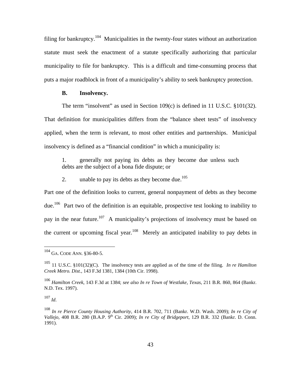filing for bankruptcy.<sup>104</sup> Municipalities in the twenty-four states without an authorization statute must seek the enactment of a statute specifically authorizing that particular municipality to file for bankruptcy. This is a difficult and time-consuming process that puts a major roadblock in front of a municipality's ability to seek bankruptcy protection.

## **B. Insolvency.**

The term "insolvent" as used in Section 109(c) is defined in 11 U.S.C. §101(32).

That definition for municipalities differs from the "balance sheet tests" of insolvency applied, when the term is relevant, to most other entities and partnerships. Municipal insolvency is defined as a "financial condition" in which a municipality is:

1. generally not paying its debts as they become due unless such debts are the subject of a bona fide dispute; or

2. unable to pay its debts as they become due.<sup>105</sup>

Part one of the definition looks to current, general nonpayment of debts as they become due.<sup>106</sup> Part two of the definition is an equitable, prospective test looking to inability to pay in the near future.<sup>107</sup> A municipality's projections of insolvency must be based on the current or upcoming fiscal year*.* <sup>108</sup>Merely an anticipated inability to pay debts in

<sup>107</sup> *Id*.

 $104$  GA. CODE ANN. §36-80-5.

<sup>105 11</sup> U.S.C. §101(32)(C). The insolvency tests are applied as of the time of the filing. *In re Hamilton Creek Metro. Dist.*, 143 F.3d 1381, 1384 (10th Cir. 1998).

<sup>106</sup> *Hamilton Creek*, 143 F.3d at 1384; *see also In re Town of Westlake, Texas*, 211 B.R. 860, 864 (Bankr. N.D. Tex. 1997).

<sup>108</sup> *In re Pierce County Housing Authority*, 414 B.R. 702, 711 (Bankr. W.D. Wash. 2009); *In re City of Vallejo*, 408 B.R. 280 (B.A.P. 9th Cir. 2009); *In re City of Bridgeport*, 129 B.R. 332 (Bankr. D. Conn. 1991).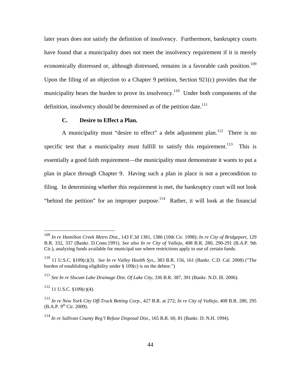later years does not satisfy the definition of insolvency. Furthermore, bankruptcy courts have found that a municipality does not meet the insolvency requirement if it is merely economically distressed or, although distressed, remains in a favorable cash position.<sup>109</sup> Upon the filing of an objection to a Chapter 9 petition, Section 921(c) provides that the municipality bears the burden to prove its insolvency.<sup>110</sup> Under both components of the definition, insolvency should be determined as of the petition date.<sup>111</sup>

## **C. Desire to Effect a Plan.**

A municipality must "desire to effect" a debt adjustment plan.<sup>112</sup> There is no specific test that a municipality must fulfill to satisfy this requirement.<sup>113</sup> This is essentially a good faith requirement—the municipality must demonstrate it wants to put a plan in place through Chapter 9. Having such a plan in place is not a precondition to filing. In determining whether this requirement is met, the bankruptcy court will not look "behind the petition" for an improper purpose.<sup>114</sup> Rather, it will look at the financial

<sup>109</sup> *In re Hamilton Creek Metro Dist.*, 143 F.3d 1381, 1386 (10th Cir. 1998); *In re City of Bridgeport*, 129 B.R. 332, 337 (Bankr. D.Conn.1991). *See also In re City of Vallejo*, 408 B.R. 280, 290-291 (B.A.P. 9th Cir.), analyzing funds available for municipal use where restrictions apply to use of certain funds.

<sup>110 11</sup> U.S.C. §109(c)(3). *See In re Valley Health Sys*., 383 B.R. 156, 161 (Bankr. C.D. Cal. 2008) ("The burden of establishing eligibility under § 109(c) is on the debtor.")

<sup>111</sup> *See In re Slocum Lake Drainage Dist. Of Lake City*, 336 B.R. 387, 391 (Bankr. N.D. Ill. 2006).

 $112$  11 U.S.C. §109(c)(4).

<sup>113</sup> *In re New York City Off-Truck Betting Corp*., 427 B.R. at 272; *In re City of Vallejo*, 408 B.R. 280, 295  $(B.A.P. 9<sup>th</sup> Cir. 2009).$ 

<sup>114</sup> *In re Sullivan County Reg'l Refuse Disposal Dist*., 165 B.R. 60, 81 (Bankr. D. N.H. 1994).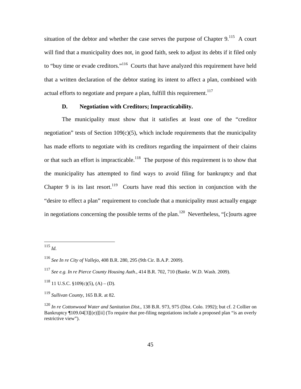situation of the debtor and whether the case serves the purpose of Chapter  $9$ .<sup>115</sup> A court will find that a municipality does not, in good faith, seek to adjust its debts if it filed only to "buy time or evade creditors."<sup>116</sup> Courts that have analyzed this requirement have held that a written declaration of the debtor stating its intent to affect a plan, combined with actual efforts to negotiate and prepare a plan, fulfill this requirement.<sup>117</sup>

# **D. Negotiation with Creditors; Impracticability.**

The municipality must show that it satisfies at least one of the "creditor negotiation" tests of Section  $109(c)(5)$ , which include requirements that the municipality has made efforts to negotiate with its creditors regarding the impairment of their claims or that such an effort is impracticable.<sup>118</sup> The purpose of this requirement is to show that the municipality has attempted to find ways to avoid filing for bankruptcy and that Chapter 9 is its last resort.<sup>119</sup> Courts have read this section in conjunction with the "desire to effect a plan" requirement to conclude that a municipality must actually engage in negotiations concerning the possible terms of the plan.<sup>120</sup> Nevertheless, " $[c]$ ourts agree

<sup>115</sup> *Id.*

<sup>116</sup> *See In re City of Vallejo*, 408 B.R. 280, 295 (9th Cir. B.A.P. 2009).

<sup>117</sup> *See e.g. In re Pierce County Housing Auth*., 414 B.R. 702, 710 (Bankr. W.D. Wash. 2009).

 $118$  11 U.S.C. §109(c)(5), (A) – (D).

<sup>119</sup> *Sullivan County*, 165 B.R. at 82.

<sup>120</sup> *In re Cottonwood Water and Sanitation Dist*., 138 B.R. 973, 975 (Dist. Colo. 1992); but cf. 2 Collier on Bankruptcy ¶109.04[3][(e)][ii] (To require that pre-filing negotiations include a proposed plan "is an overly restrictive view").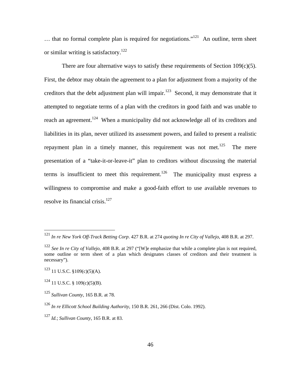$\dots$  that no formal complete plan is required for negotiations."<sup>121</sup> An outline, term sheet or similar writing is satisfactory.<sup>122</sup>

There are four alternative ways to satisfy these requirements of Section  $109(c)(5)$ . First, the debtor may obtain the agreement to a plan for adjustment from a majority of the creditors that the debt adjustment plan will impair.<sup>123</sup> Second, it may demonstrate that it attempted to negotiate terms of a plan with the creditors in good faith and was unable to reach an agreement.<sup>124</sup> When a municipality did not acknowledge all of its creditors and liabilities in its plan, never utilized its assessment powers, and failed to present a realistic repayment plan in a timely manner, this requirement was not met.<sup>125</sup> The mere presentation of a "take-it-or-leave-it" plan to creditors without discussing the material terms is insufficient to meet this requirement.<sup>126</sup> The municipality must express a willingness to compromise and make a good-faith effort to use available revenues to resolve its financial crisis.<sup>127</sup>

<sup>121</sup> *In re New York Off-Track Betting Corp*. 427 B.R. at 274 *quoting In re City of Vallejo*, 408 B.R. at 297.

<sup>122</sup> *See In re City of Vallejo*, 408 B.R. at 297 ("[W]e emphasize that while a complete plan is not required, some outline or term sheet of a plan which designates classes of creditors and their treatment is necessary").

 $123$  11 U.S.C.  $$109(c)(5)(A)$ .

 $124$  11 U.S.C. § 109(c)(5)(B).

<sup>125</sup> *Sullivan County*, 165 B.R. at 78.

<sup>126</sup> *In re Ellicott School Building Authority*, 150 B.R. 261, 266 (Dist. Colo. 1992).

<sup>127</sup> *Id.*; *Sullivan County*, 165 B.R. at 83.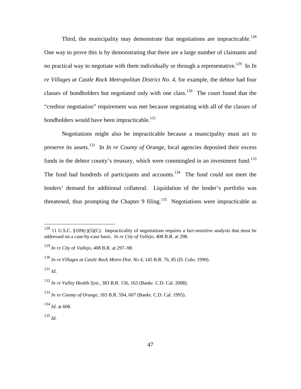Third, the municipality may demonstrate that negotiations are impracticable.<sup>128</sup> One way to prove this is by demonstrating that there are a large number of claimants and no practical way to negotiate with them individually or through a representative.<sup>129</sup> In *In re Villages at Castle Rock Metropolitan District No. 4*, for example, the debtor had four classes of bondholders but negotiated only with one class.<sup>130</sup> The court found that the "creditor negotiation" requirement was met because negotiating with all of the classes of bondholders would have been impracticable.<sup>131</sup>

Negotiations might also be impracticable because a municipality must act to preserve its assets.<sup>132</sup> In *In re County of Orange*, local agencies deposited their excess funds in the debtor county's treasury, which were commingled in an investment fund.<sup>133</sup> The fund had hundreds of participants and accounts.<sup>134</sup> The fund could not meet the lenders' demand for additional collateral. Liquidation of the lender's portfolio was threatened, thus prompting the Chapter 9 filing.<sup>135</sup> Negotiations were impracticable as

<sup>&</sup>lt;sup>128</sup> 11 U.S.C. §109(c)(5)(C). Impracticality of negotiations requires a fact-sensitive analysis that must be addressed on a case-by-case basis. *In re City of Vallejo*, 408 B.R. at 298.

<sup>129</sup> *In re City* of *Vallejo*, 408 B.R. at 297–98.

<sup>130</sup> *In re Villages at Castle Rock Metro Dist. No 4*, 145 B.R. 76, 85 (D. Colo. 1990).

<sup>131</sup> *Id*.

<sup>132</sup> *In re Valley Health Syst.*, 383 B.R. 156, 163 (Bankr. C.D. Cal. 2008).

<sup>133</sup> *In re County of Orange*, 183 B.R. 594, 607 (Bankr. C.D. Cal. 1995).

 $^{134}$  *Id.* at 608.

<sup>135</sup> *Id*.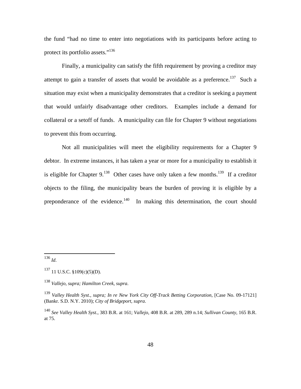the fund "had no time to enter into negotiations with its participants before acting to protect its portfolio assets."<sup>136</sup>

Finally, a municipality can satisfy the fifth requirement by proving a creditor may attempt to gain a transfer of assets that would be avoidable as a preference.<sup>137</sup> Such a situation may exist when a municipality demonstrates that a creditor is seeking a payment that would unfairly disadvantage other creditors. Examples include a demand for collateral or a setoff of funds. A municipality can file for Chapter 9 without negotiations to prevent this from occurring.

Not all municipalities will meet the eligibility requirements for a Chapter 9 debtor. In extreme instances, it has taken a year or more for a municipality to establish it is eligible for Chapter  $9.138$  Other cases have only taken a few months.<sup>139</sup> If a creditor objects to the filing, the municipality bears the burden of proving it is eligible by a preponderance of the evidence.<sup>140</sup> In making this determination, the court should

<sup>136</sup> *Id*.

 $137$  11 U.S.C. §109(c)(5)(D).

<sup>138</sup> *Vallejo, supra; Hamilton Creek, supra*.

<sup>139</sup> *Valley Health Syst., supra; In re New York City Off-Track Betting Corporation*, [Case No. 09-17121] (Bankr. S.D. N.Y. 2010); *City of Bridgeport, supra*.

<sup>140</sup> *See Valley Health Syst.*, 383 B.R. at 161; *Vallejo*, 408 B.R. at 289, 289 n.14; *Sullivan County*, 165 B.R. at 75.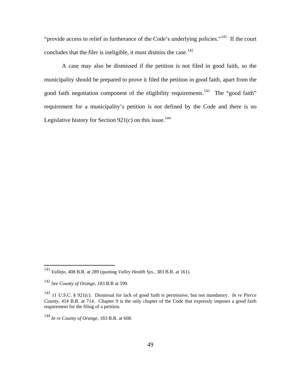"provide access to relief in furtherance of the Code's underlying policies."<sup>141</sup> If the court concludes that the filer is ineligible, it must dismiss the case.<sup>142</sup>

A case may also be dismissed if the petition is not filed in good faith, so the municipality should be prepared to prove it filed the petition in good faith, apart from the good faith negotiation component of the eligibility requirements.<sup>143</sup> The "good faith" requirement for a municipality's petition is not defined by the Code and there is no Legislative history for Section  $921(c)$  on this issue.<sup>144</sup>

<sup>141</sup> *Vallejo*, 408 B.R. at 289 (quoting *Valley Health Sys.*, 383 B.R. at 161).

<sup>142</sup> *See County of Orange*, 183 B.R at 599.

<sup>143 11</sup> U.S.C. § 921(c). Dismissal for lack of good faith is permissive, but not mandatory. *In re Pierce County*, 414 B.R. at 714. Chapter 9 is the only chapter of the Code that expressly imposes a good faith requirement for the filing of a petition.

<sup>144</sup> *In re County of Orange*, 183 B.R. at 608.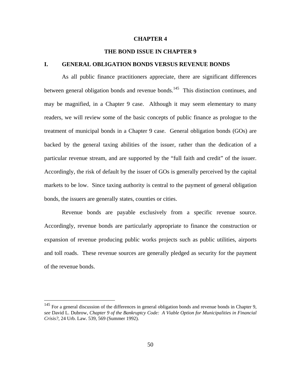#### **CHAPTER 4**

## **THE BOND ISSUE IN CHAPTER 9**

#### **I. GENERAL OBLIGATION BONDS VERSUS REVENUE BONDS**

As all public finance practitioners appreciate, there are significant differences between general obligation bonds and revenue bonds.<sup>145</sup> This distinction continues, and may be magnified, in a Chapter 9 case. Although it may seem elementary to many readers, we will review some of the basic concepts of public finance as prologue to the treatment of municipal bonds in a Chapter 9 case. General obligation bonds (GOs) are backed by the general taxing abilities of the issuer, rather than the dedication of a particular revenue stream, and are supported by the "full faith and credit" of the issuer. Accordingly, the risk of default by the issuer of GOs is generally perceived by the capital markets to be low. Since taxing authority is central to the payment of general obligation bonds, the issuers are generally states, counties or cities.

Revenue bonds are payable exclusively from a specific revenue source. Accordingly, revenue bonds are particularly appropriate to finance the construction or expansion of revenue producing public works projects such as public utilities, airports and toll roads. These revenue sources are generally pledged as security for the payment of the revenue bonds.

 $145$  For a general discussion of the differences in general obligation bonds and revenue bonds in Chapter 9, *see* David L. Dubrow, *Chapter 9 of the Bankruptcy Code: A Viable Option for Municipalities in Financial Crisis?*, 24 Urb. Law. 539, 569 (Summer 1992).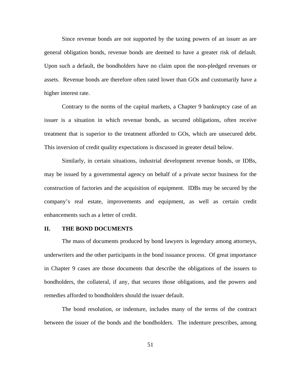Since revenue bonds are not supported by the taxing powers of an issuer as are general obligation bonds, revenue bonds are deemed to have a greater risk of default. Upon such a default, the bondholders have no claim upon the non-pledged revenues or assets. Revenue bonds are therefore often rated lower than GOs and customarily have a higher interest rate.

Contrary to the norms of the capital markets, a Chapter 9 bankruptcy case of an issuer is a situation in which revenue bonds, as secured obligations, often receive treatment that is superior to the treatment afforded to GOs, which are unsecured debt. This inversion of credit quality expectations is discussed in greater detail below.

Similarly, in certain situations, industrial development revenue bonds, or IDBs, may be issued by a governmental agency on behalf of a private sector business for the construction of factories and the acquisition of equipment. IDBs may be secured by the company's real estate, improvements and equipment, as well as certain credit enhancements such as a letter of credit.

### **II. THE BOND DOCUMENTS**

The mass of documents produced by bond lawyers is legendary among attorneys, underwriters and the other participants in the bond issuance process. Of great importance in Chapter 9 cases are those documents that describe the obligations of the issuers to bondholders, the collateral, if any, that secures those obligations, and the powers and remedies afforded to bondholders should the issuer default.

The bond resolution, or indenture, includes many of the terms of the contract between the issuer of the bonds and the bondholders. The indenture prescribes, among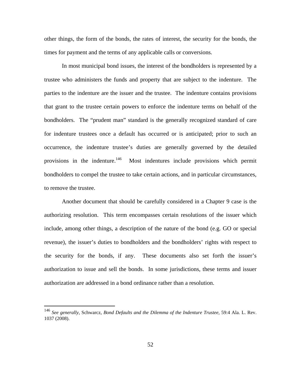other things, the form of the bonds, the rates of interest, the security for the bonds, the times for payment and the terms of any applicable calls or conversions.

In most municipal bond issues, the interest of the bondholders is represented by a trustee who administers the funds and property that are subject to the indenture. The parties to the indenture are the issuer and the trustee. The indenture contains provisions that grant to the trustee certain powers to enforce the indenture terms on behalf of the bondholders. The "prudent man" standard is the generally recognized standard of care for indenture trustees once a default has occurred or is anticipated; prior to such an occurrence, the indenture trustee's duties are generally governed by the detailed provisions in the indenture.<sup>146</sup> Most indentures include provisions which permit bondholders to compel the trustee to take certain actions, and in particular circumstances, to remove the trustee.

Another document that should be carefully considered in a Chapter 9 case is the authorizing resolution. This term encompasses certain resolutions of the issuer which include, among other things, a description of the nature of the bond (e.g. GO or special revenue), the issuer's duties to bondholders and the bondholders' rights with respect to the security for the bonds, if any. These documents also set forth the issuer's authorization to issue and sell the bonds. In some jurisdictions, these terms and issuer authorization are addressed in a bond ordinance rather than a resolution.

<u>.</u>

<sup>146</sup> *See generally*, Schwarcz, *Bond Defaults and the Dilemma of the Indenture Trustee*, 59:4 Ala. L. Rev. 1037 (2008).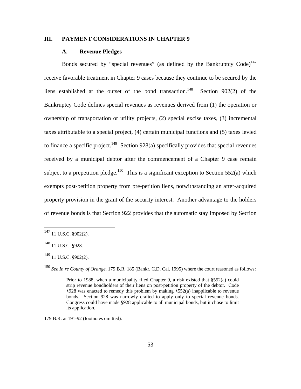# **III. PAYMENT CONSIDERATIONS IN CHAPTER 9**

## **A. Revenue Pledges**

Bonds secured by "special revenues" (as defined by the Bankruptcy Code)<sup>147</sup> receive favorable treatment in Chapter 9 cases because they continue to be secured by the liens established at the outset of the bond transaction.<sup>148</sup> Section 902(2) of the Bankruptcy Code defines special revenues as revenues derived from (1) the operation or ownership of transportation or utility projects, (2) special excise taxes, (3) incremental taxes attributable to a special project, (4) certain municipal functions and (5) taxes levied to finance a specific project.<sup>149</sup> Section 928(a) specifically provides that special revenues received by a municipal debtor after the commencement of a Chapter 9 case remain subject to a prepetition pledge.<sup>150</sup> This is a significant exception to Section 552(a) which exempts post-petition property from pre-petition liens, notwithstanding an after-acquired property provision in the grant of the security interest. Another advantage to the holders of revenue bonds is that Section 922 provides that the automatic stay imposed by Section

 $\overline{a}$ 

<sup>150</sup> *See In re County of Orange*, 179 B.R. 185 (Bankr. C.D. Cal. 1995) where the court reasoned as follows:

Prior to 1988, when a municipality filed Chapter 9, a risk existed that §552(a) could strip revenue bondholders of their liens on post-petition property of the debtor. Code §928 was enacted to remedy this problem by making §552(a) inapplicable to revenue bonds. Section 928 was narrowly crafted to apply only to special revenue bonds. Congress could have made §928 applicable to all municipal bonds, but it chose to limit its application.

179 B.R. at 191-92 (footnotes omitted).

 $147$  11 U.S.C. §902(2).

<sup>148 11</sup> U.S.C. §928.

 $149$  11 U.S.C. §902(2).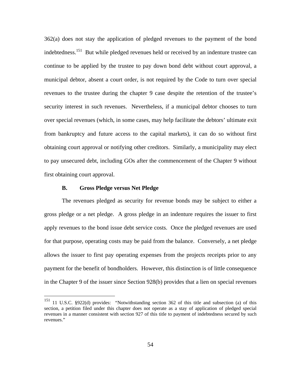362(a) does not stay the application of pledged revenues to the payment of the bond indebtedness.151 But while pledged revenues held or received by an indenture trustee can continue to be applied by the trustee to pay down bond debt without court approval, a municipal debtor, absent a court order, is not required by the Code to turn over special revenues to the trustee during the chapter 9 case despite the retention of the trustee's security interest in such revenues. Nevertheless, if a municipal debtor chooses to turn over special revenues (which, in some cases, may help facilitate the debtors' ultimate exit from bankruptcy and future access to the capital markets), it can do so without first obtaining court approval or notifying other creditors. Similarly, a municipality may elect to pay unsecured debt, including GOs after the commencement of the Chapter 9 without first obtaining court approval.

## **B. Gross Pledge versus Net Pledge**

 $\overline{a}$ 

The revenues pledged as security for revenue bonds may be subject to either a gross pledge or a net pledge. A gross pledge in an indenture requires the issuer to first apply revenues to the bond issue debt service costs. Once the pledged revenues are used for that purpose, operating costs may be paid from the balance. Conversely, a net pledge allows the issuer to first pay operating expenses from the projects receipts prior to any payment for the benefit of bondholders. However, this distinction is of little consequence in the Chapter 9 of the issuer since Section 928(b) provides that a lien on special revenues

<sup>&</sup>lt;sup>151</sup> 11 U.S.C. §922(d) provides: "Notwithstanding section 362 of this title and subsection (a) of this section, a petition filed under this chapter does not operate as a stay of application of pledged special revenues in a manner consistent with section 927 of this title to payment of indebtedness secured by such revenues."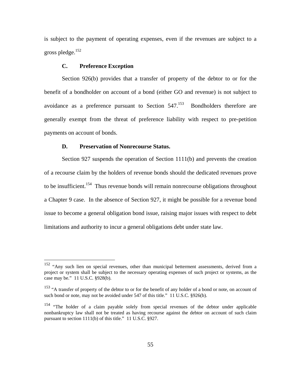is subject to the payment of operating expenses, even if the revenues are subject to a gross pledge.152

## **C. Preference Exception**

 $\overline{a}$ 

Section 926(b) provides that a transfer of property of the debtor to or for the benefit of a bondholder on account of a bond (either GO and revenue) is not subject to avoidance as a preference pursuant to Section  $547<sup>153</sup>$  Bondholders therefore are generally exempt from the threat of preference liability with respect to pre-petition payments on account of bonds.

## **D. Preservation of Nonrecourse Status.**

Section 927 suspends the operation of Section 1111(b) and prevents the creation of a recourse claim by the holders of revenue bonds should the dedicated revenues prove to be insufficient.<sup>154</sup> Thus revenue bonds will remain nonrecourse obligations throughout a Chapter 9 case. In the absence of Section 927, it might be possible for a revenue bond issue to become a general obligation bond issue, raising major issues with respect to debt limitations and authority to incur a general obligations debt under state law.

<sup>&</sup>lt;sup>152</sup> "Any such lien on special revenues, other than municipal betterment assessments, derived from a project or system shall be subject to the necessary operating expenses of such project or systems, as the case may be." 11 U.S.C. §928(b).

<sup>&</sup>lt;sup>153</sup> "A transfer of property of the debtor to or for the benefit of any holder of a bond or note, on account of such bond or note, may not be avoided under 547 of this title." 11 U.S.C. §926(b).

<sup>&</sup>lt;sup>154</sup> "The holder of a claim payable solely from special revenues of the debtor under applicable nonbankruptcy law shall not be treated as having recourse against the debtor on account of such claim pursuant to section 1111(b) of this title." 11 U.S.C. §927.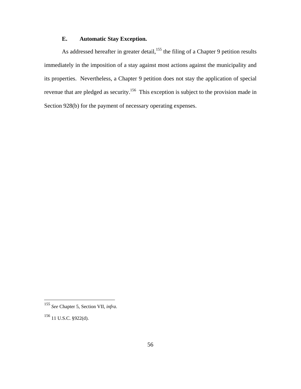# **E. Automatic Stay Exception.**

As addressed hereafter in greater detail,<sup>155</sup> the filing of a Chapter 9 petition results immediately in the imposition of a stay against most actions against the municipality and its properties. Nevertheless, a Chapter 9 petition does not stay the application of special revenue that are pledged as security.<sup>156</sup> This exception is subject to the provision made in Section 928(b) for the payment of necessary operating expenses.

<sup>155</sup> *See* Chapter 5, Section VII, *infra*.

<sup>156 11</sup> U.S.C. §922(d).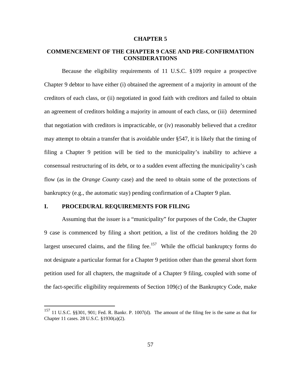#### **CHAPTER 5**

# **COMMENCEMENT OF THE CHAPTER 9 CASE AND PRE-CONFIRMATION CONSIDERATIONS**

Because the eligibility requirements of 11 U.S.C. §109 require a prospective Chapter 9 debtor to have either (i) obtained the agreement of a majority in amount of the creditors of each class, or (ii) negotiated in good faith with creditors and failed to obtain an agreement of creditors holding a majority in amount of each class, or (iii) determined that negotiation with creditors is impracticable, or (iv) reasonably believed that a creditor may attempt to obtain a transfer that is avoidable under §547, it is likely that the timing of filing a Chapter 9 petition will be tied to the municipality's inability to achieve a consensual restructuring of its debt, or to a sudden event affecting the municipality's cash flow (as in the *Orange County* case) and the need to obtain some of the protections of bankruptcy (e.g., the automatic stay) pending confirmation of a Chapter 9 plan.

# **I. PROCEDURAL REQUIREMENTS FOR FILING**

<u>.</u>

Assuming that the issuer is a "municipality" for purposes of the Code, the Chapter 9 case is commenced by filing a short petition, a list of the creditors holding the 20 largest unsecured claims, and the filing fee.<sup>157</sup> While the official bankruptcy forms do not designate a particular format for a Chapter 9 petition other than the general short form petition used for all chapters, the magnitude of a Chapter 9 filing, coupled with some of the fact-specific eligibility requirements of Section 109(c) of the Bankruptcy Code, make

<sup>&</sup>lt;sup>157</sup> 11 U.S.C. §§301, 901; Fed. R. Bankr. P. 1007(d). The amount of the filing fee is the same as that for Chapter 11 cases. 28 U.S.C. §1930(a)(2).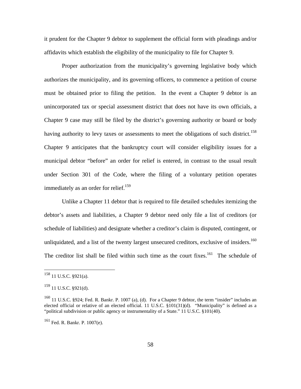it prudent for the Chapter 9 debtor to supplement the official form with pleadings and/or affidavits which establish the eligibility of the municipality to file for Chapter 9.

Proper authorization from the municipality's governing legislative body which authorizes the municipality, and its governing officers, to commence a petition of course must be obtained prior to filing the petition. In the event a Chapter 9 debtor is an unincorporated tax or special assessment district that does not have its own officials, a Chapter 9 case may still be filed by the district's governing authority or board or body having authority to levy taxes or assessments to meet the obligations of such district.<sup>158</sup> Chapter 9 anticipates that the bankruptcy court will consider eligibility issues for a municipal debtor "before" an order for relief is entered, in contrast to the usual result under Section 301 of the Code, where the filing of a voluntary petition operates immediately as an order for relief.<sup>159</sup>

Unlike a Chapter 11 debtor that is required to file detailed schedules itemizing the debtor's assets and liabilities, a Chapter 9 debtor need only file a list of creditors (or schedule of liabilities) and designate whether a creditor's claim is disputed, contingent, or unliquidated, and a list of the twenty largest unsecured creditors, exclusive of insiders.<sup>160</sup> The creditor list shall be filed within such time as the court fixes.<sup>161</sup> The schedule of

 $158$  11 U.S.C. §921(a).

<sup>159 11</sup> U.S.C. §921(d).

 $160$  11 U.S.C. §924; Fed. R. Bankr. P. 1007 (a), (d). For a Chapter 9 debtor, the term "insider" includes an elected official or relative of an elected official. 11 U.S.C. §101(31)(d). "Municipality" is defined as a "political subdivision or public agency or instrumentality of a State." 11 U.S.C. §101(40).

<sup>161</sup> Fed. R. Bankr. P. 1007(e).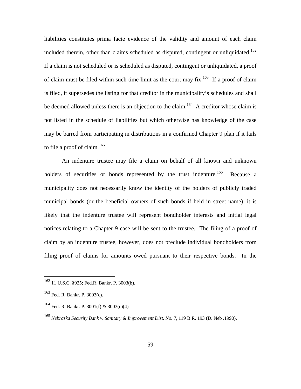liabilities constitutes prima facie evidence of the validity and amount of each claim included therein, other than claims scheduled as disputed, contingent or unliquidated.<sup>162</sup> If a claim is not scheduled or is scheduled as disputed, contingent or unliquidated, a proof of claim must be filed within such time limit as the court may fix.<sup>163</sup> If a proof of claim is filed, it supersedes the listing for that creditor in the municipality's schedules and shall be deemed allowed unless there is an objection to the claim.<sup>164</sup> A creditor whose claim is not listed in the schedule of liabilities but which otherwise has knowledge of the case may be barred from participating in distributions in a confirmed Chapter 9 plan if it fails to file a proof of claim. $165$ 

An indenture trustee may file a claim on behalf of all known and unknown holders of securities or bonds represented by the trust indenture.<sup>166</sup> Because a municipality does not necessarily know the identity of the holders of publicly traded municipal bonds (or the beneficial owners of such bonds if held in street name), it is likely that the indenture trustee will represent bondholder interests and initial legal notices relating to a Chapter 9 case will be sent to the trustee. The filing of a proof of claim by an indenture trustee, however, does not preclude individual bondholders from filing proof of claims for amounts owed pursuant to their respective bonds. In the

<sup>162 11</sup> U.S.C. §925; Fed.R. Bankr. P. 3003(b).

<sup>163</sup> Fed. R. Bankr. P. 3003(c).

<sup>&</sup>lt;sup>164</sup> Fed. R. Bankr. P. 3001(f) & 3003(c)(4)

<sup>165</sup> *Nebraska Security Bank v. Sanitary & Improvement Dist. No. 7*, 119 B.R. 193 (D. Neb .1990).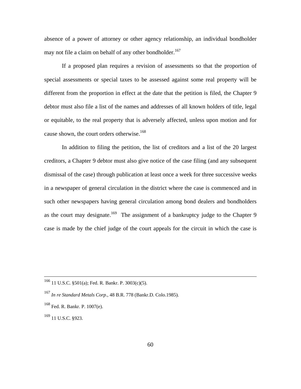absence of a power of attorney or other agency relationship, an individual bondholder may not file a claim on behalf of any other bondholder.<sup>167</sup>

If a proposed plan requires a revision of assessments so that the proportion of special assessments or special taxes to be assessed against some real property will be different from the proportion in effect at the date that the petition is filed, the Chapter 9 debtor must also file a list of the names and addresses of all known holders of title, legal or equitable, to the real property that is adversely affected, unless upon motion and for cause shown, the court orders otherwise.<sup>168</sup>

In addition to filing the petition, the list of creditors and a list of the 20 largest creditors, a Chapter 9 debtor must also give notice of the case filing (and any subsequent dismissal of the case) through publication at least once a week for three successive weeks in a newspaper of general circulation in the district where the case is commenced and in such other newspapers having general circulation among bond dealers and bondholders as the court may designate.<sup>169</sup> The assignment of a bankruptcy judge to the Chapter 9 case is made by the chief judge of the court appeals for the circuit in which the case is

169 11 U.S.C. §923.

 <sup>166 11</sup> U.S.C. §501(a); Fed. R. Bankr. P. 3003(c)(5).

<sup>167</sup> *In re Standard Metals Corp.*, 48 B.R. 778 (Bankr.D. Colo.1985).

<sup>168</sup> Fed. R. Bankr. P. 1007(e).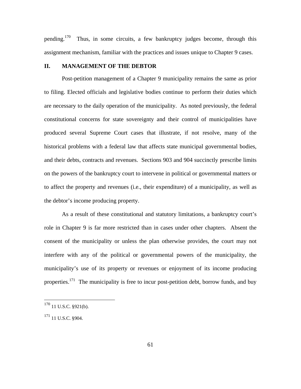pending.<sup>170</sup> Thus, in some circuits, a few bankruptcy judges become, through this assignment mechanism, familiar with the practices and issues unique to Chapter 9 cases.

## **II. MANAGEMENT OF THE DEBTOR**

Post-petition management of a Chapter 9 municipality remains the same as prior to filing. Elected officials and legislative bodies continue to perform their duties which are necessary to the daily operation of the municipality. As noted previously, the federal constitutional concerns for state sovereignty and their control of municipalities have produced several Supreme Court cases that illustrate, if not resolve, many of the historical problems with a federal law that affects state municipal governmental bodies, and their debts, contracts and revenues. Sections 903 and 904 succinctly prescribe limits on the powers of the bankruptcy court to intervene in political or governmental matters or to affect the property and revenues (i.e., their expenditure) of a municipality, as well as the debtor's income producing property.

As a result of these constitutional and statutory limitations, a bankruptcy court's role in Chapter 9 is far more restricted than in cases under other chapters. Absent the consent of the municipality or unless the plan otherwise provides, the court may not interfere with any of the political or governmental powers of the municipality, the municipality's use of its property or revenues or enjoyment of its income producing properties.<sup>171</sup> The municipality is free to incur post-petition debt, borrow funds, and buy

 $170$  11 U.S.C. §921(b).

<sup>171 11</sup> U.S.C. §904.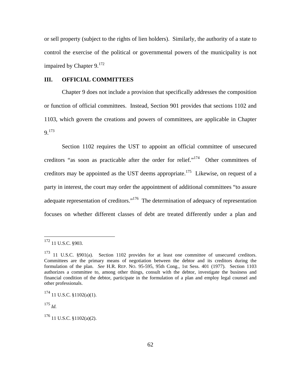or sell property (subject to the rights of lien holders). Similarly, the authority of a state to control the exercise of the political or governmental powers of the municipality is not impaired by Chapter  $9.172$ 

## **III. OFFICIAL COMMITTEES**

Chapter 9 does not include a provision that specifically addresses the composition or function of official committees. Instead, Section 901 provides that sections 1102 and 1103, which govern the creations and powers of committees, are applicable in Chapter 9.173

Section 1102 requires the UST to appoint an official committee of unsecured creditors "as soon as practicable after the order for relief."174 Other committees of creditors may be appointed as the UST deems appropriate.<sup>175</sup> Likewise, on request of a party in interest, the court may order the appointment of additional committees "to assure adequate representation of creditors."<sup>176</sup> The determination of adequacy of representation focuses on whether different classes of debt are treated differently under a plan and

<sup>175</sup> *Id.*

<sup>&</sup>lt;sup>172</sup> 11 U.S.C. §903.

<sup>&</sup>lt;sup>173</sup> 11 U.S.C. §901(a). Section 1102 provides for at least one committee of unsecured creditors. Committees are the primary means of negotiation between the debtor and its creditors during the formulation of the plan. *See* H.R. REP. NO. 95-595, 95th Cong., 1st Sess. 401 (1977). Section 1103 authorizes a committee to, among other things, consult with the debtor, investigate the business and financial condition of the debtor, participate in the formulation of a plan and employ legal counsel and other professionals.

 $174$  11 U.S.C. §1102(a)(1).

 $176$  11 U.S.C. §1102(a)(2).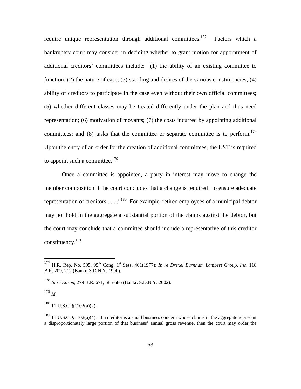require unique representation through additional committees.<sup>177</sup> Factors which a bankruptcy court may consider in deciding whether to grant motion for appointment of additional creditors' committees include: (1) the ability of an existing committee to function; (2) the nature of case; (3) standing and desires of the various constituencies; (4) ability of creditors to participate in the case even without their own official committees; (5) whether different classes may be treated differently under the plan and thus need representation; (6) motivation of movants; (7) the costs incurred by appointing additional committees; and (8) tasks that the committee or separate committee is to perform.<sup>178</sup> Upon the entry of an order for the creation of additional committees, the UST is required to appoint such a committee. $179$ 

Once a committee is appointed, a party in interest may move to change the member composition if the court concludes that a change is required "to ensure adequate representation of creditors  $\dots$  ."<sup>180</sup> For example, retired employees of a municipal debtor may not hold in the aggregate a substantial portion of the claims against the debtor, but the court may conclude that a committee should include a representative of this creditor constituency.181

<sup>179</sup> *Id*.

 $\overline{a}$ 

 $180$  11 U.S.C. §1102(a)(2).

<sup>&</sup>lt;sup>177</sup> H.R. Rep. No. 595, 95<sup>th</sup> Cong. 1<sup>st</sup> Sess. 401(1977); *In re Drexel Burnham Lambert Group, Inc.* 118 B.R. 209, 212 (Bankr. S.D.N.Y. 1990).

<sup>178</sup> *In re Enron*, 279 B.R. 671, 685-686 (Bankr. S.D.N.Y. 2002).

 $181$  11 U.S.C. §1102(a)(4). If a creditor is a small business concern whose claims in the aggregate represent a disproportionately large portion of that business' annual gross revenue, then the court may order the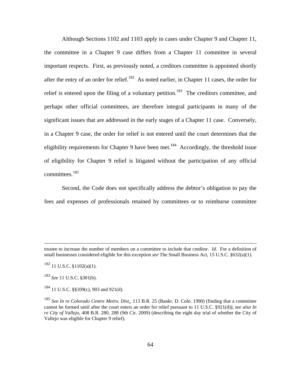Although Sections 1102 and 1103 apply in cases under Chapter 9 and Chapter 11, the committee in a Chapter 9 case differs from a Chapter 11 committee in several important respects. First, as previously noted, a creditors committee is appointed shortly after the entry of an order for relief.<sup>182</sup> As noted earlier, in Chapter 11 cases, the order for relief is entered upon the filing of a voluntary petition.<sup>183</sup> The creditors committee, and perhaps other official committees, are therefore integral participants in many of the significant issues that are addressed in the early stages of a Chapter 11 case. Conversely, in a Chapter 9 case, the order for relief is not entered until the court determines that the eligibility requirements for Chapter 9 have been met.<sup>184</sup> Accordingly, the threshold issue of eligibility for Chapter 9 relief is litigated without the participation of any official committees.<sup>185</sup>

Second, the Code does not specifically address the debtor's obligation to pay the fees and expenses of professionals retained by committees or to reimburse committee

trustee to increase the number of members on a committee to include that creditor. *Id.* For a definition of small businesses considered eligible for this exception *see* The Small Business Act, 15 U.S.C. §632(a)(1).

 $182$  11 U.S.C. §1102(a)(1).

<sup>183</sup> *See* 11 U.S.C. §301(b).

 $184$  11 U.S.C. §§109(c), 903 and 921(d).

<sup>185</sup> *See In re Colorado Centre Metro. Dist*., 113 B.R. 25 (Bankr. D. Colo. 1990) (finding that a committee cannot be formed until after the court enters an order for relief pursuant to 11 U.S.C. §921(d)); *see also In re City of Vallejo*, 408 B.R. 280, 288 (9th Cir. 2009) (describing the eight day trial of whether the City of Vallejo was eligible for Chapter 9 relief).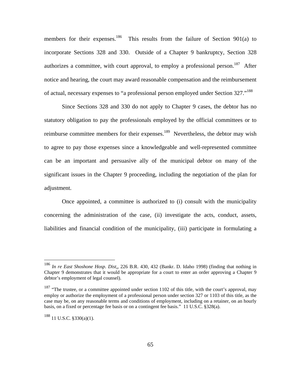members for their expenses.<sup>186</sup> This results from the failure of Section 901(a) to incorporate Sections 328 and 330. Outside of a Chapter 9 bankruptcy, Section 328 authorizes a committee, with court approval, to employ a professional person.<sup>187</sup> After notice and hearing, the court may award reasonable compensation and the reimbursement of actual, necessary expenses to "a professional person employed under Section 327."<sup>188</sup>

Since Sections 328 and 330 do not apply to Chapter 9 cases, the debtor has no statutory obligation to pay the professionals employed by the official committees or to reimburse committee members for their expenses.<sup>189</sup> Nevertheless, the debtor may wish to agree to pay those expenses since a knowledgeable and well-represented committee can be an important and persuasive ally of the municipal debtor on many of the significant issues in the Chapter 9 proceeding, including the negotiation of the plan for adjustment.

Once appointed, a committee is authorized to (i) consult with the municipality concerning the administration of the case, (ii) investigate the acts, conduct, assets, liabilities and financial condition of the municipality, (iii) participate in formulating a

 $188$  11 U.S.C. §330(a)(1).

<sup>186</sup> *In re East Shoshone Hosp. Dist*., 226 B.R. 430, 432 (Bankr. D. Idaho 1998) (finding that nothing in Chapter 9 demonstrates that it would be appropriate for a court to enter an order approving a Chapter 9 debtor's employment of legal counsel).

<sup>&</sup>lt;sup>187</sup> "The trustee, or a committee appointed under section 1102 of this title, with the court's approval, may employ or authorize the employment of a professional person under section 327 or 1103 of this title, as the case may be, on any reasonable terms and conditions of employment, including on a retainer, on an hourly basis, on a fixed or percentage fee basis or on a contingent fee basis." 11 U.S.C. §328(a).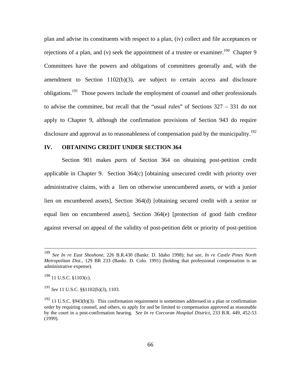plan and advise its constituents with respect to a plan, (iv) collect and file acceptances or rejections of a plan, and (v) seek the appointment of a trustee or examiner.<sup>190</sup> Chapter 9 Committees have the powers and obligations of committees generally and, with the amendment to Section 1102(b)(3), are subject to certain access and disclosure obligations.191 Those powers include the employment of counsel and other professionals to advise the committee, but recall that the "usual rules" of Sections 327 – 331 do not apply to Chapter 9, although the confirmation provisions of Section 943 do require disclosure and approval as to reasonableness of compensation paid by the municipality.<sup>192</sup>

## **IV. OBTAINING CREDIT UNDER SECTION 364**

Section 901 makes *parts* of Section 364 on obtaining post-petition credit applicable in Chapter 9. Section 364(c) [obtaining unsecured credit with priority over administrative claims, with a lien on otherwise unencumbered assets, or with a junior lien on encumbered assets], Section 364(d) [obtaining secured credit with a senior or equal lien on encumbered assets], Section 364(e) [protection of good faith creditor against reversal on appeal of the validity of post-petition debt or priority of post-petition

<sup>191</sup> *See* 11 U.S.C. §§1102(b)(3), 1103.

 <sup>189</sup> *See In re East Shoshone*, 226 B.R.430 (Bankr. D. Idaho 1998); *but see*, *In re Castle Pines North Metropolitan Dist.*, 129 BR 233 (Bankr. D. Colo. 1991) (holding that professional compensation is an administrative expense).

 $190$  11 U.S.C. §1103(c).

 $192$  11 U.S.C. §943(b)(3). This confirmation requirement is sometimes addressed in a plan or confirmation order by requiring counsel, and others, to apply for and be limited to compensation approved as reasonable by the court in a post-confirmation hearing. *See In re Corcoran Hospital District*, 233 B.R. 449, 452-53 (1999).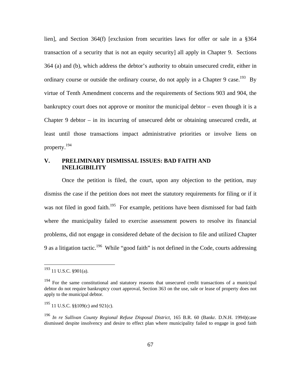lien], and Section 364(f) [exclusion from securities laws for offer or sale in a §364 transaction of a security that is not an equity security] all apply in Chapter 9. Sections 364 (a) and (b), which address the debtor's authority to obtain unsecured credit, either in ordinary course or outside the ordinary course, do not apply in a Chapter 9 case.<sup>193</sup> By virtue of Tenth Amendment concerns and the requirements of Sections 903 and 904, the bankruptcy court does not approve or monitor the municipal debtor – even though it is a Chapter 9 debtor – in its incurring of unsecured debt or obtaining unsecured credit, at least until those transactions impact administrative priorities or involve liens on property.194

## **V. PRELIMINARY DISMISSAL ISSUES: BAD FAITH AND INELIGIBILITY**

Once the petition is filed, the court, upon any objection to the petition, may dismiss the case if the petition does not meet the statutory requirements for filing or if it was not filed in good faith.<sup>195</sup> For example, petitions have been dismissed for bad faith where the municipality failed to exercise assessment powers to resolve its financial problems, did not engage in considered debate of the decision to file and utilized Chapter 9 as a litigation tactic.<sup>196</sup> While "good faith" is not defined in the Code, courts addressing

 $193$  11 U.S.C. §901(a).

<sup>&</sup>lt;sup>194</sup> For the same constitutional and statutory reasons that unsecured credit transactions of a municipal debtor do not require bankruptcy court approval, Section 363 on the use, sale or lease of property does not apply to the municipal debtor.

 $195$  11 U.S.C. §§109(c) and 921(c).

<sup>196</sup> *In re Sullivan County Regional Refuse Disposal District,* 165 B.R. 60 (Bankr. D.N.H. 1994)(case dismissed despite insolvency and desire to effect plan where municipality failed to engage in good faith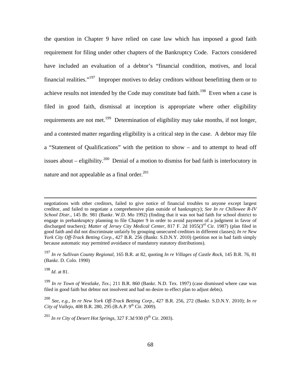the question in Chapter 9 have relied on case law which has imposed a good faith requirement for filing under other chapters of the Bankruptcy Code. Factors considered have included an evaluation of a debtor's "financial condition, motives, and local financial realities."197 Improper motives to delay creditors without benefitting them or to achieve results not intended by the Code may constitute bad faith.<sup>198</sup> Even when a case is filed in good faith, dismissal at inception is appropriate where other eligibility requirements are not met.<sup>199</sup> Determination of eligibility may take months, if not longer, and a contested matter regarding eligibility is a critical step in the case. A debtor may file a "Statement of Qualifications" with the petition to show – and to attempt to head off issues about – eligibility.<sup>200</sup> Denial of a motion to dismiss for bad faith is interlocutory in nature and not appealable as a final order. $^{201}$ 

<sup>198</sup> *Id*. at 81.

negotiations with other creditors, failed to give notice of financial troubles to anyone except largest creditor, and failed to negotiate a comprehensive plan outside of bankruptcy); *See In re Chillowee R-IV School Distr.*, 145 Br. 981 (Bankr. W.D. Mo 1992) (finding that it was not bad faith for school district to engage in prebankruptcy planning to file Chapter 9 in order to avoid payment of a judgment in favor of discharged teachers); *Matter of Jersey City Medical Center*, 817 F. 2d 1055(3<sup>rd</sup> Cir. 1987) (plan filed in good faith and did not discriminate unfairly by grouping unsecured creditors in different classes); *In re New York City Off-Track Betting Corp.*, 427 B.R. 256 (Bankr. S.D.N.Y. 2010) (petition not in bad faith simply because automatic stay permitted avoidance of mandatory statutory distributions).

<sup>197</sup> *In re Sullivan County Regional*, 165 B.R. at 82, quoting *In re Villages of Castle Rock*, 145 B.R. 76, 81 (Bankr. D. Colo. 1990)

<sup>199</sup> *In re Town of Westlake, Tex*.; 211 B.R. 860 (Bankr. N.D. Tex. 1997) (case dismissed where case was filed in good faith but debtor not insolvent and had no desire to effect plan to adjust debts).

<sup>200</sup> *See, e.g., In re New York Off-Track Betting Corp.*, 427 B.R. 256, 272 (Bankr. S.D.N.Y. 2010); *In re City of Vallejo*, 408 B.R. 280, 295 (B.A.P. 9<sup>th</sup> Cir. 2009).

 $^{201}$  *In re City of Desert Hot Springs*, 327 F.3d 930 (9<sup>th</sup> Cir. 2003).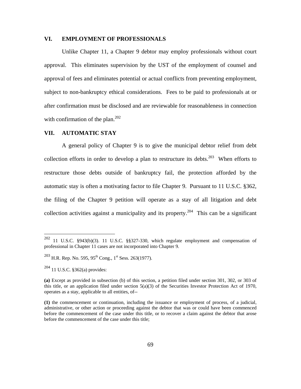### **VI. EMPLOYMENT OF PROFESSIONALS**

Unlike Chapter 11, a Chapter 9 debtor may employ professionals without court approval. This eliminates supervision by the UST of the employment of counsel and approval of fees and eliminates potential or actual conflicts from preventing employment, subject to non-bankruptcy ethical considerations. Fees to be paid to professionals at or after confirmation must be disclosed and are reviewable for reasonableness in connection with confirmation of the plan.<sup>202</sup>

### **VII. AUTOMATIC STAY**

A general policy of Chapter 9 is to give the municipal debtor relief from debt collection efforts in order to develop a plan to restructure its debts.<sup>203</sup> When efforts to restructure those debts outside of bankruptcy fail, the protection afforded by the automatic stay is often a motivating factor to file Chapter 9. Pursuant to 11 U.S.C. §362, the filing of the Chapter 9 petition will operate as a stay of all litigation and debt collection activities against a municipality and its property.<sup>204</sup> This can be a significant

 $202\,$ 202 11 U.S.C. §943(b)(3). 11 U.S.C. §§327-330, which regulate employment and compensation of professional in Chapter 11 cases are not incorporated into Chapter 9.

 $^{203}$  H.R. Rep. No. 595, 95<sup>th</sup> Cong., 1<sup>st</sup> Sess. 263(1977).

 $^{204}$  11 U.S.C. §362(a) provides:

**<sup>(</sup>a)** Except as provided in subsection (b) of this section, a petition filed under section 301, 302, or 303 of this title, or an application filed under section  $5(a)(3)$  of the Securities Investor Protection Act of 1970, operates as a stay, applicable to all entities, of--

**<sup>(1)</sup>** the commencement or continuation, including the issuance or employment of process, of a judicial, administrative, or other action or proceeding against the debtor that was or could have been commenced before the commencement of the case under this title, or to recover a claim against the debtor that arose before the commencement of the case under this title;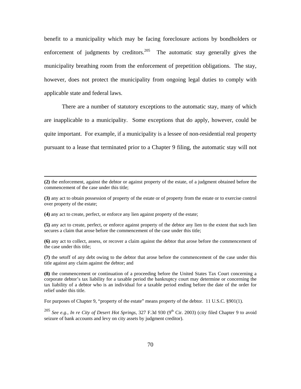benefit to a municipality which may be facing foreclosure actions by bondholders or enforcement of judgments by creditors. $205$  The automatic stay generally gives the municipality breathing room from the enforcement of prepetition obligations. The stay, however, does not protect the municipality from ongoing legal duties to comply with applicable state and federal laws.

There are a number of statutory exceptions to the automatic stay, many of which are inapplicable to a municipality. Some exceptions that do apply, however, could be quite important. For example, if a municipality is a lessee of non-residential real property pursuant to a lease that terminated prior to a Chapter 9 filing, the automatic stay will not

**(2)** the enforcement, against the debtor or against property of the estate, of a judgment obtained before the commencement of the case under this title;

**(3)** any act to obtain possession of property of the estate or of property from the estate or to exercise control over property of the estate;

**(4)** any act to create, perfect, or enforce any lien against property of the estate;

 $\overline{a}$ 

**(5)** any act to create, perfect, or enforce against property of the debtor any lien to the extent that such lien secures a claim that arose before the commencement of the case under this title;

**(6)** any act to collect, assess, or recover a claim against the debtor that arose before the commencement of the case under this title;

**(7)** the setoff of any debt owing to the debtor that arose before the commencement of the case under this title against any claim against the debtor; and

**(8)** the commencement or continuation of a proceeding before the United States Tax Court concerning a corporate debtor's tax liability for a taxable period the bankruptcy court may determine or concerning the tax liability of a debtor who is an individual for a taxable period ending before the date of the order for relief under this title.

For purposes of Chapter 9, "property of the estate" means property of the debtor. 11 U.S.C. §901(1).

<sup>205</sup> *See e.g., In re City of Desert Hot Springs*, 327 F.3d 930 (9<sup>th</sup> Cir. 2003) (city filed Chapter 9 to avoid seizure of bank accounts and levy on city assets by judgment creditor).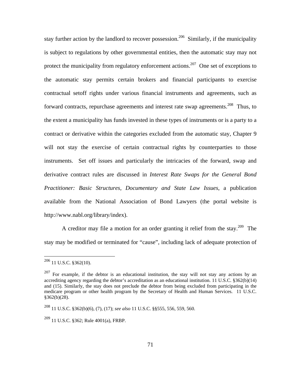stay further action by the landlord to recover possession.<sup>206</sup> Similarly, if the municipality is subject to regulations by other governmental entities, then the automatic stay may not protect the municipality from regulatory enforcement actions.<sup>207</sup> One set of exceptions to the automatic stay permits certain brokers and financial participants to exercise contractual setoff rights under various financial instruments and agreements, such as forward contracts, repurchase agreements and interest rate swap agreements.<sup>208</sup> Thus, to the extent a municipality has funds invested in these types of instruments or is a party to a contract or derivative within the categories excluded from the automatic stay, Chapter 9 will not stay the exercise of certain contractual rights by counterparties to those instruments. Set off issues and particularly the intricacies of the forward, swap and derivative contract rules are discussed in *Interest Rate Swaps for the General Bond Practitioner: Basic Structures, Documentary and State Law Issues*, a publication available from the National Association of Bond Lawyers (the portal website is http://www.nabl.org/library/index).

A creditor may file a motion for an order granting it relief from the stay.<sup>209</sup> The stay may be modified or terminated for "cause", including lack of adequate protection of

 $\overline{a}$ 

 $^{209}$  11 U.S.C. §362; Rule 4001(a), FRBP.

 $206$  11 U.S.C. §362(10).

 $207$  For example, if the debtor is an educational institution, the stay will not stay any actions by an accrediting agency regarding the debtor's accreditation as an educational institution. 11 U.S.C. §362(b)(14) and (15). Similarly, the stay does not preclude the debtor from being excluded from participating in the medicare program or other health program by the Secretary of Health and Human Services. 11 U.S.C. §362(b)(28).

<sup>208 11</sup> U.S.C. §362(b)(6), (7), (17); *see also* 11 U.S.C. §§555, 556, 559, 560.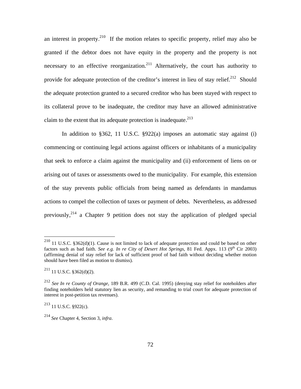an interest in property.<sup>210</sup> If the motion relates to specific property, relief may also be granted if the debtor does not have equity in the property and the property is not necessary to an effective reorganization.<sup>211</sup> Alternatively, the court has authority to provide for adequate protection of the creditor's interest in lieu of stay relief.<sup>212</sup> Should the adequate protection granted to a secured creditor who has been stayed with respect to its collateral prove to be inadequate, the creditor may have an allowed administrative claim to the extent that its adequate protection is inadequate.<sup>213</sup>

In addition to §362, 11 U.S.C. §922(a) imposes an automatic stay against (i) commencing or continuing legal actions against officers or inhabitants of a municipality that seek to enforce a claim against the municipality and (ii) enforcement of liens on or arising out of taxes or assessments owed to the municipality. For example, this extension of the stay prevents public officials from being named as defendants in mandamus actions to compel the collection of taxes or payment of debts. Nevertheless, as addressed previously,<sup>214</sup> a Chapter 9 petition does not stay the application of pledged special

1

<sup>&</sup>lt;sup>210</sup> 11 U.S.C. §362(d)(1). Cause is not limited to lack of adequate protection and could be based on other factors such as bad faith. *See e.g. In re City of Desert Hot Springs*, 81 Fed. Appx. 113 (9<sup>th</sup> Cir 2003) (affirming denial of stay relief for lack of sufficient proof of bad faith without deciding whether motion should have been filed as motion to dismiss).

 $211$  11 U.S.C. §362(d)(2).

<sup>212</sup> *See In re County of Orange*, 189 B.R. 499 (C.D. Cal. 1995) (denying stay relief for noteholders after finding noteholders held statutory lien as security, and remanding to trial court for adequate protection of interest in post-petition tax revenues).

 $^{213}$  11 U.S.C. §922(c).

<sup>214</sup> *See* Chapter 4, Section 3, *infra*.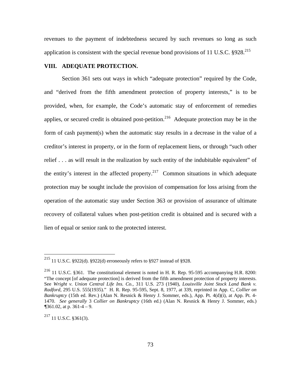revenues to the payment of indebtedness secured by such revenues so long as such application is consistent with the special revenue bond provisions of 11 U.S.C.  $§928$ <sup>215</sup>

## **VIII. ADEQUATE PROTECTION.**

Section 361 sets out ways in which "adequate protection" required by the Code, and "derived from the fifth amendment protection of property interests," is to be provided, when, for example, the Code's automatic stay of enforcement of remedies applies, or secured credit is obtained post-petition.<sup>216</sup> Adequate protection may be in the form of cash payment(s) when the automatic stay results in a decrease in the value of a creditor's interest in property, or in the form of replacement liens, or through "such other relief . . . as will result in the realization by such entity of the indubitable equivalent" of the entity's interest in the affected property.<sup>217</sup> Common situations in which adequate protection may be sought include the provision of compensation for loss arising from the operation of the automatic stay under Section 363 or provision of assurance of ultimate recovery of collateral values when post-petition credit is obtained and is secured with a lien of equal or senior rank to the protected interest.

 $217$  11 U.S.C. §361(3).

<sup>&</sup>lt;sup>215</sup> 11 U.S.C. §922(d). §922(d) erroneously refers to §927 instead of §928.

<sup>216 11</sup> U.S.C. §361. The constitutional element is noted in H. R. Rep. 95-595 accompanying H.R. 8200: "The concept [of adequate protection] is derived from the fifth amendment protection of property interests. See *Wright v. Union Central Life Ins. Co.,* 311 U.S. 273 (1940), *Louisville Joint Stock Land Bank v. Radford,* 295 U.S. 555(1935)." H. R. Rep. 95-595, Sept. 8, 1977, at 339, reprinted in App. C, *Collier on Bankruptcy* (15th ed. Rev.) (Alan N. Resnick & Henry J. Sommer, eds.), App. Pt. 4(d)(i), at App. Pt. 4- 1470. *See generally* 3 *Collier on Bankruptcy* (16th ed.) (Alan N. Resnick & Henry J. Sommer, eds*.*) *¶*361.02, at p. 361-4 – 9.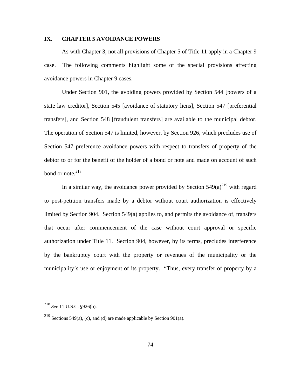### **IX. CHAPTER 5 AVOIDANCE POWERS**

As with Chapter 3, not all provisions of Chapter 5 of Title 11 apply in a Chapter 9 case. The following comments highlight some of the special provisions affecting avoidance powers in Chapter 9 cases.

Under Section 901, the avoiding powers provided by Section 544 [powers of a state law creditor], Section 545 [avoidance of statutory liens], Section 547 [preferential transfers], and Section 548 [fraudulent transfers] are available to the municipal debtor. The operation of Section 547 is limited, however, by Section 926, which precludes use of Section 547 preference avoidance powers with respect to transfers of property of the debtor to or for the benefit of the holder of a bond or note and made on account of such bond or note. $218$ 

In a similar way, the avoidance power provided by Section  $549(a)^{219}$  with regard to post-petition transfers made by a debtor without court authorization is effectively limited by Section 904. Section 549(a) applies to, and permits the avoidance of, transfers that occur after commencement of the case without court approval or specific authorization under Title 11. Section 904, however, by its terms, precludes interference by the bankruptcy court with the property or revenues of the municipality or the municipality's use or enjoyment of its property. "Thus, every transfer of property by a

<sup>218</sup> *See* 11 U.S.C. §926(b).

<sup>&</sup>lt;sup>219</sup> Sections 549(a), (c), and (d) are made applicable by Section 901(a).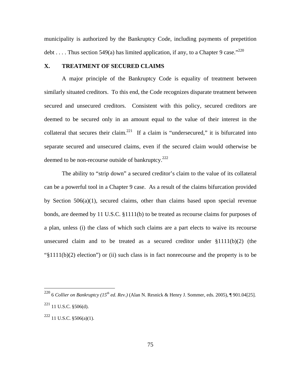municipality is authorized by the Bankruptcy Code, including payments of prepetition debt . . . . Thus section 549(a) has limited application, if any, to a Chapter 9 case."<sup>220</sup>

## **X. TREATMENT OF SECURED CLAIMS**

A major principle of the Bankruptcy Code is equality of treatment between similarly situated creditors. To this end, the Code recognizes disparate treatment between secured and unsecured creditors. Consistent with this policy, secured creditors are deemed to be secured only in an amount equal to the value of their interest in the collateral that secures their claim.<sup>221</sup> If a claim is "undersecured," it is bifurcated into separate secured and unsecured claims, even if the secured claim would otherwise be deemed to be non-recourse outside of bankruptcy. $222$ 

The ability to "strip down" a secured creditor's claim to the value of its collateral can be a powerful tool in a Chapter 9 case. As a result of the claims bifurcation provided by Section 506(a)(1), secured claims, other than claims based upon special revenue bonds, are deemed by 11 U.S.C. §1111(b) to be treated as recourse claims for purposes of a plan, unless (i) the class of which such claims are a part elects to waive its recourse unsecured claim and to be treated as a secured creditor under  $\S1111(b)(2)$  (the "§1111(b)(2) election") or (ii) such class is in fact nonrecourse and the property is to be

1

<sup>&</sup>lt;sup>220</sup> 6 *Collier on Bankruptcy (15<sup>th</sup> ed. Rev.)* (Alan N. Resnick & Henry J. Sommer, eds. 2005), ¶ 901.04[25].  $221$  11 U.S.C. §506(d).

 $222$  11 U.S.C. §506(a)(1).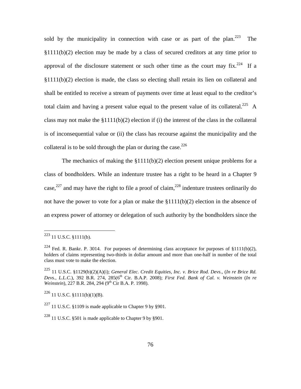sold by the municipality in connection with case or as part of the plan.<sup>223</sup> The §1111(b)(2) election may be made by a class of secured creditors at any time prior to approval of the disclosure statement or such other time as the court may  $fix.^{224}$  If a §1111(b)(2) election is made, the class so electing shall retain its lien on collateral and shall be entitled to receive a stream of payments over time at least equal to the creditor's total claim and having a present value equal to the present value of its collateral.<sup>225</sup> A class may not make the  $\S1111(b)(2)$  election if (i) the interest of the class in the collateral is of inconsequential value or (ii) the class has recourse against the municipality and the collateral is to be sold through the plan or during the case.<sup>226</sup>

The mechanics of making the §1111(b)(2) election present unique problems for a class of bondholders. While an indenture trustee has a right to be heard in a Chapter 9 case,<sup>227</sup> and may have the right to file a proof of claim,<sup>228</sup> indenture trustees ordinarily do not have the power to vote for a plan or make the  $$1111(b)(2)$  election in the absence of an express power of attorney or delegation of such authority by the bondholders since the

 $223$  11 U.S.C. §1111(b).

<sup>&</sup>lt;sup>224</sup> Fed. R. Bankr. P. 3014. For purposes of determining class acceptance for purposes of §1111(b)(2), holders of claims representing two-thirds in dollar amount and more than one-half in number of the total class must vote to make the election.

<sup>225 11</sup> U.S.C. §1129(b)(2)(A)(i); *General Elec. Credit Equities, Inc. v. Brice Rod. Devs*., (*In re Brice Rd. Devs., L.L.C.*), 392 B.R. 274, 285(6<sup>th</sup> Cir. B.A.P. 2008); *First Fed. Bank of Cal. v. Weinstein* (*In re Weinstein*), 227 B.R. 284, 294 (9<sup>th</sup> Cir B.A. P. 1998).

 $226$  11 U.S.C. §1111(b)(1)(B).

 $^{227}$  11 U.S.C. §1109 is made applicable to Chapter 9 by §901.

 $228$  11 U.S.C. §501 is made applicable to Chapter 9 by §901.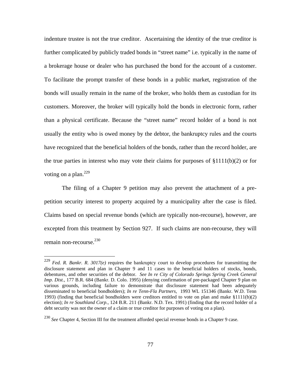indenture trustee is not the true creditor. Ascertaining the identity of the true creditor is further complicated by publicly traded bonds in "street name" i.e. typically in the name of a brokerage house or dealer who has purchased the bond for the account of a customer. To facilitate the prompt transfer of these bonds in a public market, registration of the bonds will usually remain in the name of the broker, who holds them as custodian for its customers. Moreover, the broker will typically hold the bonds in electronic form, rather than a physical certificate. Because the "street name" record holder of a bond is not usually the entity who is owed money by the debtor, the bankruptcy rules and the courts have recognized that the beneficial holders of the bonds, rather than the record holder, are the true parties in interest who may vote their claims for purposes of  $\S1111(b)(2)$  or for voting on a plan.<sup>229</sup>

The filing of a Chapter 9 petition may also prevent the attachment of a prepetition security interest to property acquired by a municipality after the case is filed. Claims based on special revenue bonds (which are typically non-recourse), however, are excepted from this treatment by Section 927. If such claims are non-recourse, they will remain non-recourse. $230$ 

<u>.</u>

<sup>&</sup>lt;sup>229</sup> *Fed. R. Bankr. R. 3017(e)* requires the bankruptcy court to develop procedures for transmitting the disclosure statement and plan in Chapter 9 and 11 cases to the beneficial holders of stocks, bonds, debentures, and other securities of the debtor. *See In re City of Colorado Springs Spring Creek General Imp. Dist.*, 177 B.R. 684 (Bankr. D. Colo. 1995) (denying confirmation of pre-packaged Chapter 9 plan on various grounds, including failure to demonstrate that disclosure statement had been adequately disseminated to beneficial bondholders); *In re Tenn-Fla Partners,* 1993 WL 151346 (Bankr. W.D. Tenn 1993) (finding that beneficial bondholders were creditors entitled to vote on plan and make §1111(b)(2) election); *In re Southland Corp.*, 124 B.R. 211 (Bankr. N.D. Tex. 1991) (finding that the record holder of a debt security was not the owner of a claim or true creditor for purposes of voting on a plan).

<sup>230</sup> *See* Chapter 4, Section III for the treatment afforded special revenue bonds in a Chapter 9 case.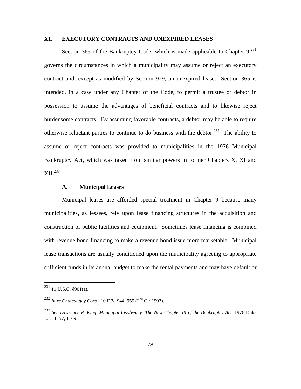## **XI. EXECUTORY CONTRACTS AND UNEXPIRED LEASES**

Section 365 of the Bankruptcy Code, which is made applicable to Chapter  $9<sub>1</sub><sup>231</sup>$ governs the circumstances in which a municipality may assume or reject an executory contract and, except as modified by Section 929, an unexpired lease. Section 365 is intended, in a case under any Chapter of the Code, to permit a trustee or debtor in possession to assume the advantages of beneficial contracts and to likewise reject burdensome contracts. By assuming favorable contracts, a debtor may be able to require otherwise reluctant parties to continue to do business with the debtor.<sup>232</sup> The ability to assume or reject contracts was provided to municipalities in the 1976 Municipal Bankruptcy Act, which was taken from similar powers in former Chapters X, XI and XII.233

## **A. Municipal Leases**

Municipal leases are afforded special treatment in Chapter 9 because many municipalities, as lessees, rely upon lease financing structures in the acquisition and construction of public facilities and equipment. Sometimes lease financing is combined with revenue bond financing to make a revenue bond issue more marketable. Municipal lease transactions are usually conditioned upon the municipality agreeing to appropriate sufficient funds in its annual budget to make the rental payments and may have default or

1

 $231$  11 U.S.C. §901(a).

<sup>232</sup> *In re Chateaugay Corp*., 10 F.3d 944, 955 (2nd Cir 1993).

<sup>233</sup> *See Lawrence P. King, Municipal Insolvency: The New Chapter IX of the Bankruptcy Act*, 1976 Duke L. J. 1157, 1169.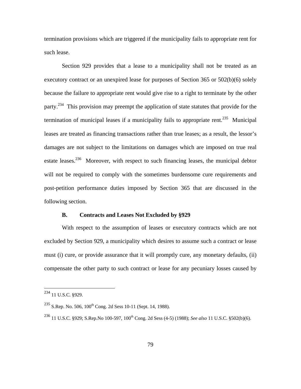termination provisions which are triggered if the municipality fails to appropriate rent for such lease.

Section 929 provides that a lease to a municipality shall not be treated as an executory contract or an unexpired lease for purposes of Section 365 or 502(b)(6) solely because the failure to appropriate rent would give rise to a right to terminate by the other party.234 This provision may preempt the application of state statutes that provide for the termination of municipal leases if a municipality fails to appropriate rent.<sup>235</sup> Municipal leases are treated as financing transactions rather than true leases; as a result, the lessor's damages are not subject to the limitations on damages which are imposed on true real estate leases.<sup>236</sup> Moreover, with respect to such financing leases, the municipal debtor will not be required to comply with the sometimes burdensome cure requirements and post-petition performance duties imposed by Section 365 that are discussed in the following section.

### **B. Contracts and Leases Not Excluded by §929**

With respect to the assumption of leases or executory contracts which are not excluded by Section 929, a municipality which desires to assume such a contract or lease must (i) cure, or provide assurance that it will promptly cure, any monetary defaults, (ii) compensate the other party to such contract or lease for any pecuniary losses caused by

 $^{234}$  11 U.S.C. §929.

 $^{235}$  S.Rep. No. 506, 100<sup>th</sup> Cong. 2d Sess 10-11 (Sept. 14, 1988).

<sup>&</sup>lt;sup>236</sup> 11 U.S.C. §929; S.Rep.No 100-597, 100<sup>th</sup> Cong. 2d Sess (4-5) (1988); *See also* 11 U.S.C. §502(b)(6).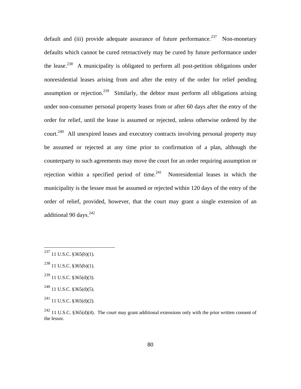default and (iii) provide adequate assurance of future performance.<sup>237</sup> Non-monetary defaults which cannot be cured retroactively may be cured by future performance under the lease.<sup>238</sup> A municipality is obligated to perform all post-petition obligations under nonresidential leases arising from and after the entry of the order for relief pending assumption or rejection.<sup>239</sup> Similarly, the debtor must perform all obligations arising under non-consumer personal property leases from or after 60 days after the entry of the order for relief, until the lease is assumed or rejected, unless otherwise ordered by the court.<sup>240</sup> All unexpired leases and executory contracts involving personal property may be assumed or rejected at any time prior to confirmation of a plan, although the counterparty to such agreements may move the court for an order requiring assumption or rejection within a specified period of time. $241$  Nonresidential leases in which the municipality is the lessee must be assumed or rejected within 120 days of the entry of the order of relief, provided, however, that the court may grant a single extension of an additional 90 days. $242$ 

 $^{237}$  11 U.S.C. §365(b)(1).

 $^{238}$  11 U.S.C. §365(b)(1).

 $^{239}$  11 U.S.C. §365(d)(3).

 $^{240}$  11 U.S.C. §365(d)(5).

 $^{241}$  11 U.S.C. §365(d)(2).

<sup>&</sup>lt;sup>242</sup> 11 U.S.C. §365(d)(4). The court may grant additional extensions only with the prior written consent of the lessor.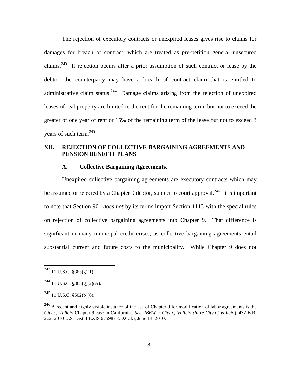The rejection of executory contracts or unexpired leases gives rise to claims for damages for breach of contract, which are treated as pre-petition general unsecured claims.<sup>243</sup> If rejection occurs after a prior assumption of such contract or lease by the debtor, the counterparty may have a breach of contract claim that is entitled to administrative claim status.<sup>244</sup> Damage claims arising from the rejection of unexpired leases of real property are limited to the rent for the remaining term, but not to exceed the greater of one year of rent or 15% of the remaining term of the lease but not to exceed 3 vears of such term. $^{245}$ 

# **XII. REJECTION OF COLLECTIVE BARGAINING AGREEMENTS AND PENSION BENEFIT PLANS**

### **A. Collective Bargaining Agreements.**

Unexpired collective bargaining agreements are executory contracts which may be assumed or rejected by a Chapter 9 debtor, subject to court approval.<sup>246</sup> It is important to note that Section 901 *does not* by its terms import Section 1113 with the special rules on rejection of collective bargaining agreements into Chapter 9. That difference is significant in many municipal credit crises, as collective bargaining agreements entail substantial current and future costs to the municipality. While Chapter 9 does not

 $^{243}$  11 U.S.C. §365(g)(1).

 $^{244}$  11 U.S.C. §365(g)(2)(A).

 $245$  11 U.S.C. §502(b)(6).

<sup>&</sup>lt;sup>246</sup> A recent and highly visible instance of the use of Chapter 9 for modification of labor agreements is the *City of Vallejo* Chapter 9 case in California. *See*, *IBEW v. City of Vallejo (In re City of Vallejo*), 432 B.R. 262, 2010 U.S. Dist. LEXIS 67598 (E.D.Cal.), June 14, 2010.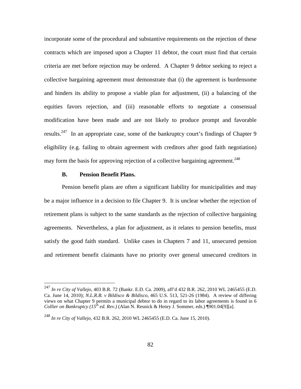incorporate some of the procedural and substantive requirements on the rejection of these contracts which are imposed upon a Chapter 11 debtor, the court must find that certain criteria are met before rejection may be ordered. A Chapter 9 debtor seeking to reject a collective bargaining agreement must demonstrate that (i) the agreement is burdensome and hinders its ability to propose a viable plan for adjustment, (ii) a balancing of the equities favors rejection, and (iii) reasonable efforts to negotiate a consensual modification have been made and are not likely to produce prompt and favorable results.<sup>247</sup> In an appropriate case, some of the bankruptcy court's findings of Chapter 9 eligibility (e.g. failing to obtain agreement with creditors after good faith negotiation) may form the basis for approving rejection of a collective bargaining agreement.<sup>248</sup>

#### **B. Pension Benefit Plans.**

1

Pension benefit plans are often a significant liability for municipalities and may be a major influence in a decision to file Chapter 9. It is unclear whether the rejection of retirement plans is subject to the same standards as the rejection of collective bargaining agreements. Nevertheless, a plan for adjustment, as it relates to pension benefits, must satisfy the good faith standard. Unlike cases in Chapters 7 and 11, unsecured pension and retirement benefit claimants have no priority over general unsecured creditors in

<sup>247</sup> *In re City of Vallejo*, 403 B.R. 72 (Bankr. E.D. Ca. 2009), aff'd 432 B.R. 262, 2010 WL 2465455 (E.D. Ca. June 14, 2010); *N.L.R.B. v Bildisco & Bildisco*, 465 U.S. 513, 521-26 (1984). A review of differing views on what Chapter 9 permits a municipal debtor to do in regard to its labor agreements is found in 6 *Collier on Bankruptcy (15<sup>th</sup> ed. Rev.)* (Alan N. Resnick & Henry J. Sommer, eds.) [[901.04]9][a].

<sup>248</sup> *In re City of Vallejo,* 432 B.R. 262, 2010 WL 2465455 (E.D. Ca. June 15, 2010).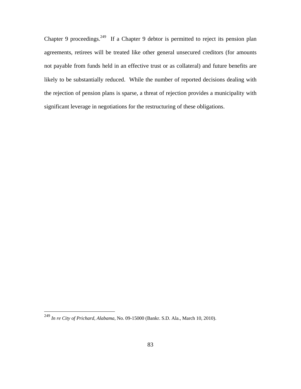Chapter 9 proceedings.<sup>249</sup> If a Chapter 9 debtor is permitted to reject its pension plan agreements, retirees will be treated like other general unsecured creditors (for amounts not payable from funds held in an effective trust or as collateral) and future benefits are likely to be substantially reduced. While the number of reported decisions dealing with the rejection of pension plans is sparse, a threat of rejection provides a municipality with significant leverage in negotiations for the restructuring of these obligations.

1

<sup>249</sup> *In re City of Prichard, Alabama*, No. 09-15000 (Bankr. S.D. Ala., March 10, 2010).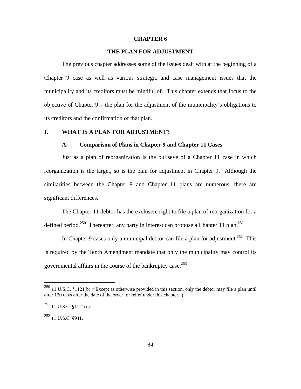#### **CHAPTER 6**

### **THE PLAN FOR ADJUSTMENT**

The previous chapter addresses some of the issues dealt with at the beginning of a Chapter 9 case as well as various strategic and case management issues that the municipality and its creditors must be mindful of. This chapter extends that focus to the objective of Chapter 9 – the plan for the adjustment of the municipality's obligations to its creditors and the confirmation of that plan.

### **I. WHAT IS A PLAN FOR ADJUSTMENT?**

#### **A. Comparison of Plans in Chapter 9 and Chapter 11 Cases**

Just as a plan of reorganization is the bullseye of a Chapter 11 case in which reorganization is the target, so is the plan for adjustment in Chapter 9. Although the similarities between the Chapter 9 and Chapter 11 plans are numerous, there are significant differences.

The Chapter 11 debtor has the exclusive right to file a plan of reorganization for a defined period.<sup>250</sup> Thereafter, any party in interest can propose a Chapter 11 plan.<sup>251</sup>

In Chapter 9 cases only a municipal debtor can file a plan for adjustment.<sup>252</sup> This is required by the Tenth Amendment mandate that only the municipality may control its governmental affairs in the course of the bankruptcy case.<sup>253</sup>

<sup>&</sup>lt;sup>250</sup> 11 U.S.C. §1121(b) ("Except as otherwise provided in this section, only the debtor may file a plan until after 120 days after the date of the order for relief under this chapter.")

 $^{251}$  11 U.S.C. §1121(c).

<sup>252 11</sup> U.S.C. §941.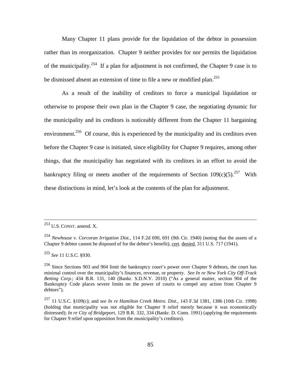Many Chapter 11 plans provide for the liquidation of the debtor in possession rather than its reorganization. Chapter 9 neither provides for nor permits the liquidation of the municipality.<sup>254</sup> If a plan for adjustment is not confirmed, the Chapter 9 case is to be dismissed absent an extension of time to file a new or modified plan.<sup>255</sup>

As a result of the inability of creditors to force a municipal liquidation or otherwise to propose their own plan in the Chapter 9 case, the negotiating dynamic for the municipality and its creditors is noticeably different from the Chapter 11 bargaining environment.<sup>256</sup> Of course, this is experienced by the municipality and its creditors even before the Chapter 9 case is initiated, since eligibility for Chapter 9 requires, among other things, that the municipality has negotiated with its creditors in an effort to avoid the bankruptcy filing or meets another of the requirements of Section  $109(c)(5)$ <sup>257</sup> With these distinctions in mind, let's look at the contents of the plan for adjustment.

<sup>255</sup> *See* 11 U.S.C. §930.

 <sup>253</sup> U.S. CONST. amend. X.

<sup>254</sup> *Newhouse v. Corcoran Irrigation Dist.,* 114 F.2d 690, 691 (9th Cir. 1940) (noting that the assets of a Chapter 9 debtor cannot be disposed of for the debtor's benefit), cert. denied, 311 U.S. 717 (1941).

<sup>256</sup> Since Sections 903 and 904 limit the bankruptcy court's power over Chapter 9 debtors, the court has minimal control over the municipality's finances, revenue, or property. *See In re New York City Off-Track Betting Corp.*; 434 B.R. 131, 140 (Bankr. S.D.N.Y. 2010) ("As a general matter, section 904 of the Bankruptcy Code places severe limits on the power of courts to compel any action from Chapter 9 debtors").

<sup>257 11</sup> U.S.C. §109(c); and *see In re Hamilton Creek Metro. Dist.,* 143 F.3d 1381, 1386 (10th Cir. 1998) (holding that municipality was not eligible for Chapter 9 relief merely because it was economically distressed); *In re City of Bridgeport*, 129 B.R. 332, 334 (Bankr. D. Conn. 1991) (applying the requirements for Chapter 9 relief upon opposition from the municipality's creditors).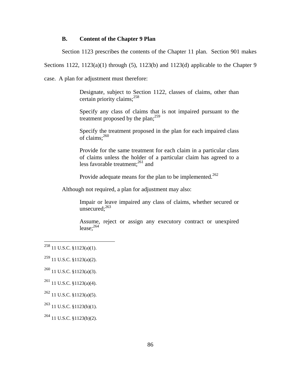### **B. Content of the Chapter 9 Plan**

Section 1123 prescribes the contents of the Chapter 11 plan. Section 901 makes

Sections 1122,  $1123(a)(1)$  through (5),  $1123(b)$  and  $1123(d)$  applicable to the Chapter 9

case. A plan for adjustment must therefore:

Designate, subject to Section 1122, classes of claims, other than certain priority claims;<sup>258</sup>

Specify any class of claims that is not impaired pursuant to the treatment proposed by the plan; $^{259}$ 

Specify the treatment proposed in the plan for each impaired class of claims;<sup>260</sup>

Provide for the same treatment for each claim in a particular class of claims unless the holder of a particular claim has agreed to a less favorable treatment; $^{261}$  and

Provide adequate means for the plan to be implemented.<sup>262</sup>

Although not required, a plan for adjustment may also:

Impair or leave impaired any class of claims, whether secured or unsecured: $263$ 

Assume, reject or assign any executory contract or unexpired lease: $264$ 

 $^{258}$  11 U.S.C. §1123(a)(1).

<sup>259 11</sup> U.S.C. §1123(a)(2).

 $^{260}$  11 U.S.C. §1123(a)(3).

 $261$  11 U.S.C. §1123(a)(4).

 $262$  11 U.S.C. §1123(a)(5).

 $^{263}$  11 U.S.C. §1123(b)(1).

<sup>264 11</sup> U.S.C. §1123(b)(2).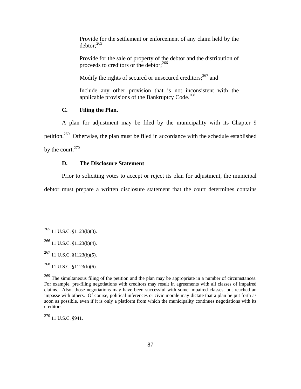Provide for the settlement or enforcement of any claim held by the  $dektor: <sup>265</sup>$ 

Provide for the sale of property of the debtor and the distribution of proceeds to creditors or the debtor;  $2^{66}$ 

Modify the rights of secured or unsecured creditors;<sup>267</sup> and

Include any other provision that is not inconsistent with the applicable provisions of the Bankruptcy Code. $^{268}$ 

## **C. Filing the Plan.**

A plan for adjustment may be filed by the municipality with its Chapter 9 petition.269 Otherwise, the plan must be filed in accordance with the schedule established by the court.<sup>270</sup>

## **D. The Disclosure Statement**

Prior to soliciting votes to accept or reject its plan for adjustment, the municipal

debtor must prepare a written disclosure statement that the court determines contains

 $\overline{a}$ 

270 11 U.S.C. §941.

 $^{265}$  11 U.S.C. §1123(b)(3).

<sup>266 11</sup> U.S.C. §1123(b)(4).

 $^{267}$  11 U.S.C. §1123(b)(5).

<sup>268 11</sup> U.S.C. §1123(b)(6).

<sup>&</sup>lt;sup>269</sup> The simultaneous filing of the petition and the plan may be appropriate in a number of circumstances. For example, pre-filing negotiations with creditors may result in agreements with all classes of impaired claims. Also, those negotiations may have been successful with some impaired classes, but reached an impasse with others. Of course, political inferences or civic morale may dictate that a plan be put forth as soon as possible, even if it is only a platform from which the municipality continues negotiations with its creditors.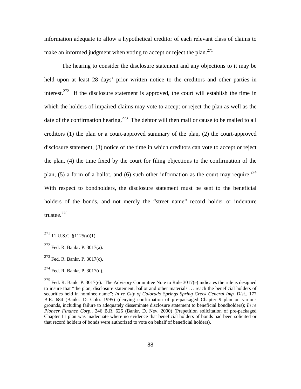information adequate to allow a hypothetical creditor of each relevant class of claims to make an informed judgment when voting to accept or reject the plan.<sup>271</sup>

The hearing to consider the disclosure statement and any objections to it may be held upon at least 28 days' prior written notice to the creditors and other parties in interest.<sup>272</sup> If the disclosure statement is approved, the court will establish the time in which the holders of impaired claims may vote to accept or reject the plan as well as the date of the confirmation hearing.<sup>273</sup> The debtor will then mail or cause to be mailed to all creditors (1) the plan or a court-approved summary of the plan, (2) the court-approved disclosure statement, (3) notice of the time in which creditors can vote to accept or reject the plan, (4) the time fixed by the court for filing objections to the confirmation of the plan, (5) a form of a ballot, and (6) such other information as the court may require.<sup>274</sup> With respect to bondholders, the disclosure statement must be sent to the beneficial holders of the bonds, and not merely the "street name" record holder or indenture trustee.<sup>275</sup>

1

 $^{271}$  11 U.S.C. §1125(a)(1).

 $272$  Fed. R. Bankr. P. 3017(a).

<sup>273</sup> Fed. R. Bankr. P. 3017(c).

<sup>274</sup> Fed. R. Bankr. P. 3017(d).

<sup>&</sup>lt;sup>275</sup> Fed. R. Bankr P. 3017(e). The Advisory Committee Note to Rule 3017(e) indicates the rule is designed to insure that "the plan, disclosure statement, ballot and other materials … reach the beneficial holders of securities held in nominee name"; *In re City of Colorado Springs Spring Creek General Imp. Dist.*, 177 B.R. 684 (Bankr. D. Colo. 1995) (denying confirmation of pre-packaged Chapter 9 plan on various grounds, including failure to adequately disseminate disclosure statement to beneficial bondholders); *In re Pioneer Finance Corp.*, 246 B.R. 626 (Bankr. D. Nev. 2000) (Prepetition solicitation of pre-packaged Chapter 11 plan was inadequate where no evidence that beneficial holders of bonds had been solicited or that record holders of bonds were authorized to vote on behalf of beneficial holders).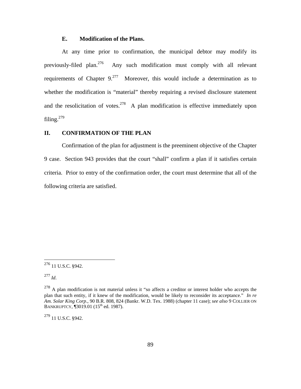### **E. Modification of the Plans.**

At any time prior to confirmation, the municipal debtor may modify its previously-filed plan.276 Any such modification must comply with all relevant requirements of Chapter  $9.277$  Moreover, this would include a determination as to whether the modification is "material" thereby requiring a revised disclosure statement and the resolicitation of votes.  $278$  A plan modification is effective immediately upon filing. $279$ 

### **II. CONFIRMATION OF THE PLAN**

Confirmation of the plan for adjustment is the preeminent objective of the Chapter 9 case. Section 943 provides that the court "shall" confirm a plan if it satisfies certain criteria. Prior to entry of the confirmation order, the court must determine that all of the following criteria are satisfied.

<sup>277</sup> *Id*.

 $\overline{a}$ 

 $^{279}$  11 U.S.C. §942.

 $276$  11 U.S.C. §942.

 $278$  A plan modification is not material unless it "so affects a creditor or interest holder who accepts the plan that such entity, if it knew of the modification, would be likely to reconsider its acceptance." *In re Am. Solar King Corp*., 90 B.R. 808, 824 (Bankr. W.D. Tex. 1988) (chapter 11 case); *see also* 9 COLLIER ON BANKRUPTCY, 13019.01 (15<sup>th</sup> ed. 1987).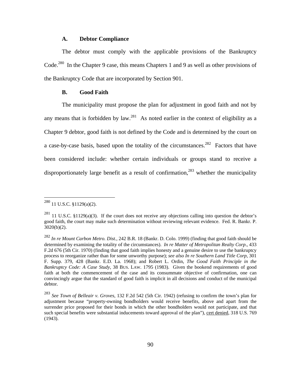#### **A. Debtor Compliance**

The debtor must comply with the applicable provisions of the Bankruptcy Code.<sup>280</sup> In the Chapter 9 case, this means Chapters 1 and 9 as well as other provisions of the Bankruptcy Code that are incorporated by Section 901.

## **B. Good Faith**

The municipality must propose the plan for adjustment in good faith and not by any means that is forbidden by law.<sup>281</sup> As noted earlier in the context of eligibility as a Chapter 9 debtor, good faith is not defined by the Code and is determined by the court on a case-by-case basis, based upon the totality of the circumstances.<sup>282</sup> Factors that have been considered include: whether certain individuals or groups stand to receive a disproportionately large benefit as a result of confirmation, $283$  whether the municipality

 $^{280}$  11 U.S.C. §1129(a)(2).

 $281$  11 U.S.C. §1129(a)(3). If the court does not receive any objections calling into question the debtor's good faith, the court may make such determination without reviewing relevant evidence. Fed. R. Bankr. P. 3020(b)(2).

<sup>282</sup> *In re Mount Carbon Metro. Dist.,* 242 B.R. 18 (Bankr. D. Colo. 1999) (finding that good faith should be determined by examining the totality of the circumstances). *In re Matter of Metropolitan Realty Corp*., 433 F.2d 676 (5th Cir. 1970) (finding that good faith implies honesty and a genuine desire to use the bankruptcy process to reorganize rather than for some unworthy purpose); *see also In re Southern Land Title Corp*, 301 F. Supp. 379, 428 (Bankr. E.D. La. 1968); and Robert L. Ordin, *The Good Faith Principle in the Bankruptcy Code: A Case Study*, 38 BUS. LAW. 1795 (1983). Given the bookend requirements of good faith at both the commencement of the case and its consummate objective of confirmation, one can convincingly argue that the standard of good faith is implicit in all decisions and conduct of the municipal debtor.

<sup>283</sup> *See Town of Belleair v. Groves*, 132 F.2d 542 (5th Cir. 1942) (refusing to confirm the town's plan for adjustment because "property-owning bondholders would receive benefits, above and apart from the surrender price proposed for their bonds in which the other bondholders would not participate, and that such special benefits were substantial inducements toward approval of the plan"), cert denied, 318 U.S. 769 (1943).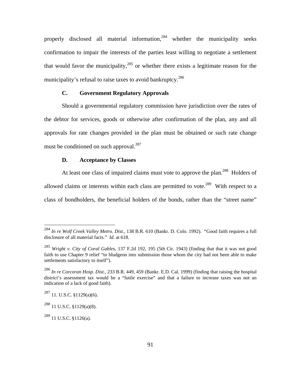properly disclosed all material information,<sup>284</sup> whether the municipality seeks confirmation to impair the interests of the parties least willing to negotiate a settlement that would favor the municipality,  $285$  or whether there exists a legitimate reason for the municipality's refusal to raise taxes to avoid bankruptcy.<sup>286</sup>

## **C. Government Regulatory Approvals**

Should a governmental regulatory commission have jurisdiction over the rates of the debtor for services, goods or otherwise after confirmation of the plan, any and all approvals for rate changes provided in the plan must be obtained or such rate change must be conditioned on such approval.<sup>287</sup>

## **D. Acceptance by Classes**

At least one class of impaired claims must vote to approve the plan.<sup>288</sup> Holders of allowed claims or interests within each class are permitted to vote.<sup>289</sup> With respect to a class of bondholders, the beneficial holders of the bonds, rather than the "street name"

<sup>284</sup> *In re Wolf Creek Valley Metro. Dist.,* 138 B.R. 610 (Bankr. D. Colo. 1992). "Good faith requires a full disclosure of all material facts." *Id.* at 618.

<sup>285</sup> *Wright v. City of Coral Gables*, 137 F.2d 192, 195 (5th Cir. 1943) (finding that that it was not good faith to use Chapter 9 relief "to bludgeon into submission those whom the city had not been able to make settlements satisfactory to itself").

<sup>286</sup> *In re Corcoran Hosp. Dist.,* 233 B.R. 449, 459 (Bankr. E.D. Cal. 1999) (finding that raising the hospital district's assessment tax would be a "futile exercise" and that a failure to increase taxes was not an indication of a lack of good faith).

<sup>287 11.</sup> U.S.C. §1129(a)(6).

 $^{288}$  11 U.S.C. §1129(a)(8).

 $^{289}$  11 U.S.C. §1126(a).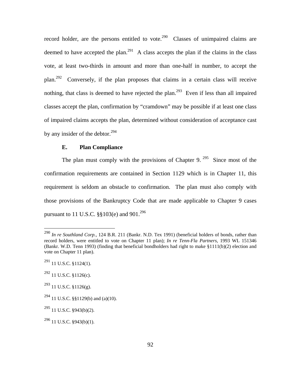record holder, are the persons entitled to vote.<sup>290</sup> Classes of unimpaired claims are deemed to have accepted the plan.<sup>291</sup> A class accepts the plan if the claims in the class vote, at least two-thirds in amount and more than one-half in number, to accept the plan.292 Conversely, if the plan proposes that claims in a certain class will receive nothing, that class is deemed to have rejected the plan.<sup>293</sup> Even if less than all impaired classes accept the plan, confirmation by "cramdown" may be possible if at least one class of impaired claims accepts the plan, determined without consideration of acceptance cast by any insider of the debtor. $^{294}$ 

## **E. Plan Compliance**

The plan must comply with the provisions of Chapter 9. <sup>295</sup> Since most of the confirmation requirements are contained in Section 1129 which is in Chapter 11, this requirement is seldom an obstacle to confirmation. The plan must also comply with those provisions of the Bankruptcy Code that are made applicable to Chapter 9 cases pursuant to 11 U.S.C.  $\S$ §103(e) and 901.<sup>296</sup>

<sup>290</sup> *In re Southland Corp.*, 124 B.R. 211 (Bankr. N.D. Tex 1991) (beneficial holders of bonds, rather than record holders, were entitled to vote on Chapter 11 plan); *In re Tenn-Fla Partners,* 1993 WL 151346 (Bankr. W.D. Tenn 1993) (finding that beneficial bondholders had right to make §1111(b)(2) election and vote on Chapter 11 plan).

 $^{291}$  11 U.S.C. §1124(1).

 $^{292}$  11 U.S.C. §1126(c).

 $^{293}$  11 U.S.C. §1126(g).

<sup>&</sup>lt;sup>294</sup> 11 U.S.C. §§1129(b) and (a)(10).

 $^{295}$  11 U.S.C. §943(b)(2).

 $296$  11 U.S.C. §943(b)(1).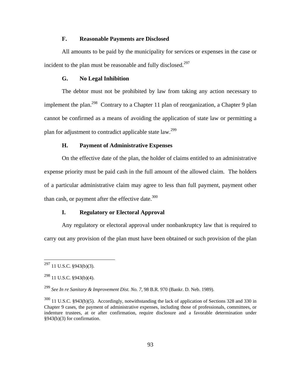## **F. Reasonable Payments are Disclosed**

All amounts to be paid by the municipality for services or expenses in the case or incident to the plan must be reasonable and fully disclosed.<sup>297</sup>

#### **G. No Legal Inhibition**

The debtor must not be prohibited by law from taking any action necessary to implement the plan.<sup>298</sup> Contrary to a Chapter 11 plan of reorganization, a Chapter 9 plan cannot be confirmed as a means of avoiding the application of state law or permitting a plan for adjustment to contradict applicable state law.<sup>299</sup>

#### **H. Payment of Administrative Expenses**

On the effective date of the plan, the holder of claims entitled to an administrative expense priority must be paid cash in the full amount of the allowed claim. The holders of a particular administrative claim may agree to less than full payment, payment other than cash, or payment after the effective date. $300$ 

## **I. Regulatory or Electoral Approval**

Any regulatory or electoral approval under nonbankruptcy law that is required to carry out any provision of the plan must have been obtained or such provision of the plan

1

 $^{297}$  11 U.S.C. §943(b)(3).

 $^{298}$  11 U.S.C. §943(b)(4).

<sup>299</sup> *See In re Sanitary & Improvement Dist. No. 7*, 98 B.R. 970 (Bankr. D. Neb. 1989).

<sup>300 11</sup> U.S.C. §943(b)(5). Accordingly, notwithstanding the lack of application of Sections 328 and 330 in Chapter 9 cases, the payment of administrative expenses, including those of professionals, committees, or indenture trustees, at or after confirmation, require disclosure and a favorable determination under §943(b)(3) for confirmation.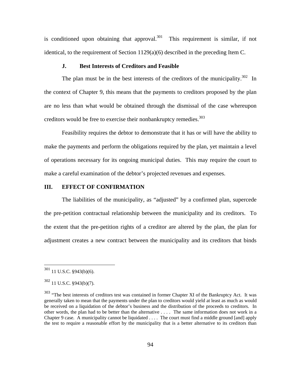is conditioned upon obtaining that approval. $301$  This requirement is similar, if not identical, to the requirement of Section 1129(a)(6) described in the preceding Item C.

#### **J. Best Interests of Creditors and Feasible**

The plan must be in the best interests of the creditors of the municipality.<sup>302</sup> In the context of Chapter 9, this means that the payments to creditors proposed by the plan are no less than what would be obtained through the dismissal of the case whereupon creditors would be free to exercise their nonbankruptcy remedies. $303$ 

Feasibility requires the debtor to demonstrate that it has or will have the ability to make the payments and perform the obligations required by the plan, yet maintain a level of operations necessary for its ongoing municipal duties. This may require the court to make a careful examination of the debtor's projected revenues and expenses.

### **III. EFFECT OF CONFIRMATION**

The liabilities of the municipality, as "adjusted" by a confirmed plan, supercede the pre-petition contractual relationship between the municipality and its creditors. To the extent that the pre-petition rights of a creditor are altered by the plan, the plan for adjustment creates a new contract between the municipality and its creditors that binds

1

 $301$  11 U.S.C. §943(b)(6).

<sup>302 11</sup> U.S.C. §943(b)(7).

<sup>&</sup>lt;sup>303</sup> "The best interests of creditors test was contained in former Chapter XI of the Bankruptcy Act. It was generally taken to mean that the payments under the plan to creditors would yield at least as much as would be received on a liquidation of the debtor's business and the distribution of the proceeds to creditors. In other words, the plan had to be better than the alternative . . . . The same information does not work in a Chapter 9 case. A municipality cannot be liquidated . . . . The court must find a middle ground [and] apply the test to require a reasonable effort by the municipality that is a better alternative to its creditors than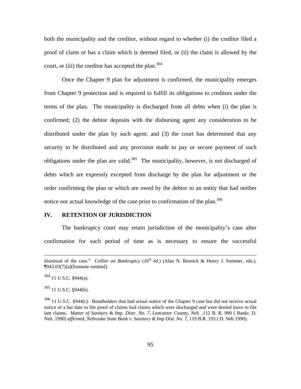both the municipality and the creditor, without regard to whether (i) the creditor filed a proof of claim or has a claim which is deemed filed, or (ii) the claim is allowed by the court, or (iii) the creditor has accepted the plan.<sup>304</sup>

Once the Chapter 9 plan for adjustment is confirmed, the municipality emerges from Chapter 9 protection and is required to fulfill its obligations to creditors under the terms of the plan. The municipality is discharged from all debts when (i) the plan is confirmed; (2) the debtor deposits with the disbursing agent any consideration to be distributed under the plan by such agent; and (3) the court has determined that any security to be distributed and any provision made to pay or secure payment of such obligations under the plan are valid.<sup>305</sup> The municipality, however, is not discharged of debts which are expressly excepted from discharge by the plan for adjustment or the order confirming the plan or which are owed by the debtor to an entity that had neither notice nor actual knowledge of the case prior to confirmation of the plan.<sup>306</sup>

#### **IV. RETENTION OF JURISDICTION**

The bankruptcy court may retain jurisdiction of the municipality's case after confirmation for such period of time as is necessary to ensure the successful

dismissal of the case." *Collier on Bankruptcy* (16<sup>th</sup> ed.) (Alan N. Resnick & Henry J. Sommer, eds.),  $\P$ 943.03(7)(a)(footnote omitted).

 $304$  11 U.S.C. §944(a).

 $305$  11 U.S.C. §944(b).

<sup>&</sup>lt;sup>306</sup> 11 U.S.C. §944(c). Bondholders that had actual notice of the Chapter 9 case but did not receive actual notice of a bar date to file proof of claims had claims which were discharged and were denied leave to file late claims. *Matter of Sanitary & Imp. Distr. No. 7, Lancaster County, Neb. ,*112 B. R. 990 ( Bankr. D. Neb. 1990) *affirmed, Nebraska State Bank v. Sanitary & Imp Dist. No. 7*, 119 B.R. 193 ( D. Neb 1990).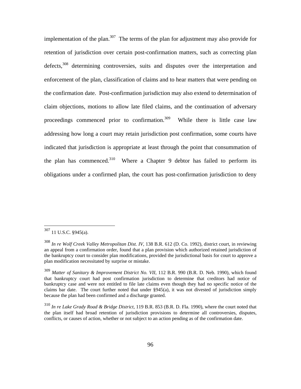implementation of the plan.<sup>307</sup> The terms of the plan for adjustment may also provide for retention of jurisdiction over certain post-confirmation matters, such as correcting plan defects.<sup>308</sup> determining controversies, suits and disputes over the interpretation and enforcement of the plan, classification of claims and to hear matters that were pending on the confirmation date. Post-confirmation jurisdiction may also extend to determination of claim objections, motions to allow late filed claims, and the continuation of adversary proceedings commenced prior to confirmation.<sup>309</sup> While there is little case law addressing how long a court may retain jurisdiction post confirmation, some courts have indicated that jurisdiction is appropriate at least through the point that consummation of the plan has commenced.<sup>310</sup> Where a Chapter 9 debtor has failed to perform its obligations under a confirmed plan, the court has post-confirmation jurisdiction to deny

 $307$  11 U.S.C. §945(a).

<sup>308</sup> *In re Wolf Creek Valley Metropolitan Dist. IV,* 138 B.R. 612 (D. Co. 1992), district court, in reviewing an appeal from a confirmation order, found that a plan provision which authorized retained jurisdiction of the bankruptcy court to consider plan modifications, provided the jurisdictional basis for court to approve a plan modification necessitated by surprise or mistake.

<sup>309</sup> *Matter of Sanitary & Improvement District No. VII*, 112 B.R. 990 (B.R. D. Neb. 1990), which found that bankruptcy court had post confirmation jurisdiction to determine that creditors had notice of bankruptcy case and were not entitled to file late claims even though they had no specific notice of the claims bar date. The court further noted that under §945(a), it was not divested of jurisdiction simply because the plan had been confirmed and a discharge granted.

<sup>310</sup> *In re Lake Grady Road & Bridge District*, 119 B.R. 853 (B.R. D. Fla. 1990), where the court noted that the plan itself had broad retention of jurisdiction provisions to determine all controversies, disputes, conflicts, or causes of action, whether or not subject to an action pending as of the confirmation date.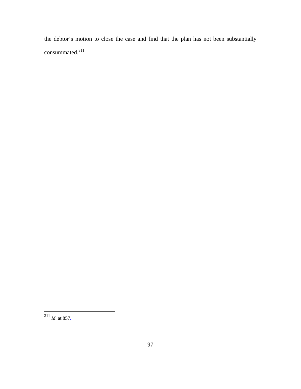the debtor's motion to close the case and find that the plan has not been substantially consummated.<sup>311</sup>

<sup>311</sup> *Id*. at 857.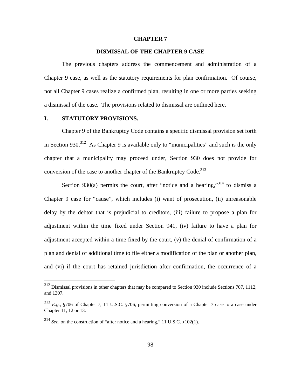#### **CHAPTER 7**

### **DISMISSAL OF THE CHAPTER 9 CASE**

The previous chapters address the commencement and administration of a Chapter 9 case, as well as the statutory requirements for plan confirmation. Of course, not all Chapter 9 cases realize a confirmed plan, resulting in one or more parties seeking a dismissal of the case. The provisions related to dismissal are outlined here.

#### **I. STATUTORY PROVISIONS.**

1

Chapter 9 of the Bankruptcy Code contains a specific dismissal provision set forth in Section 930.<sup>312</sup> As Chapter 9 is available only to "municipalities" and such is the only chapter that a municipality may proceed under, Section 930 does not provide for conversion of the case to another chapter of the Bankruptcy Code.<sup>313</sup>

Section 930(a) permits the court, after "notice and a hearing,"<sup>314</sup> to dismiss a Chapter 9 case for "cause", which includes (i) want of prosecution, (ii) unreasonable delay by the debtor that is prejudicial to creditors, (iii) failure to propose a plan for adjustment within the time fixed under Section 941, (iv) failure to have a plan for adjustment accepted within a time fixed by the court, (v) the denial of confirmation of a plan and denial of additional time to file either a modification of the plan or another plan, and (vi) if the court has retained jurisdiction after confirmation, the occurrence of a

 $312$  Dismissal provisions in other chapters that may be compared to Section 930 include Sections 707, 1112, and 1307.

<sup>313</sup> *E.g.,* §706 of Chapter 7, 11 U.S.C. §706, permitting conversion of a Chapter 7 case to a case under Chapter 11, 12 or 13.

<sup>314</sup> *See*, on the construction of "after notice and a hearing," 11 U.S.C. §102(1).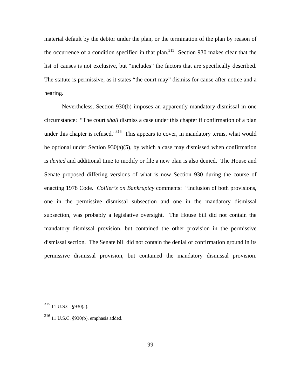material default by the debtor under the plan, or the termination of the plan by reason of the occurrence of a condition specified in that plan.<sup>315</sup> Section 930 makes clear that the list of causes is not exclusive, but "includes" the factors that are specifically described. The statute is permissive, as it states "the court may" dismiss for cause after notice and a hearing.

Nevertheless, Section 930(b) imposes an apparently mandatory dismissal in one circumstance: "The court *shall* dismiss a case under this chapter if confirmation of a plan under this chapter is refused."<sup>316</sup> This appears to cover, in mandatory terms, what would be optional under Section 930(a)(5), by which a case may dismissed when confirmation is *denied* and additional time to modify or file a new plan is also denied. The House and Senate proposed differing versions of what is now Section 930 during the course of enacting 1978 Code. *Collier's on Bankruptcy* comments: "Inclusion of both provisions, one in the permissive dismissal subsection and one in the mandatory dismissal subsection, was probably a legislative oversight. The House bill did not contain the mandatory dismissal provision, but contained the other provision in the permissive dismissal section. The Senate bill did not contain the denial of confirmation ground in its permissive dismissal provision, but contained the mandatory dismissal provision.

 $315$  11 U.S.C. §930(a).

<sup>316 11</sup> U.S.C. §930(b), emphasis added.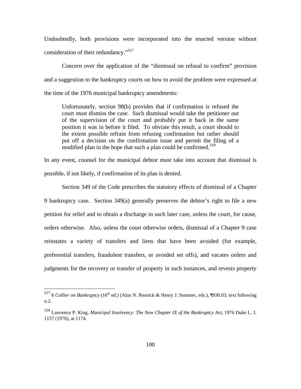Undoubtedly, both provisions were incorporated into the enacted version without consideration of their redundancy."<sup>317</sup>

Concern over the application of the "dismissal on refusal to confirm" provision and a suggestion to the bankruptcy courts on how to avoid the problem were expressed at the time of the 1976 municipal bankruptcy amendments:

Unfortunately, section 98(b) provides that if confirmation is refused the court *must* dismiss the case. Such dismissal would take the petitioner out of the supervision of the court and probably put it back in the same position it was in before it filed. To obviate this result, a court should to the extent possible refrain from refusing confirmation but rather should put off a decision on the confirmation issue and permit the filing of a modified plan in the hope that such a plan could be confirmed.<sup>318</sup>

In any event, counsel for the municipal debtor must take into account that dismissal is possible, if not likely, if confirmation of its plan is denied.

Section 349 of the Code prescribes the statutory effects of dismissal of a Chapter 9 bankruptcy case. Section 349(a) generally preserves the debtor's right to file a new petition for relief and to obtain a discharge in such later case, unless the court, for cause, orders otherwise. Also, unless the court otherwise orders, dismissal of a Chapter 9 case reinstates a variety of transfers and liens that have been avoided (for example, preferential transfers, fraudulent transfers, or avoided set offs), and vacates orders and judgments for the recovery or transfer of property in such instances, and revests property

<sup>317 6</sup> *Collier on Bankruptcy* (16th ed*.)* (Alan N. Resnick & Henry J. Sommer, eds.), ¶930.03, text following n.2.

<sup>318</sup> Lawrence P. King, *Municipal Insolvency: The New Chapter IX of the Bankruptcy Act*, 1976 Duke L. J. 1157 (1976), at 1174.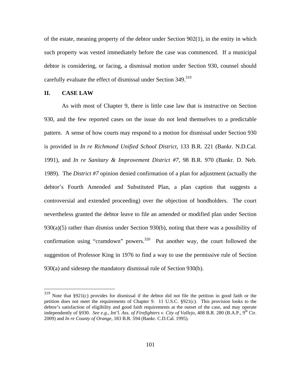of the estate, meaning property of the debtor under Section 902(1), in the entity in which such property was vested immediately before the case was commenced. If a municipal debtor is considering, or facing, a dismissal motion under Section 930, counsel should carefully evaluate the effect of dismissal under Section 349.<sup>319</sup>

## **II. CASE LAW**

 $\overline{a}$ 

As with most of Chapter 9, there is little case law that is instructive on Section 930, and the few reported cases on the issue do not lend themselves to a predictable pattern. A sense of how courts may respond to a motion for dismissal under Section 930 is provided in *In re Richmond Unified School District,* 133 B.R. 221 (Bankr. N.D.Cal. 1991), and *In re Sanitary & Improvement District #7,* 98 B.R. 970 (Bankr. D. Neb. 1989). The *District #7* opinion denied confirmation of a plan for adjustment (actually the debtor's Fourth Amended and Substituted Plan, a plan caption that suggests a controversial and extended proceeding) over the objection of bondholders. The court nevertheless granted the debtor leave to file an amended or modified plan under Section  $930(a)(5)$  rather than dismiss under Section  $930(b)$ , noting that there was a possibility of confirmation using "cramdown" powers. $320$  Put another way, the court followed the suggestion of Professor King in 1976 to find a way to use the permissive rule of Section 930(a) and sidestep the mandatory dismissal rule of Section 930(b).

 $319$  Note that §921(c) provides for dismissal if the debtor did not file the petition in good faith or the petition does not meet the requirements of Chapter 9. 11 U.S.C. §921(c). This provision looks to the debtor's satisfaction of eligibility and good faith requirements at the outset of the case, and may operate independently of §930. *See e.g., Int'l. Ass. of Firefighters v. City of Vallejo,* 408 B.R. 280 (B.A.P., 9<sup>th</sup> Cir. 2009) and *In re County of Orange*, 183 B.R. 594 (Bankr. C.D.Cal. 1995).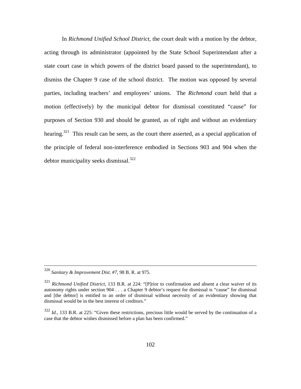In *Richmond Unified School District*, the court dealt with a motion by the debtor, acting through its administrator (appointed by the State School Superintendant after a state court case in which powers of the district board passed to the superintendant), to dismiss the Chapter 9 case of the school district. The motion was opposed by several parties, including teachers' and employees' unions. The *Richmond* court held that a motion (effectively) by the municipal debtor for dismissal constituted "cause" for purposes of Section 930 and should be granted, as of right and without an evidentiary hearing.<sup>321</sup> This result can be seen, as the court there asserted, as a special application of the principle of federal non-interference embodied in Sections 903 and 904 when the debtor municipality seeks dismissal.<sup>322</sup>

 <sup>320</sup> *Sanitary & Improvement Dist. #7*, 98 B. R. at 975.

<sup>321</sup> *Richmond Unified District,* 133 B.R. at 224: "[P]rior to confirmation and absent a clear waiver of its autonomy rights under section 904 . . . a Chapter 9 debtor's request for dismissal is "cause" for dismissal and [the debtor] is entitled to an order of dismissal without necessity of an evidentiary showing that dismissal would be in the best interest of creditors."

<sup>322</sup> *Id.,* 133 B.R. at 225: "Given these restrictions, precious little would be served by the continuation of a case that the debtor wishes dismissed before a plan has been confirmed."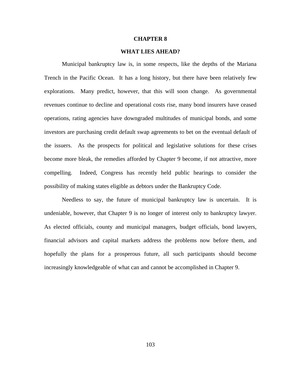## **CHAPTER 8**

## **WHAT LIES AHEAD?**

Municipal bankruptcy law is, in some respects, like the depths of the Mariana Trench in the Pacific Ocean. It has a long history, but there have been relatively few explorations. Many predict, however, that this will soon change. As governmental revenues continue to decline and operational costs rise, many bond insurers have ceased operations, rating agencies have downgraded multitudes of municipal bonds, and some investors are purchasing credit default swap agreements to bet on the eventual default of the issuers. As the prospects for political and legislative solutions for these crises become more bleak, the remedies afforded by Chapter 9 become, if not attractive, more compelling. Indeed, Congress has recently held public hearings to consider the possibility of making states eligible as debtors under the Bankruptcy Code.

Needless to say, the future of municipal bankruptcy law is uncertain. It is undeniable, however, that Chapter 9 is no longer of interest only to bankruptcy lawyer. As elected officials, county and municipal managers, budget officials, bond lawyers, financial advisors and capital markets address the problems now before them, and hopefully the plans for a prosperous future, all such participants should become increasingly knowledgeable of what can and cannot be accomplished in Chapter 9.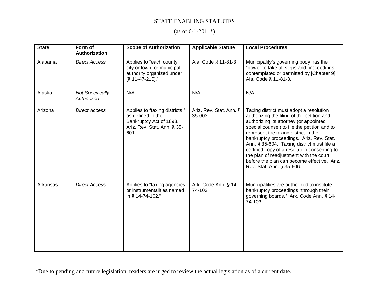## STATE ENABLING STATUTES

## $(as of 6-1-2011*)$

| <b>State</b> | Form of<br>Authorization              | <b>Scope of Authorization</b>                                                                                         | <b>Applicable Statute</b>         | <b>Local Procedures</b>                                                                                                                                                                                                                                                                                                                                                                                                                                                                  |
|--------------|---------------------------------------|-----------------------------------------------------------------------------------------------------------------------|-----------------------------------|------------------------------------------------------------------------------------------------------------------------------------------------------------------------------------------------------------------------------------------------------------------------------------------------------------------------------------------------------------------------------------------------------------------------------------------------------------------------------------------|
| Alabama      | <b>Direct Access</b>                  | Applies to "each county,<br>city or town, or municipal<br>authority organized under<br>[§ 11-47-210]."                | Ala. Code § 11-81-3               | Municipality's governing body has the<br>"power to take all steps and proceedings<br>contemplated or permitted by [Chapter 9]."<br>Ala. Code § 11-81-3.                                                                                                                                                                                                                                                                                                                                  |
| Alaska       | <b>Not Specifically</b><br>Authorized | N/A                                                                                                                   | N/A                               | N/A                                                                                                                                                                                                                                                                                                                                                                                                                                                                                      |
| Arizona      | <b>Direct Access</b>                  | Applies to "taxing districts,"<br>as defined in the<br>Bankruptcy Act of 1898.<br>Ariz. Rev. Stat. Ann. § 35-<br>601. | Ariz. Rev. Stat. Ann. §<br>35-603 | Taxing district must adopt a resolution<br>authorizing the filing of the petition and<br>authorizing its attorney (or appointed<br>special counsel) to file the petition and to<br>represent the taxing district in the<br>bankruptcy proceedings. Ariz. Rev. Stat.<br>Ann. § 35-604. Taxing district must file a<br>certified copy of a resolution consenting to<br>the plan of readjustment with the court<br>before the plan can become effective. Ariz.<br>Rev. Stat. Ann. § 35-606. |
| Arkansas     | <b>Direct Access</b>                  | Applies to "taxing agencies<br>or instrumentalities named<br>in § 14-74-102."                                         | Ark. Code Ann. § 14-<br>74-103    | Municipalities are authorized to institute<br>bankruptcy proceedings "through their<br>governing boards." Ark. Code Ann. § 14-<br>74-103.                                                                                                                                                                                                                                                                                                                                                |

\*Due to pending and future legislation, readers are urged to review the actual legislation as of a current date.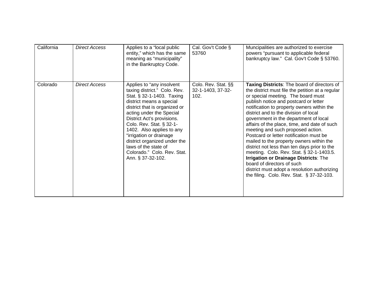| California | <b>Direct Access</b> | Applies to a "local public"<br>entity," which has the same<br>meaning as "municipality"                                                                                                                                                                                                                                                                                                                       | Cal. Gov't Code §<br>53760                       | Muncipalities are authorized to exercise<br>powers "pursuant to applicable federal<br>bankruptcy law." Cal. Gov't Code § 53760.                                                                                                                                                                                                                                                                                                                                                                                                                                                                                                                                                                                                                            |
|------------|----------------------|---------------------------------------------------------------------------------------------------------------------------------------------------------------------------------------------------------------------------------------------------------------------------------------------------------------------------------------------------------------------------------------------------------------|--------------------------------------------------|------------------------------------------------------------------------------------------------------------------------------------------------------------------------------------------------------------------------------------------------------------------------------------------------------------------------------------------------------------------------------------------------------------------------------------------------------------------------------------------------------------------------------------------------------------------------------------------------------------------------------------------------------------------------------------------------------------------------------------------------------------|
|            |                      | in the Bankruptcy Code.                                                                                                                                                                                                                                                                                                                                                                                       |                                                  |                                                                                                                                                                                                                                                                                                                                                                                                                                                                                                                                                                                                                                                                                                                                                            |
| Colorado   | <b>Direct Access</b> | Applies to "any insolvent<br>taxing district." Colo. Rev.<br>Stat. § 32-1-1403. Taxing<br>district means a special<br>district that is organized or<br>acting under the Special<br>District Act's provisions.<br>Colo. Rev. Stat. § 32-1-<br>1402. Also applies to any<br>"irrigation or drainage<br>district organized under the<br>laws of the state of<br>Colorado." Colo. Rev. Stat.<br>Ann. § 37-32-102. | Colo. Rev. Stat. §§<br>32-1-1403, 37-32-<br>102. | Taxing Districts: The board of directors of<br>the district must file the petition at a regular<br>or special meeting. The board must<br>publish notice and postcard or letter<br>notification to property owners within the<br>district and to the division of local<br>government in the department of local<br>affairs of the place, time, and date of such<br>meeting and such proposed action.<br>Postcard or letter notification must be<br>mailed to the property owners within the<br>district not less than ten days prior to the<br>meeting. Colo. Rev. Stat. § 32-1-1403.5.<br>Irrigation or Drainage Districts: The<br>board of directors of such<br>district must adopt a resolution authorizing<br>the filing. Colo. Rev. Stat. § 37-32-103. |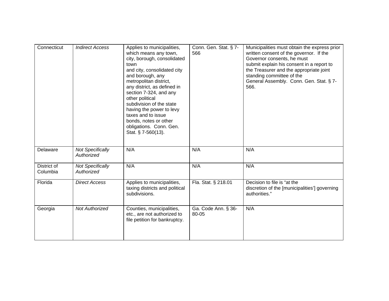| Connecticut             | <b>Indirect Access</b>                | Applies to municipalities,<br>which means any town,<br>city, borough, consolidated<br>town<br>and city, consolidated city<br>and borough, any<br>metropolitan district,<br>any district, as defined in<br>section 7-324, and any<br>other political<br>subdivision of the state<br>having the power to levy<br>taxes and to issue<br>bonds, notes or other<br>obligations. Conn. Gen.<br>Stat. § 7-560(13). | Conn. Gen. Stat. § 7-<br>566 | Municipalities must obtain the express prior<br>written consent of the governor. If the<br>Governor consents, he must<br>submit explain his consent in a report to<br>the Treasurer and the appropriate joint<br>standing committee of the<br>General Assembly. Conn. Gen. Stat. § 7-<br>566. |
|-------------------------|---------------------------------------|-------------------------------------------------------------------------------------------------------------------------------------------------------------------------------------------------------------------------------------------------------------------------------------------------------------------------------------------------------------------------------------------------------------|------------------------------|-----------------------------------------------------------------------------------------------------------------------------------------------------------------------------------------------------------------------------------------------------------------------------------------------|
| Delaware                | <b>Not Specifically</b><br>Authorized | N/A                                                                                                                                                                                                                                                                                                                                                                                                         | N/A                          | N/A                                                                                                                                                                                                                                                                                           |
| District of<br>Columbia | <b>Not Specifically</b><br>Authorized | N/A                                                                                                                                                                                                                                                                                                                                                                                                         | N/A                          | N/A                                                                                                                                                                                                                                                                                           |
| Florida                 | <b>Direct Access</b>                  | Applies to municipalities,<br>taxing districts and political<br>subdivisions.                                                                                                                                                                                                                                                                                                                               | Fla. Stat. § 218.01          | Decision to file is "at the<br>discretion of the [municipalities'] governing<br>authorities."                                                                                                                                                                                                 |
| Georgia                 | <b>Not Authorized</b>                 | Counties, municipalities,<br>etc., are not authorized to<br>file petition for bankruptcy.                                                                                                                                                                                                                                                                                                                   | Ga. Code Ann. § 36-<br>80-05 | N/A                                                                                                                                                                                                                                                                                           |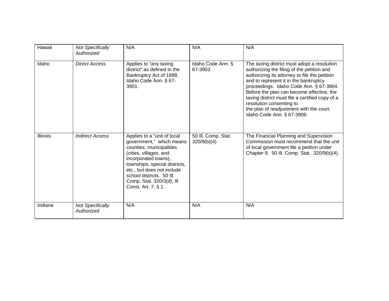| Hawaii   | <b>Not Specifically</b><br>Authorized | N/A                                                                                                                                                                                                                                                                                   | N/A                                | N/A                                                                                                                                                                                                                                                                                                                                                                                                                                  |
|----------|---------------------------------------|---------------------------------------------------------------------------------------------------------------------------------------------------------------------------------------------------------------------------------------------------------------------------------------|------------------------------------|--------------------------------------------------------------------------------------------------------------------------------------------------------------------------------------------------------------------------------------------------------------------------------------------------------------------------------------------------------------------------------------------------------------------------------------|
| Idaho    | <b>Direct Access</b>                  | Applies to "any taxing<br>district" as defined in the<br>Bankruptcy Act of 1898.<br>Idaho Code Ann. § 67-<br>3901.                                                                                                                                                                    | Idaho Code Ann. §<br>67-3903       | The taxing district must adopt a resolution<br>authorizing the filing of the petition and<br>authorizing its attorney to file the petition<br>and to represent it in the bankruptcy<br>proceedings. Idaho Code Ann. § 67-3904.<br>Before the plan can become effective, the<br>taxing district must file a certified copy of a<br>resolution consenting to<br>the plan of readjustment with the court.<br>Idaho Code Ann. § 67-3906. |
| Illinois | <b>Indirect Access</b>                | Applies to a "unit of local<br>government," which means<br>counties, municipalities<br>(cities, villages, and<br>incorporated towns),<br>townships, special districts,<br>etc., but does not include<br>school districts. 50 III.<br>Comp. Stat. 320/3(d); Ill<br>Const. Art. 7, § 1. | 50 III. Comp. Stat.<br>320/9(b)(4) | The Financial Planning and Supervision<br>Commission must recommend that the unit<br>of local government file a petition under<br>Chapter 9. 50 III. Comp. Stat. 320/9(b)(4).                                                                                                                                                                                                                                                        |
| Indiana  | <b>Not Specifically</b><br>Authorized | N/A                                                                                                                                                                                                                                                                                   | N/A                                | N/A                                                                                                                                                                                                                                                                                                                                                                                                                                  |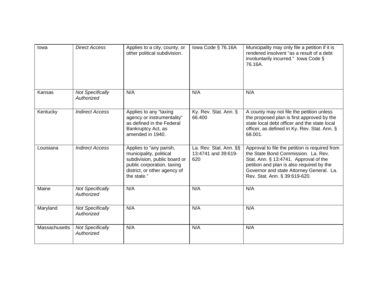| lowa          | <b>Direct Access</b>                  | Applies to a city, county, or<br>other political subdivision.                                                                                                   | lowa Code § 76.16A                                   | Municipality may only file a petition if it is<br>rendered insolvent "as a result of a debt<br>involuntarily incurred." Iowa Code §<br>76.16A.                                                                                                           |
|---------------|---------------------------------------|-----------------------------------------------------------------------------------------------------------------------------------------------------------------|------------------------------------------------------|----------------------------------------------------------------------------------------------------------------------------------------------------------------------------------------------------------------------------------------------------------|
| Kansas        | <b>Not Specifically</b><br>Authorized | N/A                                                                                                                                                             | N/A                                                  | N/A                                                                                                                                                                                                                                                      |
| Kentucky      | <b>Indirect Access</b>                | Applies to any "taxing<br>agency or instrumentality"<br>as defined in the Federal<br>Bankruptcy Act, as<br>amended in 1940.                                     | Ky. Rev. Stat. Ann. §<br>66.400                      | A county may not file the petition unless<br>the proposed plan is first approved by the<br>state local debt officer and the state local<br>officer, as defined in Ky. Rev. Stat. Ann. §<br>68.001.                                                       |
| Louisiana     | <b>Indirect Access</b>                | Applies to "any parish,<br>municipality, political<br>subdivision, public board or<br>public corporation, taxing<br>district, or other agency of<br>the state." | La. Rev. Stat. Ann. §§<br>13:4741 and 39:619-<br>620 | Approval to file the petition is required from<br>the State Bond Commission. La. Rev.<br>Stat. Ann. § 13:4741. Approval of the<br>petition and plan is also required by the<br>Governor and state Attorney General. La.<br>Rev. Stat. Ann. § 39:619-620. |
| Maine         | <b>Not Specifically</b><br>Authorized | N/A                                                                                                                                                             | N/A                                                  | N/A                                                                                                                                                                                                                                                      |
| Maryland      | <b>Not Specifically</b><br>Authorized | N/A                                                                                                                                                             | N/A                                                  | N/A                                                                                                                                                                                                                                                      |
| Massachusetts | <b>Not Specifically</b><br>Authorized | N/A                                                                                                                                                             | N/A                                                  | N/A                                                                                                                                                                                                                                                      |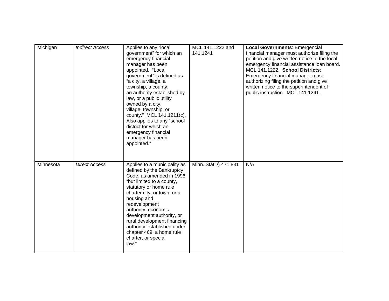| Michigan  | <b>Indirect Access</b> | Applies to any "local<br>government" for which an<br>emergency financial<br>manager has been<br>appointed. "Local<br>government" is defined as<br>"a city, a village, a<br>township, a county,<br>an authority established by<br>law, or a public utility<br>owned by a city,<br>village, township, or<br>county." MCL 141.1211(c).<br>Also applies to any "school<br>district for which an<br>emergency financial<br>manager has been<br>appointed." | MCL 141.1222 and<br>141.1241 | <b>Local Governments: Emergencial</b><br>financial manager must authorize filing the<br>petition and give written notice to the local<br>emergency financial assistance loan board.<br>MCL 141.1222. School Districts:<br>Emergency financial manager must<br>authorizing filing the petition and give<br>written notice to the superintendent of<br>public instruction. MCL 141.1241. |
|-----------|------------------------|-------------------------------------------------------------------------------------------------------------------------------------------------------------------------------------------------------------------------------------------------------------------------------------------------------------------------------------------------------------------------------------------------------------------------------------------------------|------------------------------|----------------------------------------------------------------------------------------------------------------------------------------------------------------------------------------------------------------------------------------------------------------------------------------------------------------------------------------------------------------------------------------|
| Minnesota | <b>Direct Access</b>   | Applies to a municipality as<br>defined by the Bankruptcy<br>Code, as amended in 1996,<br>"but limited to a county,<br>statutory or home rule<br>charter city, or town; or a<br>housing and<br>redevelopment<br>authority, economic<br>development authority, or<br>rural development financing<br>authority established under<br>chapter 469, a home rule<br>charter, or special<br>law."                                                            | Minn. Stat. § 471.831        | N/A                                                                                                                                                                                                                                                                                                                                                                                    |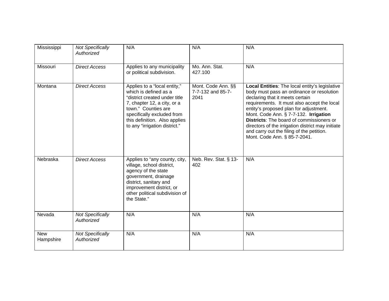| Mississippi             | <b>Not Specifically</b><br>Authorized | N/A                                                                                                                                                                                                                                          | N/A                                             | N/A                                                                                                                                                                                                                                                                                                                                                                                                                                                   |
|-------------------------|---------------------------------------|----------------------------------------------------------------------------------------------------------------------------------------------------------------------------------------------------------------------------------------------|-------------------------------------------------|-------------------------------------------------------------------------------------------------------------------------------------------------------------------------------------------------------------------------------------------------------------------------------------------------------------------------------------------------------------------------------------------------------------------------------------------------------|
| Missouri                | <b>Direct Access</b>                  | Applies to any municipality<br>or political subdivision.                                                                                                                                                                                     | Mo. Ann. Stat.<br>427.100                       | N/A                                                                                                                                                                                                                                                                                                                                                                                                                                                   |
| Montana                 | <b>Direct Access</b>                  | Applies to a "local entity,"<br>which is defined as a<br>"district created under title<br>7, chapter 12, a city, or a<br>town." Counties are<br>specifically excluded from<br>this definition. Also applies<br>to any "irrigation district." | Mont. Code Ann. §§<br>7-7-132 and 85-7-<br>2041 | Local Entities: The local entity's legislative<br>body must pass an ordinance or resolution<br>declaring that it meets certain<br>requirements. It must also accept the local<br>entity's proposed plan for adjustment.<br>Mont. Code Ann. § 7-7-132. Irrigation<br><b>Districts:</b> The board of commissioners or<br>directors of the irrigation district may initiate<br>and carry out the filing of the petition.<br>Mont. Code Ann. § 85-7-2041. |
| Nebraska                | <b>Direct Access</b>                  | Applies to "any county, city,<br>village, school district,<br>agency of the state<br>government, drainage<br>district, sanitary and<br>improvement district, or<br>other political subdivision of<br>the State."                             | Neb. Rev. Stat. § 13-<br>402                    | N/A                                                                                                                                                                                                                                                                                                                                                                                                                                                   |
| Nevada                  | <b>Not Specifically</b><br>Authorized | N/A                                                                                                                                                                                                                                          | N/A                                             | N/A                                                                                                                                                                                                                                                                                                                                                                                                                                                   |
| <b>New</b><br>Hampshire | <b>Not Specifically</b><br>Authorized | N/A                                                                                                                                                                                                                                          | N/A                                             | N/A                                                                                                                                                                                                                                                                                                                                                                                                                                                   |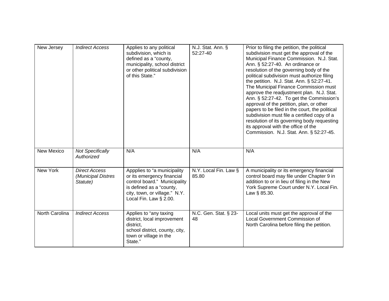| New Jersey     | <b>Indirect Access</b>                                 | Applies to any political<br>subdivision, which is<br>defined as a "county,<br>municipality, school district<br>or other political subdivision<br>of this State."                 | N.J. Stat. Ann. §<br>52:27-40  | Prior to filing the petition, the political<br>subdivision must get the approval of the<br>Municipal Finance Commission. N.J. Stat.<br>Ann. § 52:27-40. An ordinance or<br>resolution of the governing body of the<br>political subdivision must authorize filing<br>the petition. N.J. Stat. Ann. § 52:27-41.<br>The Municipal Finance Commission must<br>approve the readjustment plan. N.J. Stat.<br>Ann. § 52:27-42. To get the Commission's<br>approval of the petition, plan, or other<br>papers to be filed in the court, the political<br>subdivision must file a certified copy of a<br>resolution of its governing body requesting<br>its approval with the office of the<br>Commission. N.J. Stat. Ann. § 52:27-45. |
|----------------|--------------------------------------------------------|----------------------------------------------------------------------------------------------------------------------------------------------------------------------------------|--------------------------------|--------------------------------------------------------------------------------------------------------------------------------------------------------------------------------------------------------------------------------------------------------------------------------------------------------------------------------------------------------------------------------------------------------------------------------------------------------------------------------------------------------------------------------------------------------------------------------------------------------------------------------------------------------------------------------------------------------------------------------|
| New Mexico     | <b>Not Specifically</b><br>Authorized                  | N/A                                                                                                                                                                              | N/A                            | N/A                                                                                                                                                                                                                                                                                                                                                                                                                                                                                                                                                                                                                                                                                                                            |
| New York       | <b>Direct Access</b><br>(Municipal Distres<br>Statute) | Appplies to "a municipality<br>or its emergency financial<br>control board." Municipality<br>is defined as a "county,<br>city, town, or village." N.Y.<br>Local Fin. Law § 2.00. | N.Y. Local Fin. Law §<br>85.80 | A municipality or its emergency financial<br>control board may file under Chapter 9 in<br>addition to or in lieu of filing in the New<br>York Supreme Court under N.Y. Local Fin.<br>Law § 85.30.                                                                                                                                                                                                                                                                                                                                                                                                                                                                                                                              |
| North Carolina | <b>Indirect Access</b>                                 | Applies to "any taxing<br>district, local improvement<br>district,<br>school district, county, city,<br>town or village in the<br>State."                                        | N.C. Gen. Stat. § 23-<br>48    | Local units must get the approval of the<br>Local Government Commission of<br>North Carolina before filing the petition.                                                                                                                                                                                                                                                                                                                                                                                                                                                                                                                                                                                                       |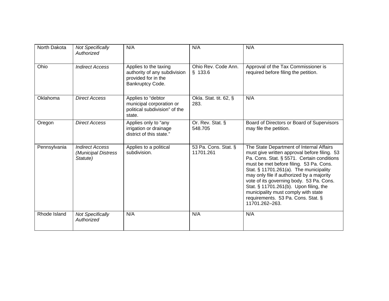| North Dakota | <b>Not Specifically</b><br>Authorized                     | N/A                                                                                              | N/A                               | N/A                                                                                                                                                                                                                                                                                                                                                                                                                                                           |
|--------------|-----------------------------------------------------------|--------------------------------------------------------------------------------------------------|-----------------------------------|---------------------------------------------------------------------------------------------------------------------------------------------------------------------------------------------------------------------------------------------------------------------------------------------------------------------------------------------------------------------------------------------------------------------------------------------------------------|
| Ohio         | <b>Indirect Access</b>                                    | Applies to the taxing<br>authority of any subdivision<br>provided for in the<br>Bankruptcy Code. | Ohio Rev. Code Ann.<br>\$133.6    | Approval of the Tax Commissioner is<br>required before filing the petition.                                                                                                                                                                                                                                                                                                                                                                                   |
| Oklahoma     | <b>Direct Access</b>                                      | Applies to "debtor<br>municipal corporation or<br>political subdivision" of the<br>state.        | Okla. Stat. tit. 62, §<br>283.    | N/A                                                                                                                                                                                                                                                                                                                                                                                                                                                           |
| Oregon       | <b>Direct Access</b>                                      | Applies only to "any<br>irrigation or drainage<br>district of this state."                       | Or. Rev. Stat. §<br>548.705       | Board of Directors or Board of Supervisors<br>may file the petition.                                                                                                                                                                                                                                                                                                                                                                                          |
| Pennsylvania | <b>Indirect Access</b><br>(Municipal Distress<br>Statute) | Applies to a political<br>subdivision.                                                           | 53 Pa. Cons. Stat. §<br>11701.261 | The State Department of Internal Affairs<br>must give written approval before filing. 53<br>Pa. Cons. Stat. § 5571. Certain conditions<br>must be met before filing. 53 Pa. Cons.<br>Stat. § 11701.261(a). The municipality<br>may only file if authorized by a majority<br>vote of its governing body. 53 Pa. Cons.<br>Stat. § 11701.261(b). Upon filing, the<br>municipality must comply with state<br>requirements. 53 Pa. Cons. Stat. §<br>11701.262-263. |
| Rhode Island | <b>Not Specifically</b><br>Authorized                     | N/A                                                                                              | N/A                               | N/A                                                                                                                                                                                                                                                                                                                                                                                                                                                           |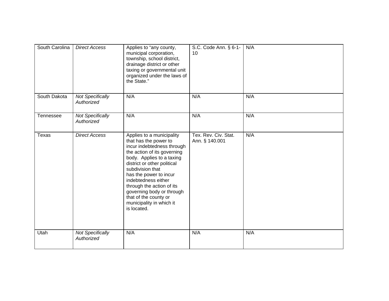| South Carolina | <b>Direct Access</b>                  | Applies to "any county,<br>municipal corporation,<br>township, school district,<br>drainage district or other<br>taxing or governmental unit<br>organized under the laws of<br>the State."                                                                                                                                                                                     | S.C. Code Ann. § 6-1-<br>10            | N/A |
|----------------|---------------------------------------|--------------------------------------------------------------------------------------------------------------------------------------------------------------------------------------------------------------------------------------------------------------------------------------------------------------------------------------------------------------------------------|----------------------------------------|-----|
| South Dakota   | <b>Not Specifically</b><br>Authorized | N/A                                                                                                                                                                                                                                                                                                                                                                            | N/A                                    | N/A |
| Tennessee      | <b>Not Specifically</b><br>Authorized | N/A                                                                                                                                                                                                                                                                                                                                                                            | N/A                                    | N/A |
| Texas          | <b>Direct Access</b>                  | Applies to a municipality<br>that has the power to<br>incur indebtedness through<br>the action of its governing<br>body. Applies to a taxing<br>district or other political<br>subdivision that<br>has the power to incur<br>indebtedness either<br>through the action of its<br>governing body or through<br>that of the county or<br>municipality in which it<br>is located. | Tex. Rev. Civ. Stat.<br>Ann. § 140.001 | N/A |
| Utah           | <b>Not Specifically</b><br>Authorized | N/A                                                                                                                                                                                                                                                                                                                                                                            | N/A                                    | N/A |